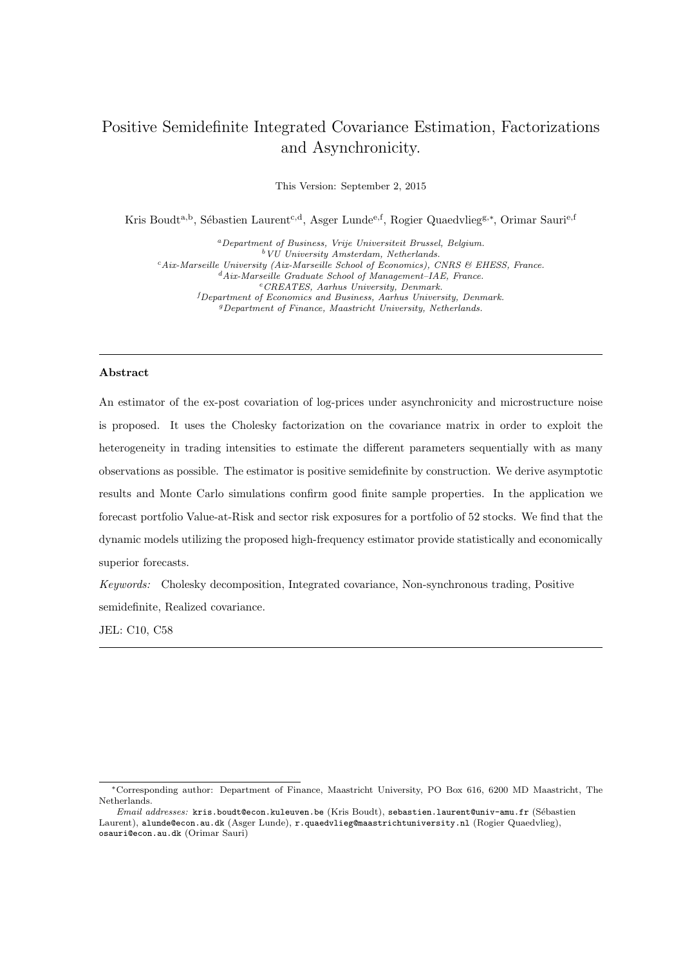# Positive Semidefinite Integrated Covariance Estimation, Factorizations and Asynchronicity.

This Version: September 2, 2015

Kris Boudt<sup>a,b</sup>, Sébastien Laurent<sup>c,d</sup>, Asger Lunde<sup>e,f</sup>, Rogier Quaedvlieg<sup>g,∗</sup>, Orimar Sauri<sup>e,f</sup>

<sup>a</sup>Department of Business, Vrije Universiteit Brussel, Belgium.

 $b$  VU University Amsterdam, Netherlands.

 $c$ Aix-Marseille University (Aix-Marseille School of Economics), CNRS & EHESS, France.

 $dAix-Marseille~Graduate~ School~ of~Management-IAE,~ France.$ 

<sup>e</sup>CREATES, Aarhus University, Denmark.

<sup>f</sup>Department of Economics and Business, Aarhus University, Denmark.

<sup>g</sup>Department of Finance, Maastricht University, Netherlands.

## Abstract

An estimator of the ex-post covariation of log-prices under asynchronicity and microstructure noise is proposed. It uses the Cholesky factorization on the covariance matrix in order to exploit the heterogeneity in trading intensities to estimate the different parameters sequentially with as many observations as possible. The estimator is positive semidefinite by construction. We derive asymptotic results and Monte Carlo simulations confirm good finite sample properties. In the application we forecast portfolio Value-at-Risk and sector risk exposures for a portfolio of 52 stocks. We find that the dynamic models utilizing the proposed high-frequency estimator provide statistically and economically superior forecasts.

Keywords: Cholesky decomposition, Integrated covariance, Non-synchronous trading, Positive semidefinite, Realized covariance.

JEL: C10, C58

<sup>∗</sup>Corresponding author: Department of Finance, Maastricht University, PO Box 616, 6200 MD Maastricht, The Netherlands.

Email addresses: kris.boudt@econ.kuleuven.be (Kris Boudt), sebastien.laurent@univ-amu.fr (Sébastien Laurent), alunde@econ.au.dk (Asger Lunde), r.quaedvlieg@maastrichtuniversity.nl (Rogier Quaedvlieg), osauri@econ.au.dk (Orimar Sauri)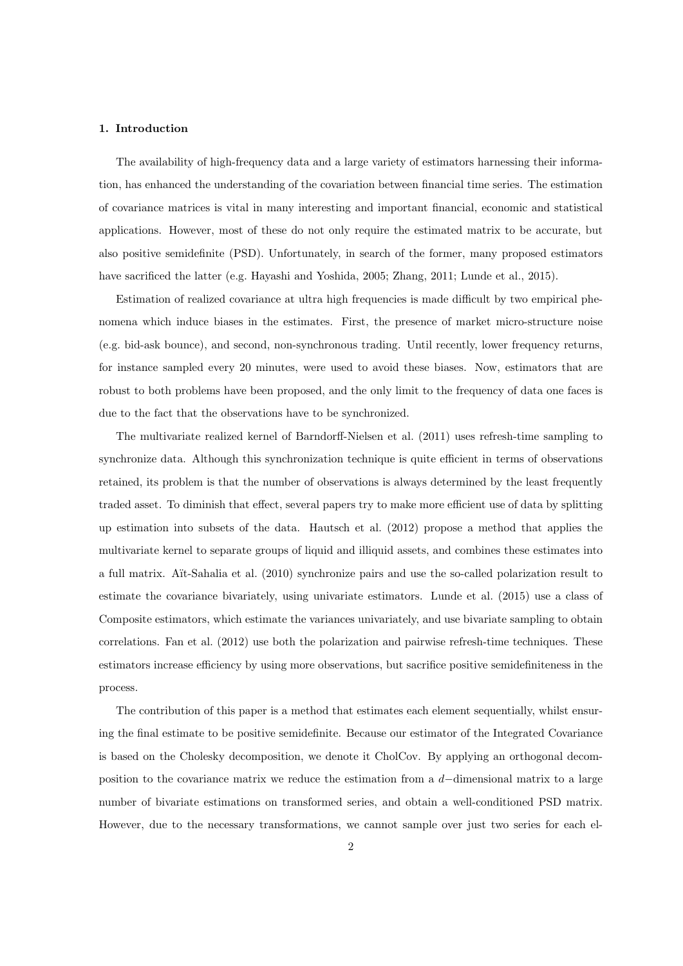## 1. Introduction

The availability of high-frequency data and a large variety of estimators harnessing their information, has enhanced the understanding of the covariation between financial time series. The estimation of covariance matrices is vital in many interesting and important financial, economic and statistical applications. However, most of these do not only require the estimated matrix to be accurate, but also positive semidefinite (PSD). Unfortunately, in search of the former, many proposed estimators have sacrificed the latter (e.g. Hayashi and Yoshida, 2005; Zhang, 2011; Lunde et al., 2015).

Estimation of realized covariance at ultra high frequencies is made difficult by two empirical phenomena which induce biases in the estimates. First, the presence of market micro-structure noise (e.g. bid-ask bounce), and second, non-synchronous trading. Until recently, lower frequency returns, for instance sampled every 20 minutes, were used to avoid these biases. Now, estimators that are robust to both problems have been proposed, and the only limit to the frequency of data one faces is due to the fact that the observations have to be synchronized.

The multivariate realized kernel of Barndorff-Nielsen et al. (2011) uses refresh-time sampling to synchronize data. Although this synchronization technique is quite efficient in terms of observations retained, its problem is that the number of observations is always determined by the least frequently traded asset. To diminish that effect, several papers try to make more efficient use of data by splitting up estimation into subsets of the data. Hautsch et al. (2012) propose a method that applies the multivariate kernel to separate groups of liquid and illiquid assets, and combines these estimates into a full matrix. A¨ıt-Sahalia et al. (2010) synchronize pairs and use the so-called polarization result to estimate the covariance bivariately, using univariate estimators. Lunde et al. (2015) use a class of Composite estimators, which estimate the variances univariately, and use bivariate sampling to obtain correlations. Fan et al. (2012) use both the polarization and pairwise refresh-time techniques. These estimators increase efficiency by using more observations, but sacrifice positive semidefiniteness in the process.

The contribution of this paper is a method that estimates each element sequentially, whilst ensuring the final estimate to be positive semidefinite. Because our estimator of the Integrated Covariance is based on the Cholesky decomposition, we denote it CholCov. By applying an orthogonal decomposition to the covariance matrix we reduce the estimation from a d−dimensional matrix to a large number of bivariate estimations on transformed series, and obtain a well-conditioned PSD matrix. However, due to the necessary transformations, we cannot sample over just two series for each el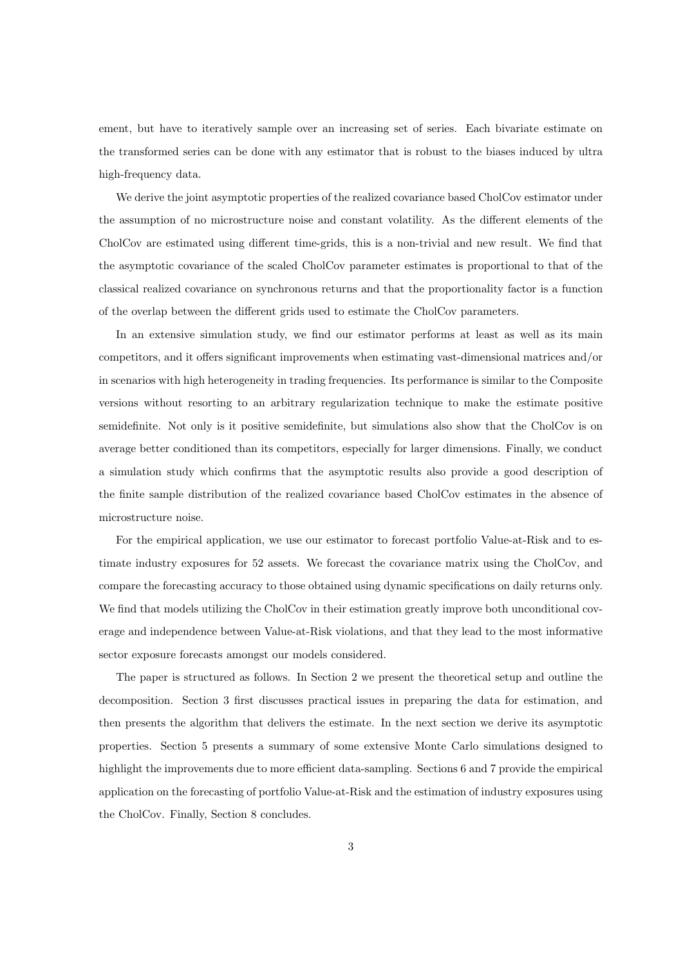ement, but have to iteratively sample over an increasing set of series. Each bivariate estimate on the transformed series can be done with any estimator that is robust to the biases induced by ultra high-frequency data.

We derive the joint asymptotic properties of the realized covariance based CholCov estimator under the assumption of no microstructure noise and constant volatility. As the different elements of the CholCov are estimated using different time-grids, this is a non-trivial and new result. We find that the asymptotic covariance of the scaled CholCov parameter estimates is proportional to that of the classical realized covariance on synchronous returns and that the proportionality factor is a function of the overlap between the different grids used to estimate the CholCov parameters.

In an extensive simulation study, we find our estimator performs at least as well as its main competitors, and it offers significant improvements when estimating vast-dimensional matrices and/or in scenarios with high heterogeneity in trading frequencies. Its performance is similar to the Composite versions without resorting to an arbitrary regularization technique to make the estimate positive semidefinite. Not only is it positive semidefinite, but simulations also show that the CholCov is on average better conditioned than its competitors, especially for larger dimensions. Finally, we conduct a simulation study which confirms that the asymptotic results also provide a good description of the finite sample distribution of the realized covariance based CholCov estimates in the absence of microstructure noise.

For the empirical application, we use our estimator to forecast portfolio Value-at-Risk and to estimate industry exposures for 52 assets. We forecast the covariance matrix using the CholCov, and compare the forecasting accuracy to those obtained using dynamic specifications on daily returns only. We find that models utilizing the CholCov in their estimation greatly improve both unconditional coverage and independence between Value-at-Risk violations, and that they lead to the most informative sector exposure forecasts amongst our models considered.

The paper is structured as follows. In Section 2 we present the theoretical setup and outline the decomposition. Section 3 first discusses practical issues in preparing the data for estimation, and then presents the algorithm that delivers the estimate. In the next section we derive its asymptotic properties. Section 5 presents a summary of some extensive Monte Carlo simulations designed to highlight the improvements due to more efficient data-sampling. Sections 6 and 7 provide the empirical application on the forecasting of portfolio Value-at-Risk and the estimation of industry exposures using the CholCov. Finally, Section 8 concludes.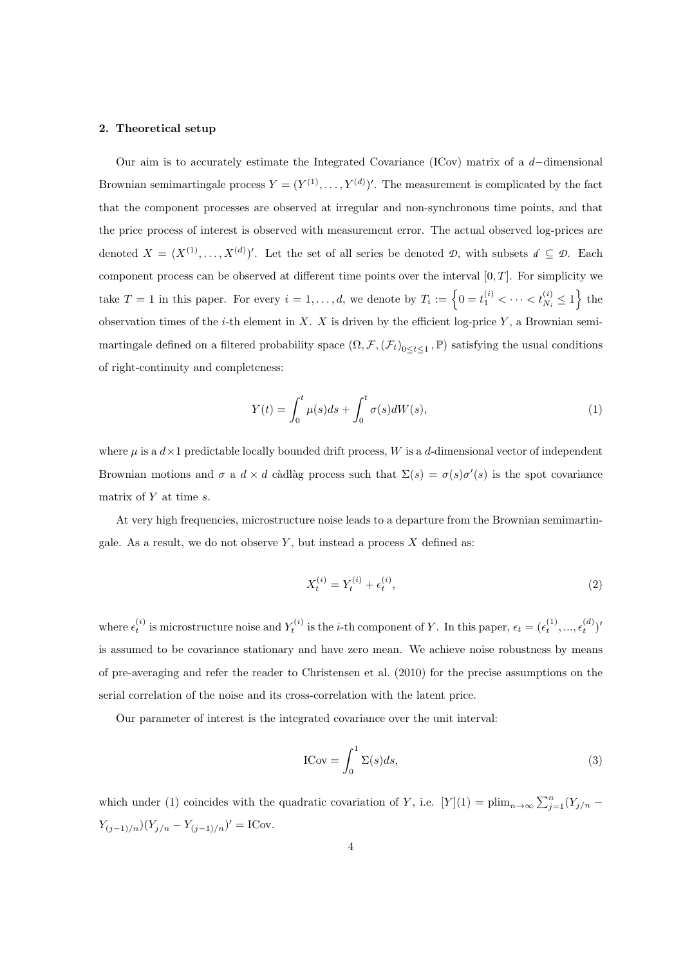## 2. Theoretical setup

Our aim is to accurately estimate the Integrated Covariance (ICov) matrix of a d−dimensional Brownian semimartingale process  $Y = (Y^{(1)}, \ldots, Y^{(d)})'$ . The measurement is complicated by the fact that the component processes are observed at irregular and non-synchronous time points, and that the price process of interest is observed with measurement error. The actual observed log-prices are denoted  $X = (X^{(1)}, \ldots, X^{(d)})'$ . Let the set of all series be denoted *D*, with subsets  $d \subseteq D$ . Each component process can be observed at different time points over the interval  $[0, T]$ . For simplicity we take  $T = 1$  in this paper. For every  $i = 1, \ldots, d$ , we denote by  $T_i := \left\{0 = t_1^{(i)} < \cdots < t_{N_i}^{(i)} \leq 1\right\}$  the observation times of the *i*-th element in X. X is driven by the efficient log-price Y, a Brownian semimartingale defined on a filtered probability space  $(\Omega, \mathcal{F}, (\mathcal{F}_t)_{0 \leq t \leq 1}, \mathbb{P})$  satisfying the usual conditions of right-continuity and completeness:

$$
Y(t) = \int_0^t \mu(s)ds + \int_0^t \sigma(s)dW(s),\tag{1}
$$

where  $\mu$  is a  $d \times 1$  predictable locally bounded drift process, W is a d-dimensional vector of independent Brownian motions and  $\sigma$  a  $d \times d$  càdlàg process such that  $\Sigma(s) = \sigma(s)\sigma'(s)$  is the spot covariance matrix of Y at time s.

At very high frequencies, microstructure noise leads to a departure from the Brownian semimartingale. As a result, we do not observe  $Y$ , but instead a process  $X$  defined as:

$$
X_t^{(i)} = Y_t^{(i)} + \epsilon_t^{(i)},\tag{2}
$$

where  $\epsilon_t^{(i)}$  is microstructure noise and  $Y_t^{(i)}$  is the *i*-th component of Y. In this paper,  $\epsilon_t = (\epsilon_t^{(1)}, ..., \epsilon_t^{(d)})'$ is assumed to be covariance stationary and have zero mean. We achieve noise robustness by means of pre-averaging and refer the reader to Christensen et al. (2010) for the precise assumptions on the serial correlation of the noise and its cross-correlation with the latent price.

Our parameter of interest is the integrated covariance over the unit interval:

$$
ICov = \int_0^1 \Sigma(s)ds,
$$
\n(3)

which under (1) coincides with the quadratic covariation of Y, i.e.  $[Y](1) = \text{plim}_{n \to \infty} \sum_{j=1}^{n} (Y_{j/n} Y_{(j-1)/n}(Y_{j/n} - Y_{(j-1)/n})' = \text{ICov}.$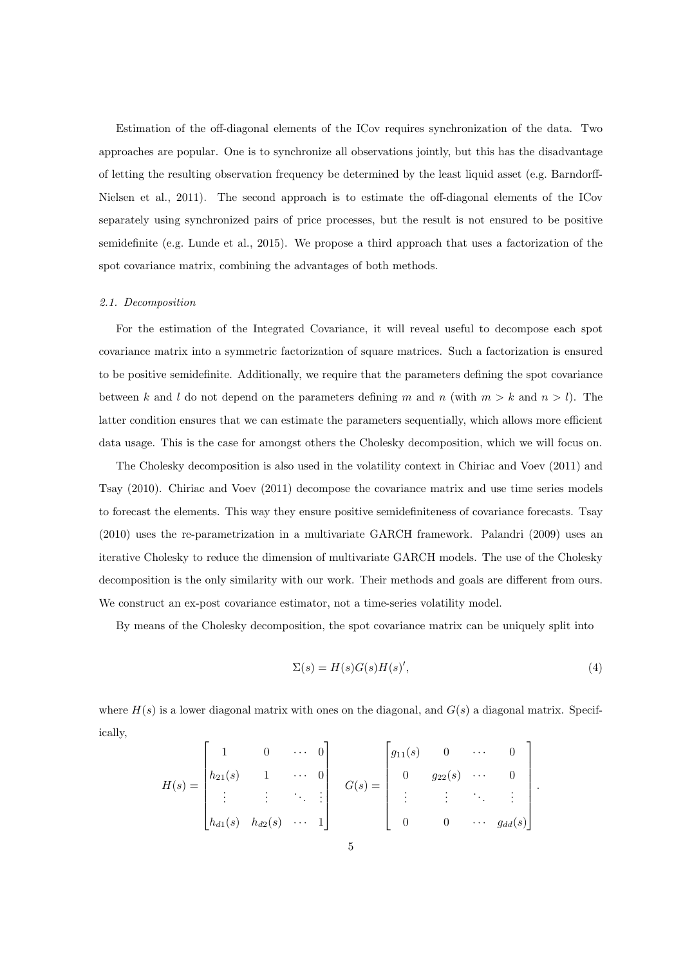Estimation of the off-diagonal elements of the ICov requires synchronization of the data. Two approaches are popular. One is to synchronize all observations jointly, but this has the disadvantage of letting the resulting observation frequency be determined by the least liquid asset (e.g. Barndorff-Nielsen et al., 2011). The second approach is to estimate the off-diagonal elements of the ICov separately using synchronized pairs of price processes, but the result is not ensured to be positive semidefinite (e.g. Lunde et al., 2015). We propose a third approach that uses a factorization of the spot covariance matrix, combining the advantages of both methods.

## 2.1. Decomposition

For the estimation of the Integrated Covariance, it will reveal useful to decompose each spot covariance matrix into a symmetric factorization of square matrices. Such a factorization is ensured to be positive semidefinite. Additionally, we require that the parameters defining the spot covariance between k and l do not depend on the parameters defining m and n (with  $m > k$  and  $n > l$ ). The latter condition ensures that we can estimate the parameters sequentially, which allows more efficient data usage. This is the case for amongst others the Cholesky decomposition, which we will focus on.

The Cholesky decomposition is also used in the volatility context in Chiriac and Voev (2011) and Tsay (2010). Chiriac and Voev (2011) decompose the covariance matrix and use time series models to forecast the elements. This way they ensure positive semidefiniteness of covariance forecasts. Tsay (2010) uses the re-parametrization in a multivariate GARCH framework. Palandri (2009) uses an iterative Cholesky to reduce the dimension of multivariate GARCH models. The use of the Cholesky decomposition is the only similarity with our work. Their methods and goals are different from ours. We construct an ex-post covariance estimator, not a time-series volatility model.

By means of the Cholesky decomposition, the spot covariance matrix can be uniquely split into

$$
\Sigma(s) = H(s)G(s)H(s)',\tag{4}
$$

where  $H(s)$  is a lower diagonal matrix with ones on the diagonal, and  $G(s)$  a diagonal matrix. Specifically,  $\overline{a}$ 

$$
H(s) = \begin{bmatrix} 1 & 0 & \cdots & 0 \\ h_{21}(s) & 1 & \cdots & 0 \\ \vdots & \vdots & \ddots & \vdots \\ h_{d1}(s) & h_{d2}(s) & \cdots & 1 \end{bmatrix} \quad G(s) = \begin{bmatrix} g_{11}(s) & 0 & \cdots & 0 \\ 0 & g_{22}(s) & \cdots & 0 \\ \vdots & \vdots & \ddots & \vdots \\ 0 & 0 & \cdots & g_{dd}(s) \end{bmatrix}.
$$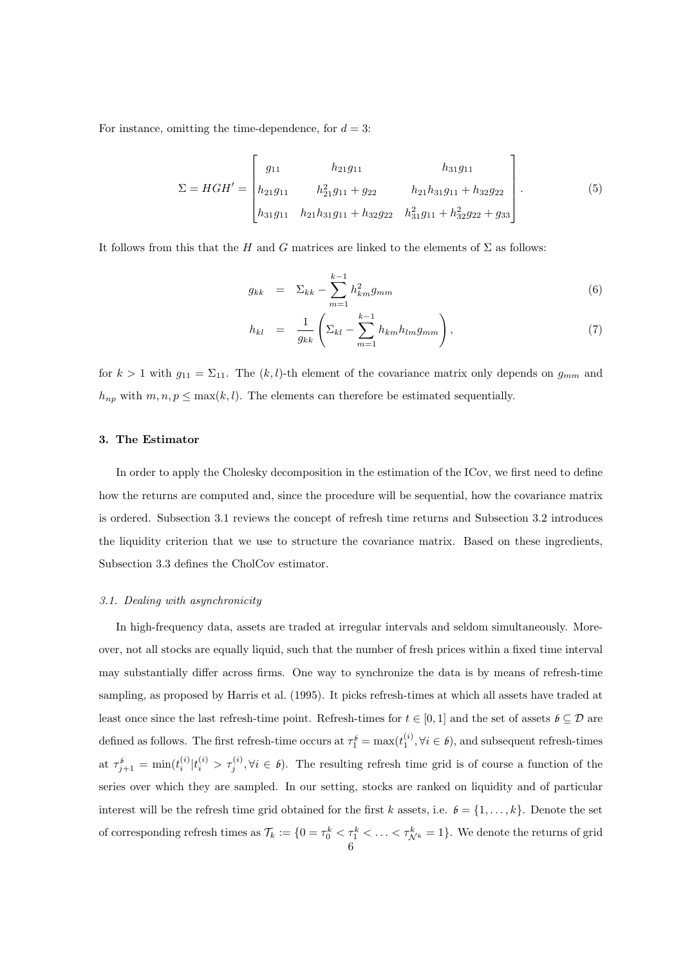For instance, omitting the time-dependence, for  $d = 3$ :

$$
\Sigma = HGH' = \begin{bmatrix} g_{11} & h_{21}g_{11} & h_{31}g_{11} \\ h_{21}g_{11} & h_{21}^2g_{11} + g_{22} & h_{21}h_{31}g_{11} + h_{32}g_{22} \\ h_{31}g_{11} & h_{21}h_{31}g_{11} + h_{32}g_{22} & h_{31}^2g_{11} + h_{32}^2g_{22} + g_{33} \end{bmatrix}.
$$
 (5)

It follows from this that the H and G matrices are linked to the elements of  $\Sigma$  as follows:

$$
g_{kk} = \sum_{kk} -\sum_{m=1}^{k-1} h_{km}^2 g_{mm}
$$
 (6)

$$
h_{kl} = \frac{1}{g_{kk}} \left( \Sigma_{kl} - \sum_{m=1}^{k-1} h_{km} h_{lm} g_{mm} \right), \tag{7}
$$

for  $k > 1$  with  $g_{11} = \Sigma_{11}$ . The  $(k, l)$ -th element of the covariance matrix only depends on  $g_{mm}$  and  $h_{np}$  with  $m, n, p \leq \max(k, l)$ . The elements can therefore be estimated sequentially.

## 3. The Estimator

In order to apply the Cholesky decomposition in the estimation of the ICov, we first need to define how the returns are computed and, since the procedure will be sequential, how the covariance matrix is ordered. Subsection 3.1 reviews the concept of refresh time returns and Subsection 3.2 introduces the liquidity criterion that we use to structure the covariance matrix. Based on these ingredients, Subsection 3.3 defines the CholCov estimator.

#### 3.1. Dealing with asynchronicity

In high-frequency data, assets are traded at irregular intervals and seldom simultaneously. Moreover, not all stocks are equally liquid, such that the number of fresh prices within a fixed time interval may substantially differ across firms. One way to synchronize the data is by means of refresh-time sampling, as proposed by Harris et al. (1995). It picks refresh-times at which all assets have traded at least once since the last refresh-time point. Refresh-times for  $t \in [0, 1]$  and the set of assets  $\mathbf{b} \subseteq \mathcal{D}$  are defined as follows. The first refresh-time occurs at  $\tau_1^{\ell} = \max(t_1^{(i)}, \forall i \in \ell)$ , and subsequent refresh-times at  $\tau_{j+1}^{\beta} = \min(t_i^{(i)} | t_i^{(i)} > \tau_j^{(i)}, \forall i \in \beta)$ . The resulting refresh time grid is of course a function of the series over which they are sampled. In our setting, stocks are ranked on liquidity and of particular interest will be the refresh time grid obtained for the first k assets, i.e.  $b = \{1, \ldots, k\}$ . Denote the set of corresponding refresh times as  $\mathcal{T}_k := \{0 = \tau_0^k < \tau_1^k < \ldots < \tau_{\mathcal{N}^k}^k = 1\}$ . We denote the returns of grid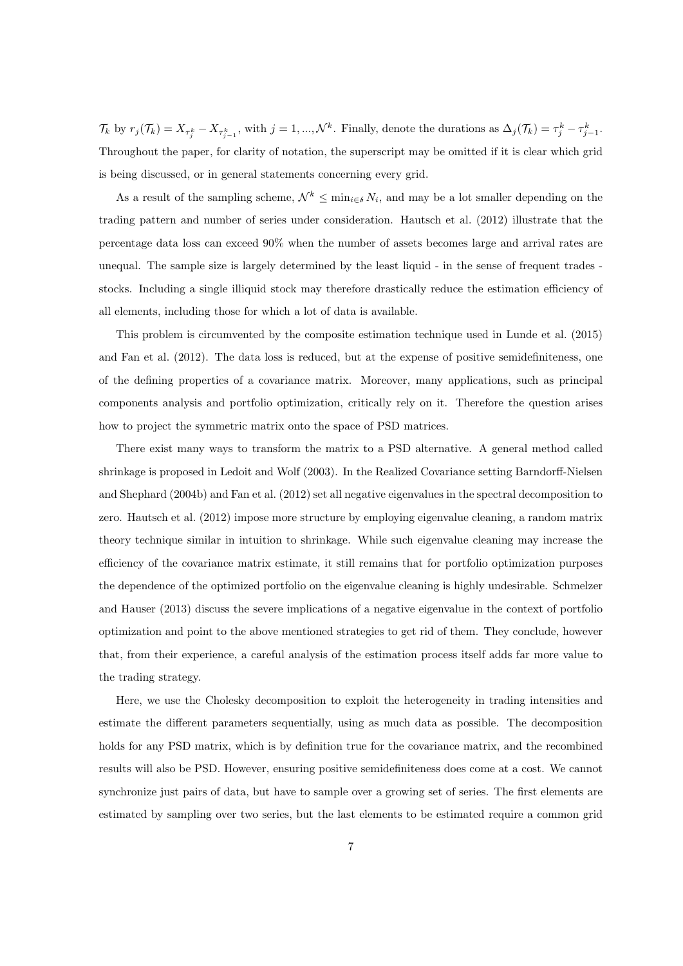$\mathcal{T}_k$  by  $r_j(\mathcal{T}_k) = X_{\tau_j^k} - X_{\tau_{j-1}^k}$ , with  $j = 1, ..., \mathcal{N}^k$ . Finally, denote the durations as  $\Delta_j(\mathcal{T}_k) = \tau_j^k - \tau_{j-1}^k$ . Throughout the paper, for clarity of notation, the superscript may be omitted if it is clear which grid is being discussed, or in general statements concerning every grid.

As a result of the sampling scheme,  $\mathcal{N}^k \leq \min_{i \in \mathcal{I}} N_i$ , and may be a lot smaller depending on the trading pattern and number of series under consideration. Hautsch et al. (2012) illustrate that the percentage data loss can exceed 90% when the number of assets becomes large and arrival rates are unequal. The sample size is largely determined by the least liquid - in the sense of frequent trades stocks. Including a single illiquid stock may therefore drastically reduce the estimation efficiency of all elements, including those for which a lot of data is available.

This problem is circumvented by the composite estimation technique used in Lunde et al. (2015) and Fan et al. (2012). The data loss is reduced, but at the expense of positive semidefiniteness, one of the defining properties of a covariance matrix. Moreover, many applications, such as principal components analysis and portfolio optimization, critically rely on it. Therefore the question arises how to project the symmetric matrix onto the space of PSD matrices.

There exist many ways to transform the matrix to a PSD alternative. A general method called shrinkage is proposed in Ledoit and Wolf (2003). In the Realized Covariance setting Barndorff-Nielsen and Shephard (2004b) and Fan et al. (2012) set all negative eigenvalues in the spectral decomposition to zero. Hautsch et al. (2012) impose more structure by employing eigenvalue cleaning, a random matrix theory technique similar in intuition to shrinkage. While such eigenvalue cleaning may increase the efficiency of the covariance matrix estimate, it still remains that for portfolio optimization purposes the dependence of the optimized portfolio on the eigenvalue cleaning is highly undesirable. Schmelzer and Hauser (2013) discuss the severe implications of a negative eigenvalue in the context of portfolio optimization and point to the above mentioned strategies to get rid of them. They conclude, however that, from their experience, a careful analysis of the estimation process itself adds far more value to the trading strategy.

Here, we use the Cholesky decomposition to exploit the heterogeneity in trading intensities and estimate the different parameters sequentially, using as much data as possible. The decomposition holds for any PSD matrix, which is by definition true for the covariance matrix, and the recombined results will also be PSD. However, ensuring positive semidefiniteness does come at a cost. We cannot synchronize just pairs of data, but have to sample over a growing set of series. The first elements are estimated by sampling over two series, but the last elements to be estimated require a common grid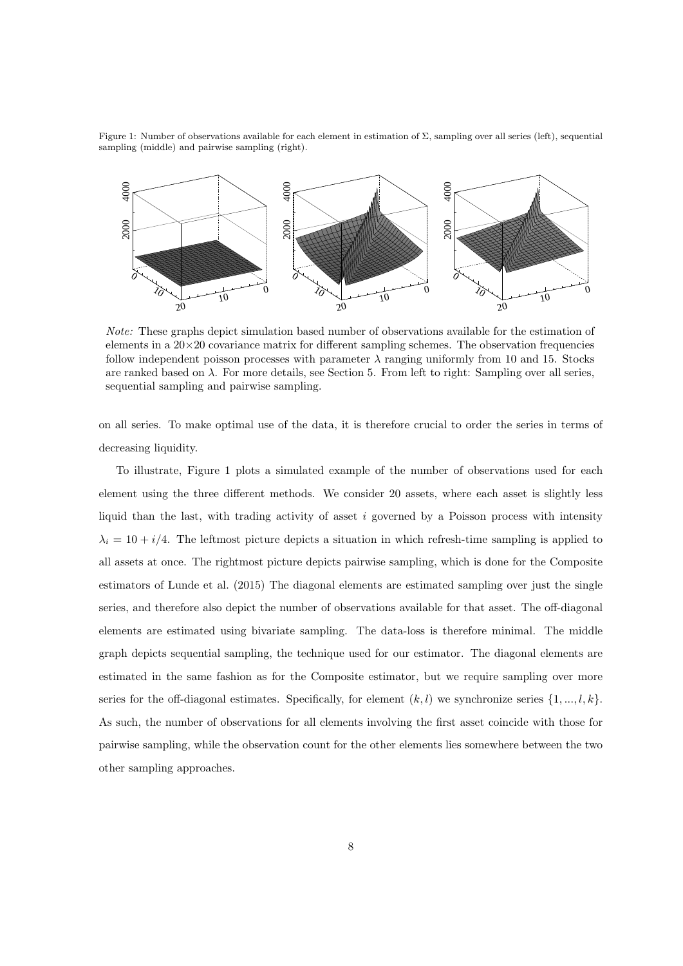Figure 1: Number of observations available for each element in estimation of Σ, sampling over all series (left), sequential sampling (middle) and pairwise sampling (right).



Note: These graphs depict simulation based number of observations available for the estimation of elements in a  $20\times20$  covariance matrix for different sampling schemes. The observation frequencies follow independent poisson processes with parameter  $\lambda$  ranging uniformly from 10 and 15. Stocks are ranked based on  $\lambda$ . For more details, see Section 5. From left to right: Sampling over all series, sequential sampling and pairwise sampling.

on all series. To make optimal use of the data, it is therefore crucial to order the series in terms of decreasing liquidity.

To illustrate, Figure 1 plots a simulated example of the number of observations used for each element using the three different methods. We consider 20 assets, where each asset is slightly less liquid than the last, with trading activity of asset  $i$  governed by a Poisson process with intensity  $\lambda_i = 10 + i/4$ . The leftmost picture depicts a situation in which refresh-time sampling is applied to all assets at once. The rightmost picture depicts pairwise sampling, which is done for the Composite estimators of Lunde et al. (2015) The diagonal elements are estimated sampling over just the single series, and therefore also depict the number of observations available for that asset. The off-diagonal elements are estimated using bivariate sampling. The data-loss is therefore minimal. The middle graph depicts sequential sampling, the technique used for our estimator. The diagonal elements are estimated in the same fashion as for the Composite estimator, but we require sampling over more series for the off-diagonal estimates. Specifically, for element  $(k, l)$  we synchronize series  $\{1, ..., l, k\}$ . As such, the number of observations for all elements involving the first asset coincide with those for pairwise sampling, while the observation count for the other elements lies somewhere between the two other sampling approaches.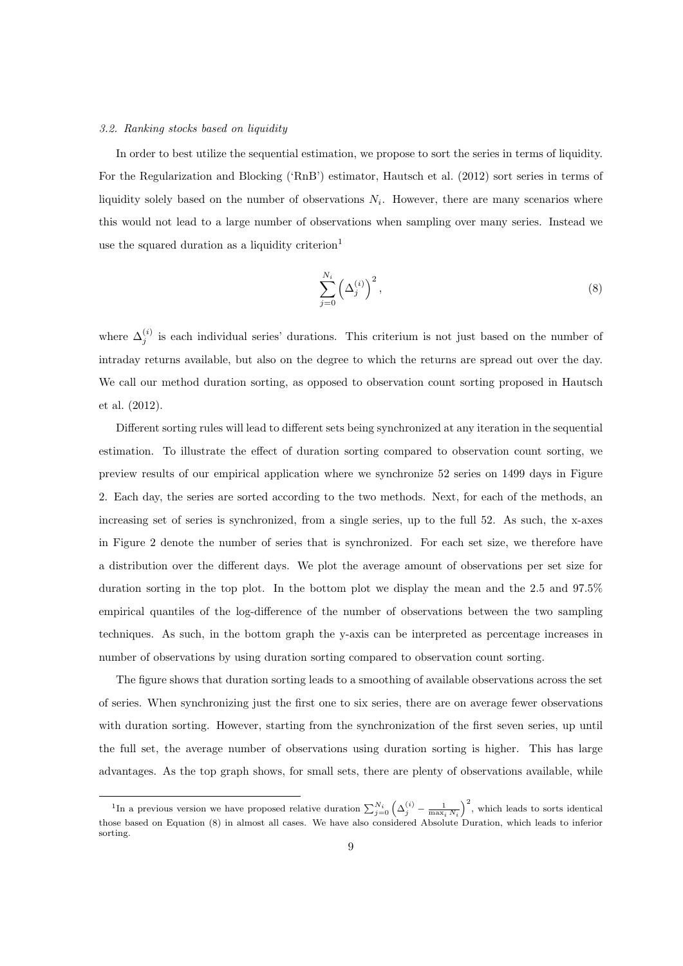#### 3.2. Ranking stocks based on liquidity

In order to best utilize the sequential estimation, we propose to sort the series in terms of liquidity. For the Regularization and Blocking ('RnB') estimator, Hautsch et al. (2012) sort series in terms of liquidity solely based on the number of observations  $N_i$ . However, there are many scenarios where this would not lead to a large number of observations when sampling over many series. Instead we use the squared duration as a liquidity criterion $<sup>1</sup>$ </sup>

$$
\sum_{j=0}^{N_i} \left(\Delta_j^{(i)}\right)^2,\tag{8}
$$

where  $\Delta_j^{(i)}$  is each individual series' durations. This criterium is not just based on the number of intraday returns available, but also on the degree to which the returns are spread out over the day. We call our method duration sorting, as opposed to observation count sorting proposed in Hautsch et al. (2012).

Different sorting rules will lead to different sets being synchronized at any iteration in the sequential estimation. To illustrate the effect of duration sorting compared to observation count sorting, we preview results of our empirical application where we synchronize 52 series on 1499 days in Figure 2. Each day, the series are sorted according to the two methods. Next, for each of the methods, an increasing set of series is synchronized, from a single series, up to the full 52. As such, the x-axes in Figure 2 denote the number of series that is synchronized. For each set size, we therefore have a distribution over the different days. We plot the average amount of observations per set size for duration sorting in the top plot. In the bottom plot we display the mean and the 2.5 and 97.5% empirical quantiles of the log-difference of the number of observations between the two sampling techniques. As such, in the bottom graph the y-axis can be interpreted as percentage increases in number of observations by using duration sorting compared to observation count sorting.

The figure shows that duration sorting leads to a smoothing of available observations across the set of series. When synchronizing just the first one to six series, there are on average fewer observations with duration sorting. However, starting from the synchronization of the first seven series, up until the full set, the average number of observations using duration sorting is higher. This has large advantages. As the top graph shows, for small sets, there are plenty of observations available, while

<sup>&</sup>lt;sup>1</sup>In a previous version we have proposed relative duration  $\sum_{j=0}^{N_i} \left( \Delta_j^{(i)} - \frac{1}{\max_i N_i} \right)^2$ , which leads to sorts identical those based on Equation (8) in almost all cases. We have also considered Absolute Duration, which leads to inferior sorting.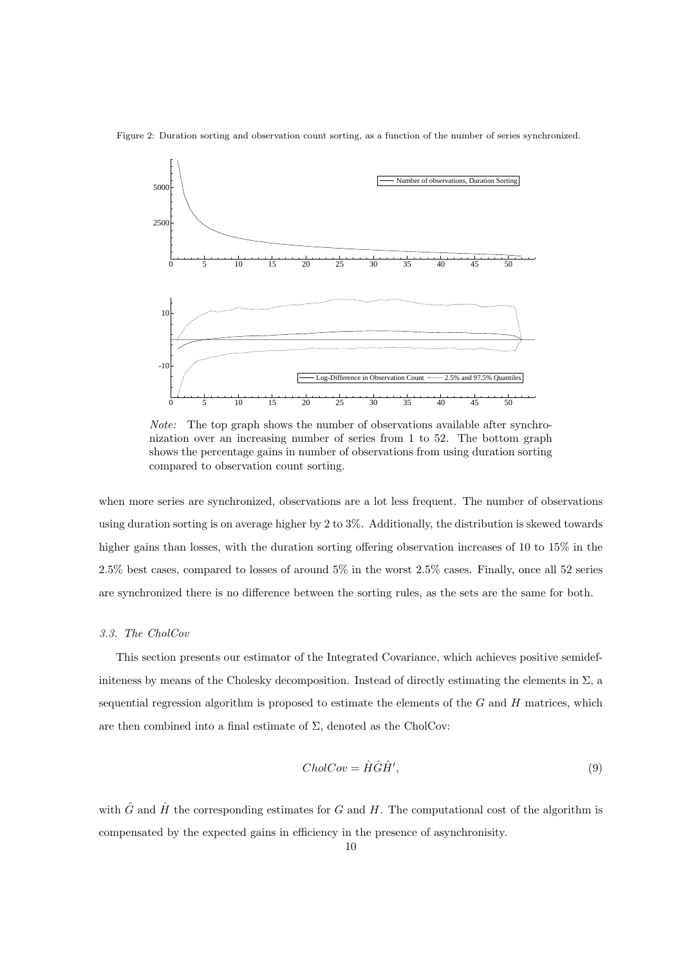

Figure 2: Duration sorting and observation count sorting, as a function of the number of series synchronized.

Note: The top graph shows the number of observations available after synchronization over an increasing number of series from 1 to 52. The bottom graph shows the percentage gains in number of observations from using duration sorting compared to observation count sorting.

when more series are synchronized, observations are a lot less frequent. The number of observations using duration sorting is on average higher by 2 to 3%. Additionally, the distribution is skewed towards higher gains than losses, with the duration sorting offering observation increases of 10 to 15% in the 2.5% best cases, compared to losses of around 5% in the worst 2.5% cases. Finally, once all 52 series are synchronized there is no difference between the sorting rules, as the sets are the same for both.

#### 3.3. The CholCov

This section presents our estimator of the Integrated Covariance, which achieves positive semidefiniteness by means of the Cholesky decomposition. Instead of directly estimating the elements in  $\Sigma$ , a sequential regression algorithm is proposed to estimate the elements of the  $G$  and  $H$  matrices, which are then combined into a final estimate of  $\Sigma$ , denoted as the CholCov:

$$
CholCov = \hat{H}\hat{G}\hat{H}',\tag{9}
$$

with  $\hat{G}$  and  $\hat{H}$  the corresponding estimates for G and H. The computational cost of the algorithm is compensated by the expected gains in efficiency in the presence of asynchronisity.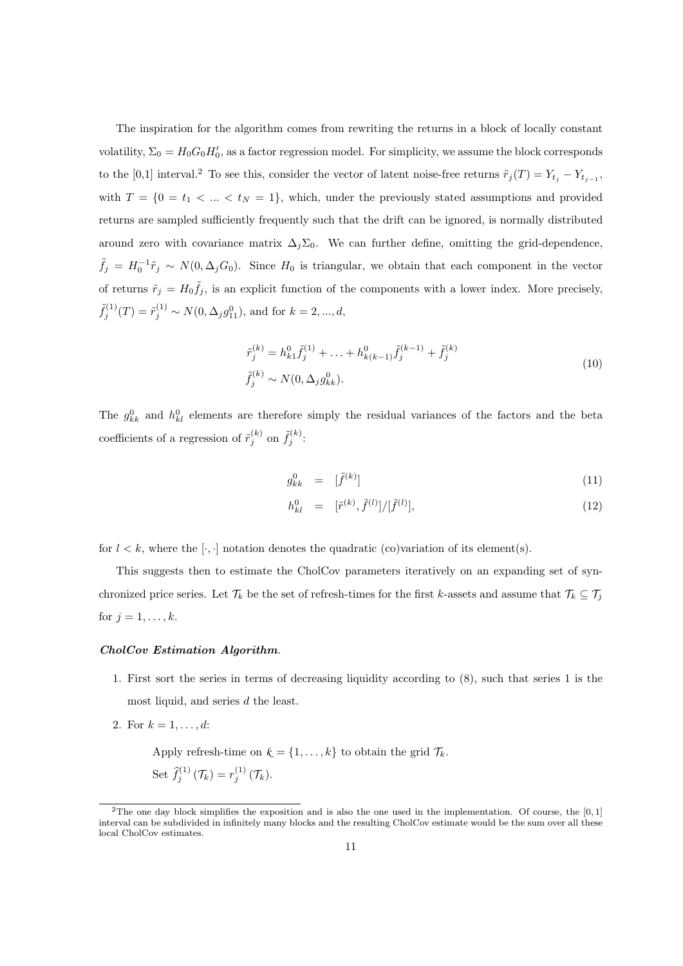The inspiration for the algorithm comes from rewriting the returns in a block of locally constant volatility,  $\Sigma_0 = H_0 G_0 H'_0$ , as a factor regression model. For simplicity, we assume the block corresponds to the [0,1] interval.<sup>2</sup> To see this, consider the vector of latent noise-free returns  $\tilde{r}_j(T) = Y_{t_j} - Y_{t_{j-1}},$ with  $T = \{0 = t_1 < ... < t_N = 1\}$ , which, under the previously stated assumptions and provided returns are sampled sufficiently frequently such that the drift can be ignored, is normally distributed around zero with covariance matrix  $\Delta_j \Sigma_0$ . We can further define, omitting the grid-dependence,  $\tilde{f}_j = H_0^{-1} \tilde{r}_j \sim N(0, \Delta_j G_0)$ . Since  $H_0$  is triangular, we obtain that each component in the vector of returns  $\tilde{r}_j = H_0 \tilde{f}_j$ , is an explicit function of the components with a lower index. More precisely,  $\tilde{f}_j^{(1)}(T) = \tilde{r}_j^{(1)} \sim N(0, \Delta_j g_{11}^0)$ , and for  $k = 2, ..., d$ ,

$$
\tilde{r}_j^{(k)} = h_{k1}^0 \tilde{f}_j^{(1)} + \dots + h_{k(k-1)}^0 \tilde{f}_j^{(k-1)} + \tilde{f}_j^{(k)}
$$
\n
$$
\tilde{f}_j^{(k)} \sim N(0, \Delta_j g_{kk}^0). \tag{10}
$$

The  $g_{kk}^0$  and  $h_{kl}^0$  elements are therefore simply the residual variances of the factors and the beta coefficients of a regression of  $\tilde{r}_j^{(k)}$  on  $\tilde{f}_j^{(k)}$ :

$$
g_{kk}^0 = [\tilde{f}^{(k)}] \tag{11}
$$

$$
h_{kl}^0 = [\tilde{r}^{(k)}, \tilde{f}^{(l)}]/[\tilde{f}^{(l)}], \qquad (12)
$$

for  $l < k$ , where the [ $\cdot$ , $\cdot$ ] notation denotes the quadratic (co)variation of its element(s).

This suggests then to estimate the CholCov parameters iteratively on an expanding set of synchronized price series. Let  $\mathcal{T}_k$  be the set of refresh-times for the first k-assets and assume that  $\mathcal{T}_k \subseteq \mathcal{T}_j$ for  $j = 1, \ldots, k$ .

#### CholCov Estimation Algorithm.

- 1. First sort the series in terms of decreasing liquidity according to (8), such that series 1 is the most liquid, and series d the least.
- 2. For  $k = 1, ..., d$ :

Apply refresh-time on  $k = \{1, ..., k\}$  to obtain the grid  $\mathcal{T}_k$ . Set  $\widehat{f}_j^{(1)}(\mathcal{T}_k) = r_j^{(1)}(\mathcal{T}_k).$ 

<sup>&</sup>lt;sup>2</sup>The one day block simplifies the exposition and is also the one used in the implementation. Of course, the  $[0, 1]$ interval can be subdivided in infinitely many blocks and the resulting CholCov estimate would be the sum over all these local CholCov estimates.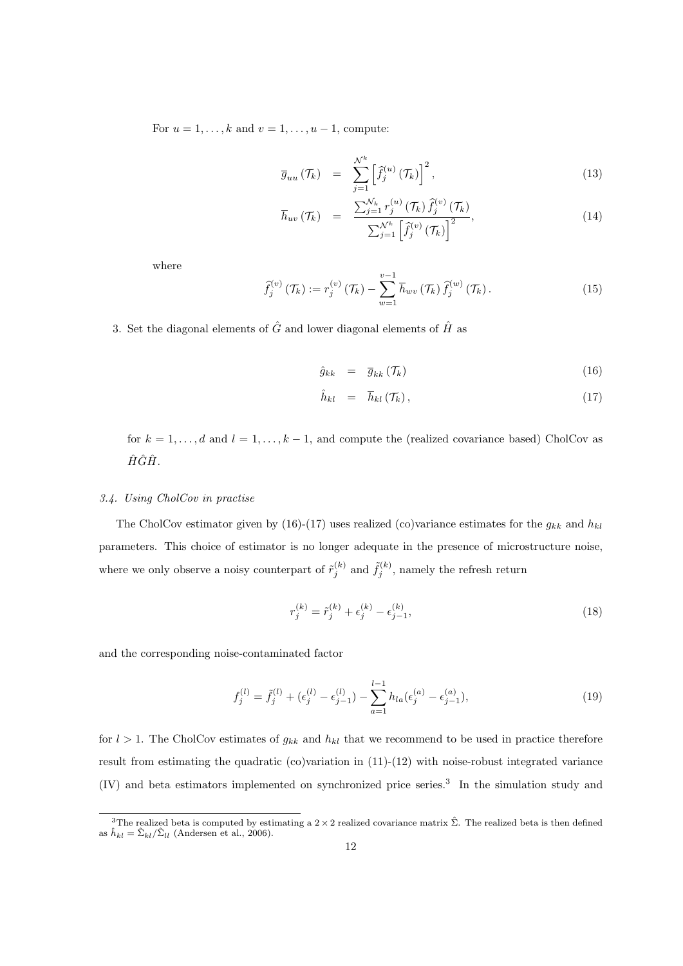For  $u = 1, \ldots, k$  and  $v = 1, \ldots, u - 1$ , compute:

$$
\overline{g}_{uu}(\mathcal{T}_k) = \sum_{j=1}^{\mathcal{N}^k} \left[ \widehat{f}_j^{(u)}(\mathcal{T}_k) \right]^2, \tag{13}
$$

$$
\overline{h}_{uv}(\mathcal{T}_k) = \frac{\sum_{j=1}^{\mathcal{N}_k} r_j^{(u)}(\mathcal{T}_k) \hat{f}_j^{(v)}(\mathcal{T}_k)}{\sum_{j=1}^{\mathcal{N}^k} \left[ \hat{f}_j^{(v)}(\mathcal{T}_k) \right]^2},
$$
\n(14)

where

$$
\widehat{f}_j^{(v)}\left(\mathcal{T}_k\right) := r_j^{(v)}\left(\mathcal{T}_k\right) - \sum_{w=1}^{v-1} \overline{h}_{wv}\left(\mathcal{T}_k\right) \widehat{f}_j^{(w)}\left(\mathcal{T}_k\right). \tag{15}
$$

3. Set the diagonal elements of  $\hat{G}$  and lower diagonal elements of  $\hat{H}$  as

$$
\hat{g}_{kk} = \overline{g}_{kk}(\mathcal{T}_k) \tag{16}
$$

$$
\hat{h}_{kl} = \overline{h}_{kl}(\mathcal{T}_k), \qquad (17)
$$

for  $k = 1, \ldots, d$  and  $l = 1, \ldots, k - 1$ , and compute the (realized covariance based) CholCov as  $\hat{H}\hat{G}\hat{H}$  .

# 3.4. Using CholCov in practise

The CholCov estimator given by (16)-(17) uses realized (co)variance estimates for the  $g_{kk}$  and  $h_{kl}$ parameters. This choice of estimator is no longer adequate in the presence of microstructure noise, where we only observe a noisy counterpart of  $\tilde{r}_j^{(k)}$  and  $\tilde{f}_j^{(k)}$ , namely the refresh return

$$
r_j^{(k)} = \tilde{r}_j^{(k)} + \epsilon_j^{(k)} - \epsilon_{j-1}^{(k)},
$$
\n(18)

and the corresponding noise-contaminated factor

$$
f_j^{(l)} = \tilde{f}_j^{(l)} + (\epsilon_j^{(l)} - \epsilon_{j-1}^{(l)}) - \sum_{a=1}^{l-1} h_{la}(\epsilon_j^{(a)} - \epsilon_{j-1}^{(a)}),
$$
\n(19)

for  $l > 1$ . The CholCov estimates of  $g_{kk}$  and  $h_{kl}$  that we recommend to be used in practice therefore result from estimating the quadratic (co)variation in (11)-(12) with noise-robust integrated variance (IV) and beta estimators implemented on synchronized price series.<sup>3</sup> In the simulation study and

<sup>&</sup>lt;sup>3</sup>The realized beta is computed by estimating a 2 × 2 realized covariance matrix  $\hat{\Sigma}$ . The realized beta is then defined as  $\hat{h}_{kl} = \hat{\Sigma}_{kl} / \hat{\Sigma}_{ll}$  (Andersen et al., 2006).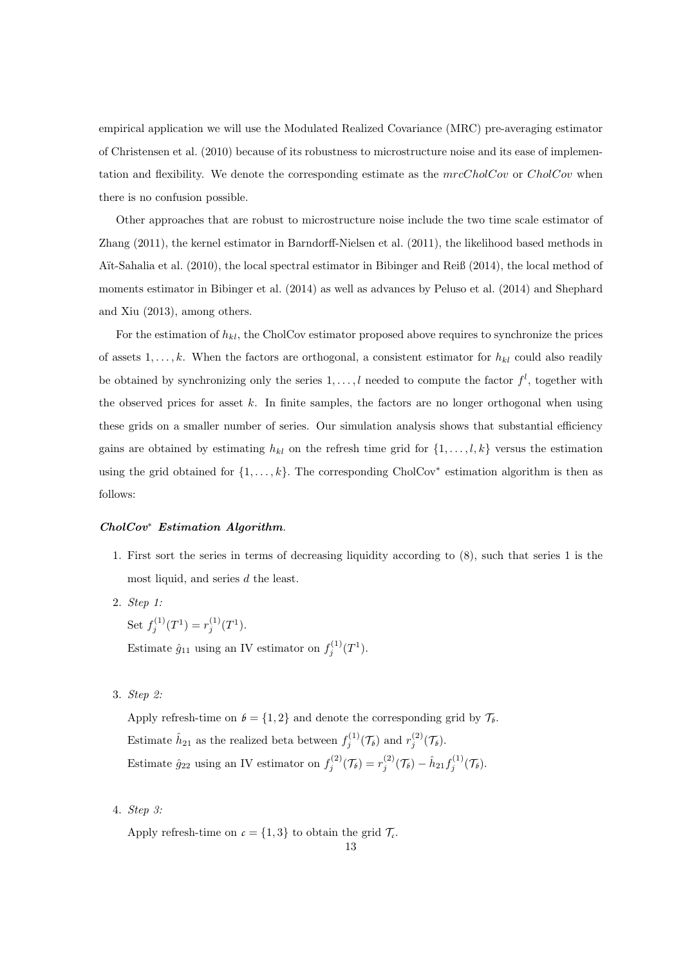empirical application we will use the Modulated Realized Covariance (MRC) pre-averaging estimator of Christensen et al. (2010) because of its robustness to microstructure noise and its ease of implementation and flexibility. We denote the corresponding estimate as the  $mcCholCov$  or CholCov when there is no confusion possible.

Other approaches that are robust to microstructure noise include the two time scale estimator of Zhang (2011), the kernel estimator in Barndorff-Nielsen et al. (2011), the likelihood based methods in Aït-Sahalia et al. (2010), the local spectral estimator in Bibinger and Reiß (2014), the local method of moments estimator in Bibinger et al. (2014) as well as advances by Peluso et al. (2014) and Shephard and Xiu (2013), among others.

For the estimation of  $h_{kl}$ , the CholCov estimator proposed above requires to synchronize the prices of assets  $1, \ldots, k$ . When the factors are orthogonal, a consistent estimator for  $h_{kl}$  could also readily be obtained by synchronizing only the series  $1, \ldots, l$  needed to compute the factor  $f^l$ , together with the observed prices for asset  $k$ . In finite samples, the factors are no longer orthogonal when using these grids on a smaller number of series. Our simulation analysis shows that substantial efficiency gains are obtained by estimating  $h_{kl}$  on the refresh time grid for  $\{1, \ldots, l, k\}$  versus the estimation using the grid obtained for  $\{1, \ldots, k\}$ . The corresponding CholCov<sup>\*</sup> estimation algorithm is then as follows:

## CholCov<sup>∗</sup> Estimation Algorithm.

- 1. First sort the series in terms of decreasing liquidity according to (8), such that series 1 is the most liquid, and series d the least.
- 2. Step 1:

Set  $f_j^{(1)}(T^1) = r_j^{(1)}(T^1)$ .

Estimate  $\hat{g}_{11}$  using an IV estimator on  $f_j^{(1)}(T^1)$ .

3. Step 2:

Apply refresh-time on  $b = \{1, 2\}$  and denote the corresponding grid by  $\mathcal{T}_b$ . Estimate  $\hat{h}_{21}$  as the realized beta between  $f_j^{(1)}(\mathcal{T}_b)$  and  $r_j^{(2)}(\mathcal{T}_b)$ . Estimate  $\hat{g}_{22}$  using an IV estimator on  $f_j^{(2)}(\mathcal{T}_b) = r_j^{(2)}(\mathcal{T}_b) - \hat{h}_{21} f_j^{(1)}(\mathcal{T}_b)$ .

# 4. Step 3:

Apply refresh-time on  $c = \{1, 3\}$  to obtain the grid  $\mathcal{T}_c$ .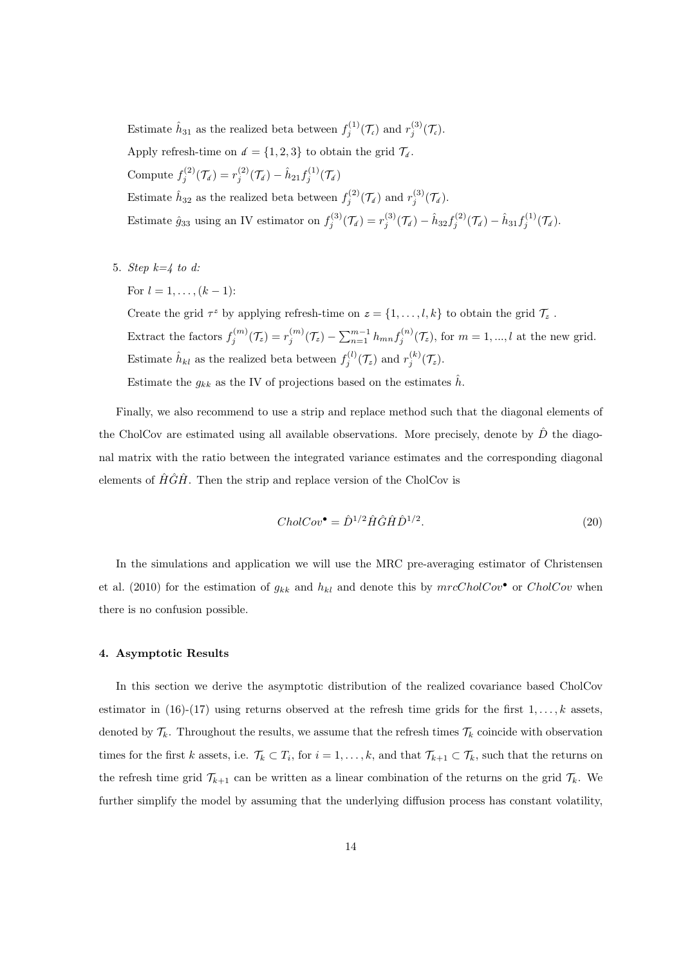Estimate  $\hat{h}_{31}$  as the realized beta between  $f_j^{(1)}(\mathcal{T}_\epsilon)$  and  $r_j^{(3)}(\mathcal{T}_\epsilon)$ . Apply refresh-time on  $d = \{1, 2, 3\}$  to obtain the grid  $\mathcal{T}_d$ . Compute  $f_j^{(2)}(\mathcal{T}_d) = r_j^{(2)}(\mathcal{T}_d) - \hat{h}_{21} f_j^{(1)}(\mathcal{T}_d)$ Estimate  $\hat{h}_{32}$  as the realized beta between  $f_j^{(2)}(\mathcal{T}_d)$  and  $r_j^{(3)}(\mathcal{T}_d)$ . Estimate  $\hat{g}_{33}$  using an IV estimator on  $f_j^{(3)}(\mathcal{T}_d) = r_j^{(3)}(\mathcal{T}_d) - \hat{h}_{32} f_j^{(2)}(\mathcal{T}_d) - \hat{h}_{31} f_j^{(1)}(\mathcal{T}_d)$ .

- 5. Step  $k=4$  to d:
	- For  $l = 1, \ldots, (k 1)$ :

Create the grid  $\tau^z$  by applying refresh-time on  $z = \{1, \ldots, l, k\}$  to obtain the grid  $\mathcal{T}_z$ . Extract the factors  $f_j^{(m)}(\mathcal{T}_z) = r_j^{(m)}(\mathcal{T}_z) - \sum_{n=1}^{m-1} h_{mn} f_j^{(n)}(\mathcal{T}_z)$ , for  $m = 1, ..., l$  at the new grid. Estimate  $\hat{h}_{kl}$  as the realized beta between  $f_j^{(l)}(\mathcal{T}_z)$  and  $r_j^{(k)}(\mathcal{T}_z)$ .

Estimate the  $g_{kk}$  as the IV of projections based on the estimates  $\hat{h}$ .

Finally, we also recommend to use a strip and replace method such that the diagonal elements of the CholCov are estimated using all available observations. More precisely, denote by  $\hat{D}$  the diagonal matrix with the ratio between the integrated variance estimates and the corresponding diagonal elements of  $H\hat{G}\hat{H}$ . Then the strip and replace version of the CholCov is

$$
CholCov^{\bullet} = \hat{D}^{1/2} \hat{H} \hat{G} \hat{H} \hat{D}^{1/2}.
$$
\n(20)

In the simulations and application we will use the MRC pre-averaging estimator of Christensen et al. (2010) for the estimation of  $g_{kk}$  and  $h_{kl}$  and denote this by  $mrcCholCov^{\bullet}$  or  $CholCov$  when there is no confusion possible.

## 4. Asymptotic Results

In this section we derive the asymptotic distribution of the realized covariance based CholCov estimator in (16)-(17) using returns observed at the refresh time grids for the first  $1, \ldots, k$  assets, denoted by  $\mathcal{T}_k$ . Throughout the results, we assume that the refresh times  $\mathcal{T}_k$  coincide with observation times for the first k assets, i.e.  $\mathcal{T}_k \subset T_i$ , for  $i = 1, \ldots, k$ , and that  $\mathcal{T}_{k+1} \subset \mathcal{T}_k$ , such that the returns on the refresh time grid  $\mathcal{T}_{k+1}$  can be written as a linear combination of the returns on the grid  $\mathcal{T}_k$ . We further simplify the model by assuming that the underlying diffusion process has constant volatility,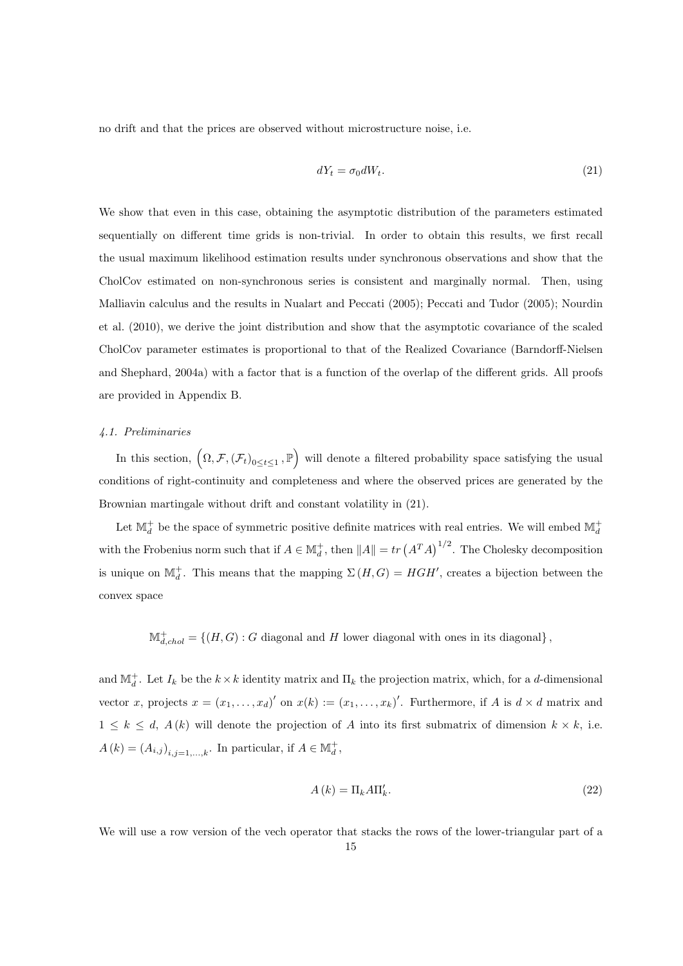no drift and that the prices are observed without microstructure noise, i.e.

$$
dY_t = \sigma_0 dW_t. \tag{21}
$$

We show that even in this case, obtaining the asymptotic distribution of the parameters estimated sequentially on different time grids is non-trivial. In order to obtain this results, we first recall the usual maximum likelihood estimation results under synchronous observations and show that the CholCov estimated on non-synchronous series is consistent and marginally normal. Then, using Malliavin calculus and the results in Nualart and Peccati (2005); Peccati and Tudor (2005); Nourdin et al. (2010), we derive the joint distribution and show that the asymptotic covariance of the scaled CholCov parameter estimates is proportional to that of the Realized Covariance (Barndorff-Nielsen and Shephard, 2004a) with a factor that is a function of the overlap of the different grids. All proofs are provided in Appendix B.

## 4.1. Preliminaries

In this section,  $(\Omega, \mathcal{F}, (\mathcal{F}_t)_{0 \leq t \leq 1}, \mathbb{P})$  will denote a filtered probability space satisfying the usual conditions of right-continuity and completeness and where the observed prices are generated by the Brownian martingale without drift and constant volatility in (21).

Let  $\mathbb{M}_d^+$  be the space of symmetric positive definite matrices with real entries. We will embed  $\mathbb{M}_d^+$ with the Frobenius norm such that if  $A \in M_d^+$ , then  $||A|| = tr (A^T A)^{1/2}$ . The Cholesky decomposition is unique on  $\mathbb{M}_d^+$ . This means that the mapping  $\Sigma(H, G) = HGH'$ , creates a bijection between the convex space

 $\mathbb{M}_{d,chol}^+ = \{ (H, G) : G \text{ diagonal and } H \text{ lower diagonal with ones in its diagonal} \},$ 

and  $\mathbb{M}_d^+$ . Let  $I_k$  be the  $k \times k$  identity matrix and  $\Pi_k$  the projection matrix, which, for a d-dimensional vector x, projects  $x = (x_1, \ldots, x_d)'$  on  $x(k) := (x_1, \ldots, x_k)'$ . Furthermore, if A is  $d \times d$  matrix and  $1 \leq k \leq d$ ,  $A(k)$  will denote the projection of A into its first submatrix of dimension  $k \times k$ , i.e.  $A(k) = (A_{i,j})_{i,j=1,\ldots,k}$ . In particular, if  $A \in \mathbb{M}_d^+$ ,

$$
A(k) = \Pi_k A \Pi'_k. \tag{22}
$$

We will use a row version of the vech operator that stacks the rows of the lower-triangular part of a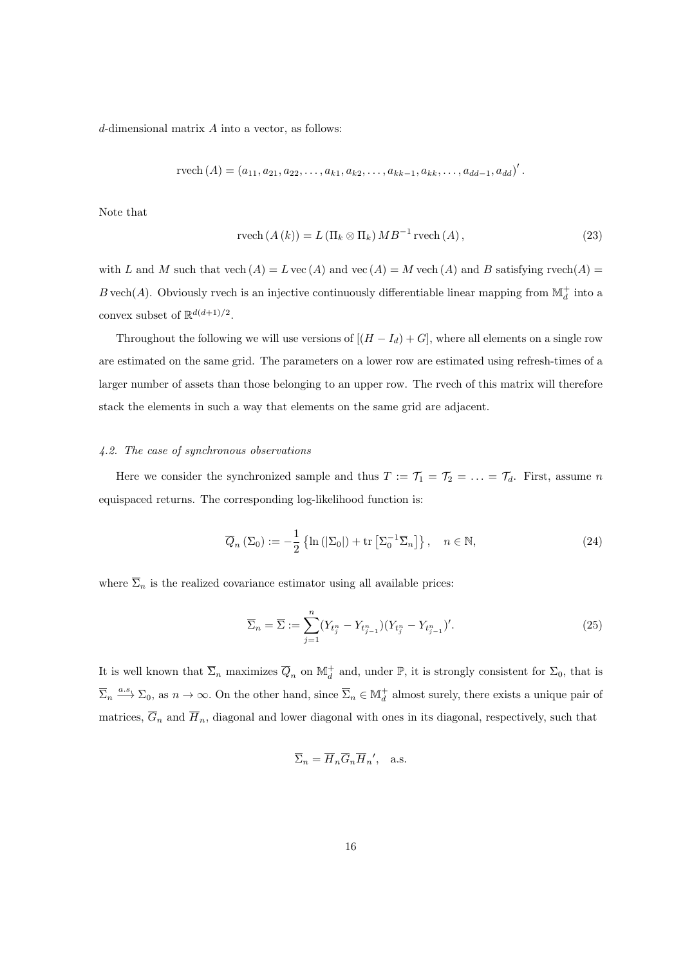$d$ -dimensional matrix  $A$  into a vector, as follows:

rvech 
$$
(A) = (a_{11}, a_{21}, a_{22}, \ldots, a_{k1}, a_{k2}, \ldots, a_{kk-1}, a_{kk}, \ldots, a_{dd-1}, a_{dd})'
$$
.

Note that

$$
\text{rvech}\left(A\left(k\right)\right) = L\left(\Pi_k \otimes \Pi_k\right) M B^{-1} \text{rvech}\left(A\right),\tag{23}
$$

with L and M such that vech  $(A) = L$  vec $(A)$  and vec $(A) = M$  vech  $(A)$  and B satisfying rvech $(A) =$ B vech(A). Obviously rvech is an injective continuously differentiable linear mapping from  $\mathbb{M}_d^+$  into a convex subset of  $\mathbb{R}^{d(d+1)/2}$ .

Throughout the following we will use versions of  $[(H - I_d) + G]$ , where all elements on a single row are estimated on the same grid. The parameters on a lower row are estimated using refresh-times of a larger number of assets than those belonging to an upper row. The rvech of this matrix will therefore stack the elements in such a way that elements on the same grid are adjacent.

## 4.2. The case of synchronous observations

Here we consider the synchronized sample and thus  $T := \mathcal{T}_1 = \mathcal{T}_2 = \ldots = \mathcal{T}_d$ . First, assume n equispaced returns. The corresponding log-likelihood function is:

$$
\overline{Q}_n(\Sigma_0) := -\frac{1}{2} \left\{ \ln \left( |\Sigma_0| \right) + \text{tr} \left[ \Sigma_0^{-1} \overline{\Sigma}_n \right] \right\}, \quad n \in \mathbb{N}, \tag{24}
$$

where  $\overline{\Sigma}_n$  is the realized covariance estimator using all available prices:

$$
\overline{\Sigma}_n = \overline{\Sigma} := \sum_{j=1}^n (Y_{t_j^n} - Y_{t_{j-1}^n})(Y_{t_j^n} - Y_{t_{j-1}^n})'.\tag{25}
$$

It is well known that  $\overline{\Sigma}_n$  maximizes  $\overline{Q}_n$  on  $\mathbb{M}_d^+$  and, under  $\mathbb{P}$ , it is strongly consistent for  $\Sigma_0$ , that is  $\overline{\Sigma}_n \stackrel{a.s.}{\longrightarrow} \Sigma_0$ , as  $n \to \infty$ . On the other hand, since  $\overline{\Sigma}_n \in M_d^+$  almost surely, there exists a unique pair of matrices,  $\overline{G}_n$  and  $\overline{H}_n$ , diagonal and lower diagonal with ones in its diagonal, respectively, such that

$$
\overline{\Sigma}_n = \overline{H}_n \overline{G}_n \overline{H}_{n}', \quad \text{a.s.}
$$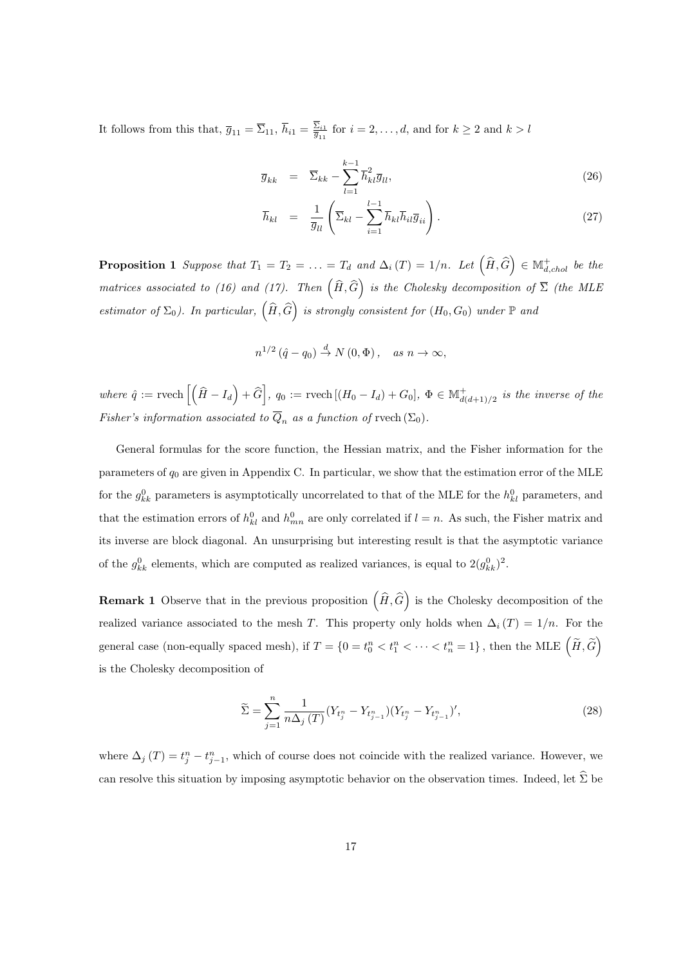It follows from this that,  $\overline{g}_{11} = \overline{\Sigma}_{11}$ ,  $\overline{h}_{i1} = \frac{\Sigma_{i1}}{\overline{g}_{11}}$  for  $i = 2, ..., d$ , and for  $k \ge 2$  and  $k > l$ 

$$
\overline{g}_{kk} = \overline{\Sigma}_{kk} - \sum_{l=1}^{k-1} \overline{h}_{kl}^2 \overline{g}_{ll}, \qquad (26)
$$

$$
\overline{h}_{kl} = \frac{1}{\overline{g}_{ll}} \left( \overline{\Sigma}_{kl} - \sum_{i=1}^{l-1} \overline{h}_{kl} \overline{h}_{il} \overline{g}_{ii} \right).
$$
 (27)

**Proposition 1** Suppose that  $T_1 = T_2 = \ldots = T_d$  and  $\Delta_i(T) = 1/n$ . Let  $(\widehat{H}, \widehat{G}) \in M_{d, chol}^+$  be the matrices associated to (16) and (17). Then  $\left(\widehat{H},\widehat{G}\right)$  is the Cholesky decomposition of  $\overline{\Sigma}$  (the MLE estimator of  $\Sigma_0$ ). In particular,  $(\widehat{H}, \widehat{G})$  is strongly consistent for  $(H_0, G_0)$  under  $\mathbb P$  and

$$
n^{1/2} (\hat{q} - q_0) \stackrel{d}{\rightarrow} N(0, \Phi), \quad \text{as } n \to \infty,
$$

where  $\hat{q} := \text{rvech}\left[\left(\widehat{H} - I_d\right) + \widehat{G}\right]$ ,  $q_0 := \text{rvech}\left[(H_0 - I_d) + G_0\right]$ ,  $\Phi \in \mathbb{M}_{d(d+1)/2}^+$  is the inverse of the Fisher's information associated to  $\overline{Q}_n$  as a function of rvech  $(\Sigma_0)$ .

General formulas for the score function, the Hessian matrix, and the Fisher information for the parameters of  $q_0$  are given in Appendix C. In particular, we show that the estimation error of the MLE for the  $g_{kk}^0$  parameters is asymptotically uncorrelated to that of the MLE for the  $h_{kl}^0$  parameters, and that the estimation errors of  $h_{kl}^0$  and  $h_{mn}^0$  are only correlated if  $l = n$ . As such, the Fisher matrix and its inverse are block diagonal. An unsurprising but interesting result is that the asymptotic variance of the  $g_{kk}^0$  elements, which are computed as realized variances, is equal to  $2(g_{kk}^0)^2$ .

**Remark 1** Observe that in the previous proposition  $(\widehat{H}, \widehat{G})$  is the Cholesky decomposition of the realized variance associated to the mesh T. This property only holds when  $\Delta_i(T) = 1/n$ . For the general case (non-equally spaced mesh), if  $T = \{0 = t_0^n < t_1^n < \cdots < t_n^n = 1\}$ , then the MLE  $\left(\widetilde{H}, \widetilde{G}\right)$ is the Cholesky decomposition of

$$
\widetilde{\Sigma} = \sum_{j=1}^{n} \frac{1}{n \Delta_j(T)} (Y_{t_j^n} - Y_{t_{j-1}^n}) (Y_{t_j^n} - Y_{t_{j-1}^n})',
$$
\n(28)

where  $\Delta_j(T) = t_j^n - t_{j-1}^n$ , which of course does not coincide with the realized variance. However, we can resolve this situation by imposing asymptotic behavior on the observation times. Indeed, let  $\hat{\Sigma}$  be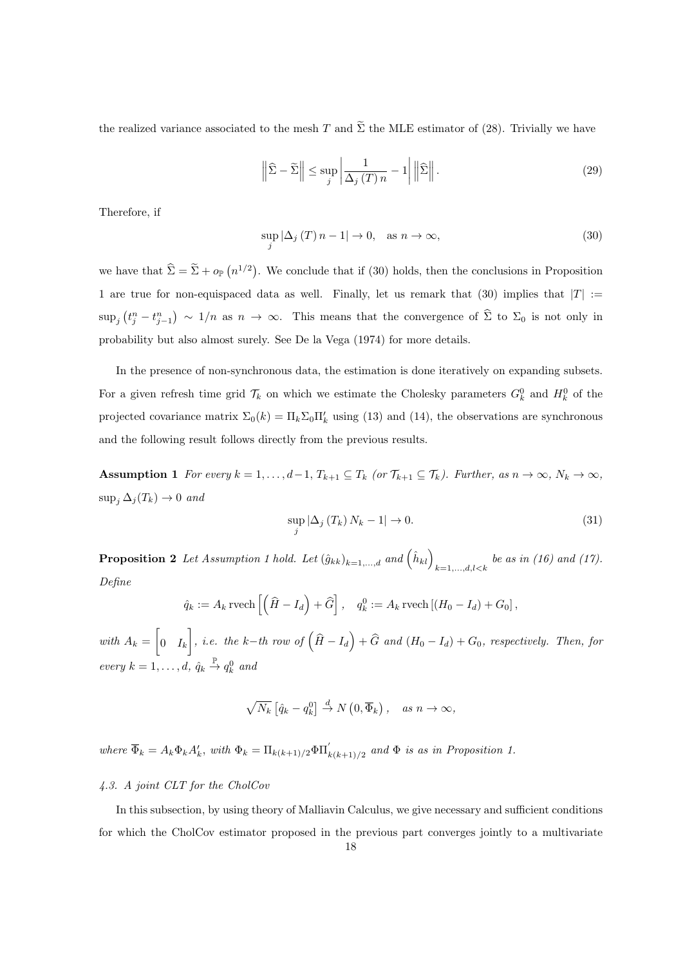the realized variance associated to the mesh T and  $\widetilde{\Sigma}$  the MLE estimator of (28). Trivially we have

$$
\left\|\widehat{\Sigma} - \widetilde{\Sigma}\right\| \le \sup_{j} \left| \frac{1}{\Delta_j(T) n} - 1\right| \left\|\widehat{\Sigma}\right\|.
$$
 (29)

Therefore, if

$$
\sup_{j} |\Delta_{j}(T) n - 1| \to 0, \quad \text{as } n \to \infty,
$$
\n(30)

we have that  $\hat{\Sigma} = \tilde{\Sigma} + o_{\mathbb{P}}(n^{1/2})$ . We conclude that if (30) holds, then the conclusions in Proposition 1 are true for non-equispaced data as well. Finally, let us remark that  $(30)$  implies that  $|T| :=$  $\sup_j (t_j^n - t_{j-1}^n) \sim 1/n$  as  $n \to \infty$ . This means that the convergence of  $\widehat{\Sigma}$  to  $\Sigma_0$  is not only in probability but also almost surely. See De la Vega (1974) for more details.

In the presence of non-synchronous data, the estimation is done iteratively on expanding subsets. For a given refresh time grid  $\mathcal{T}_k$  on which we estimate the Cholesky parameters  $G_k^0$  and  $H_k^0$  of the projected covariance matrix  $\Sigma_0(k) = \Pi_k \Sigma_0 \Pi'_k$  using (13) and (14), the observations are synchronous and the following result follows directly from the previous results.

Assumption 1 For every  $k = 1, ..., d-1$ ,  $T_{k+1} \subseteq T_k$  (or  $\mathcal{T}_{k+1} \subseteq \mathcal{T}_k$ ). Further, as  $n \to \infty$ ,  $N_k \to \infty$ ,  $\sup_j \Delta_j(T_k) \to 0$  and

$$
\sup_{j} |\Delta_{j}(T_{k}) N_{k} - 1| \to 0. \tag{31}
$$

**Proposition 2** Let Assumption 1 hold. Let  $(\hat{g}_{kk})_{k=1,\dots,d}$  and  $(\hat{h}_{kl})_{k=1,\dots,d,l\leq k}$  be as in (16) and (17). Define

$$
\hat{q}_k := A_k \operatorname{rvech}\left[\left(\widehat{H} - I_d\right) + \widehat{G}\right], \quad q_k^0 := A_k \operatorname{rvech}\left[\left(H_0 - I_d\right) + G_0\right],
$$

with  $A_k =$  $0 \quad I_k$  $\Bigg], i.e.$  the k−th row of  $(\widehat{H} - I_d) + \widehat{G}$  and  $(H_0 - I_d) + G_0$ , respectively. Then, for every  $k = 1, ..., d, \hat{q}_k \stackrel{\mathbb{P}}{\rightarrow} q_k^0$  and

$$
\sqrt{N_k} \left[ \hat{q}_k - q_k^0 \right] \stackrel{d}{\to} N\left(0, \overline{\Phi}_k\right), \quad \text{as } n \to \infty,
$$

where  $\overline{\Phi}_k = A_k \Phi_k A'_k$ , with  $\Phi_k = \Pi_{k(k+1)/2} \Phi \Pi'_{k(k+1)/2}$  and  $\Phi$  is as in Proposition 1.

## 4.3. A joint CLT for the CholCov

In this subsection, by using theory of Malliavin Calculus, we give necessary and sufficient conditions for which the CholCov estimator proposed in the previous part converges jointly to a multivariate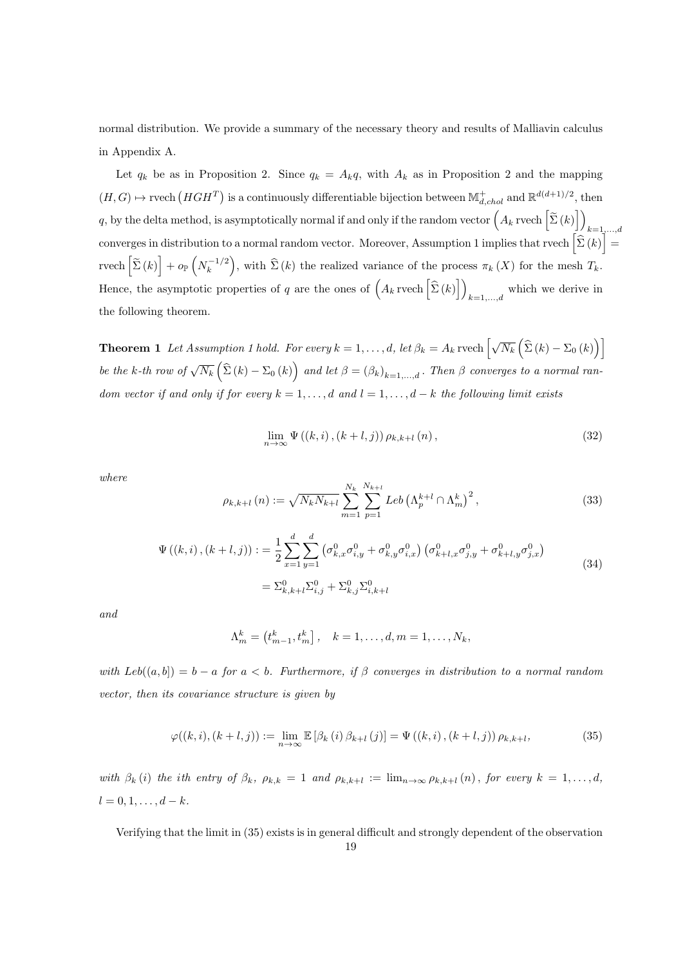normal distribution. We provide a summary of the necessary theory and results of Malliavin calculus in Appendix A.

Let  $q_k$  be as in Proposition 2. Since  $q_k = A_k q$ , with  $A_k$  as in Proposition 2 and the mapping  $(H, G) \mapsto$  rvech  $(HGH^T)$  is a continuously differentiable bijection between  $\mathbb{M}^+_{d, chol}$  and  $\mathbb{R}^{d(d+1)/2}$ , then  $q,$  by the delta method, is asymptotically normal if and only if the random vector  $\Big( A_k$  rvech  $\Big[ \widetilde\Sigma\left( k\right) \Big] \Big)$  $k=1,\ldots,d$ converges in distribution to a normal random vector. Moreover, Assumption 1 implies that rvech  $\left[\widehat{\Sigma}\left(k\right)\right]=$  $\text{rvech}\left[\widetilde{\Sigma}\left(k\right)\right]+o_{\mathbb{P}}\left(N_{k}^{-1/2}\right)$  $\binom{n-1}{k}$ , with  $\widehat{\Sigma}(k)$  the realized variance of the process  $\pi_k(X)$  for the mesh  $T_k$ . Hence, the asymptotic properties of q are the ones of  $\left(A_k \text{ rvech}\left[\widehat{\Sigma}\left(k\right)\right]\right)$ which we derive in<br> $k=1,\ldots,d$ the following theorem.

**Theorem 1** Let Assumption 1 hold. For every  $k = 1, ..., d$ , let  $\beta_k = A_k$  rvech  $\left[\sqrt{N_k}\left(\widehat{\Sigma}(k) - \Sigma_0(k)\right)\right]$ be the k-th row of  $\sqrt{N_k}$   $(\hat{\Sigma}(k) - \Sigma_0(k))$  and let  $\beta = (\beta_k)_{k=1,\dots,d}$ . Then  $\beta$  converges to a normal random vector if and only if for every  $k = 1, \ldots, d$  and  $l = 1, \ldots, d - k$  the following limit exists

$$
\lim_{n \to \infty} \Psi((k, i), (k + l, j)) \rho_{k, k + l}(n), \qquad (32)
$$

where

$$
\rho_{k,k+l}(n) := \sqrt{N_k N_{k+l}} \sum_{m=1}^{N_k} \sum_{p=1}^{N_{k+l}} Leb \left(\Lambda_p^{k+l} \cap \Lambda_m^k\right)^2, \tag{33}
$$

$$
\Psi((k,i),(k+l,j)) := \frac{1}{2} \sum_{x=1}^{d} \sum_{y=1}^{d} \left( \sigma_{k,x}^{0} \sigma_{i,y}^{0} + \sigma_{k,y}^{0} \sigma_{i,x}^{0} \right) \left( \sigma_{k+l,x}^{0} \sigma_{j,y}^{0} + \sigma_{k+l,y}^{0} \sigma_{j,x}^{0} \right)
$$
\n
$$
= \Sigma_{k,k+l}^{0} \Sigma_{i,j}^{0} + \Sigma_{k,j}^{0} \Sigma_{i,k+l}^{0}
$$
\n(34)

and

$$
\Lambda_m^k = (t_{m-1}^k, t_m^k], \quad k = 1, \ldots, d, m = 1, \ldots, N_k,
$$

with  $Leb((a, b]) = b - a$  for  $a < b$ . Furthermore, if  $\beta$  converges in distribution to a normal random vector, then its covariance structure is given by

$$
\varphi((k,i),(k+l,j)) := \lim_{n \to \infty} \mathbb{E} \left[ \beta_k(i) \, \beta_{k+l}(j) \right] = \Psi((k,i),(k+l,j)) \, \rho_{k,k+l},\tag{35}
$$

with  $\beta_k(i)$  the ith entry of  $\beta_k$ ,  $\rho_{k,k} = 1$  and  $\rho_{k,k+l} := \lim_{n \to \infty} \rho_{k,k+l}(n)$ , for every  $k = 1, \ldots, d$ ,  $l = 0, 1, \ldots, d - k.$ 

Verifying that the limit in (35) exists is in general difficult and strongly dependent of the observation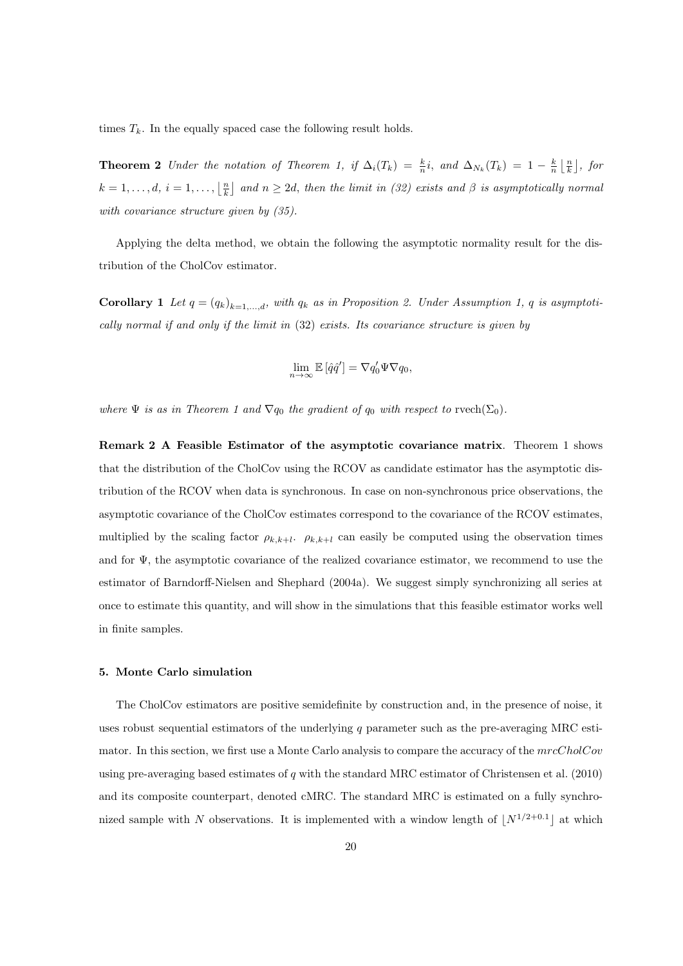times  $T_k$ . In the equally spaced case the following result holds.

**Theorem 2** Under the notation of Theorem 1, if  $\Delta_i(T_k) = \frac{k}{n}i$ , and  $\Delta_{N_k}(T_k) = 1 - \frac{k}{n} \left\lfloor \frac{n}{k} \right\rfloor$ , for  $k = 1, \ldots, d, i = 1, \ldots, \lfloor \frac{n}{k} \rfloor$  and  $n \geq 2d$ , then the limit in (32) exists and  $\beta$  is asymptotically normal with covariance structure given by  $(35)$ .

Applying the delta method, we obtain the following the asymptotic normality result for the distribution of the CholCov estimator.

**Corollary 1** Let  $q = (q_k)_{k=1,\dots,d}$ , with  $q_k$  as in Proposition 2. Under Assumption 1, q is asymptotically normal if and only if the limit in (32) exists. Its covariance structure is given by

$$
\lim_{n \to \infty} \mathbb{E} \left[ \hat{q} \hat{q}' \right] = \nabla q'_0 \Psi \nabla q_0,
$$

where  $\Psi$  is as in Theorem 1 and  $\nabla q_0$  the gradient of  $q_0$  with respect to rvech( $\Sigma_0$ ).

Remark 2 A Feasible Estimator of the asymptotic covariance matrix. Theorem 1 shows that the distribution of the CholCov using the RCOV as candidate estimator has the asymptotic distribution of the RCOV when data is synchronous. In case on non-synchronous price observations, the asymptotic covariance of the CholCov estimates correspond to the covariance of the RCOV estimates, multiplied by the scaling factor  $\rho_{k,k+l}$ .  $\rho_{k,k+l}$  can easily be computed using the observation times and for Ψ, the asymptotic covariance of the realized covariance estimator, we recommend to use the estimator of Barndorff-Nielsen and Shephard (2004a). We suggest simply synchronizing all series at once to estimate this quantity, and will show in the simulations that this feasible estimator works well in finite samples.

## 5. Monte Carlo simulation

The CholCov estimators are positive semidefinite by construction and, in the presence of noise, it uses robust sequential estimators of the underlying  $q$  parameter such as the pre-averaging MRC estimator. In this section, we first use a Monte Carlo analysis to compare the accuracy of the  $mrCholCov$ using pre-averaging based estimates of  $q$  with the standard MRC estimator of Christensen et al. (2010) and its composite counterpart, denoted cMRC. The standard MRC is estimated on a fully synchronized sample with N observations. It is implemented with a window length of  $\lfloor N^{1/2+0.1} \rfloor$  at which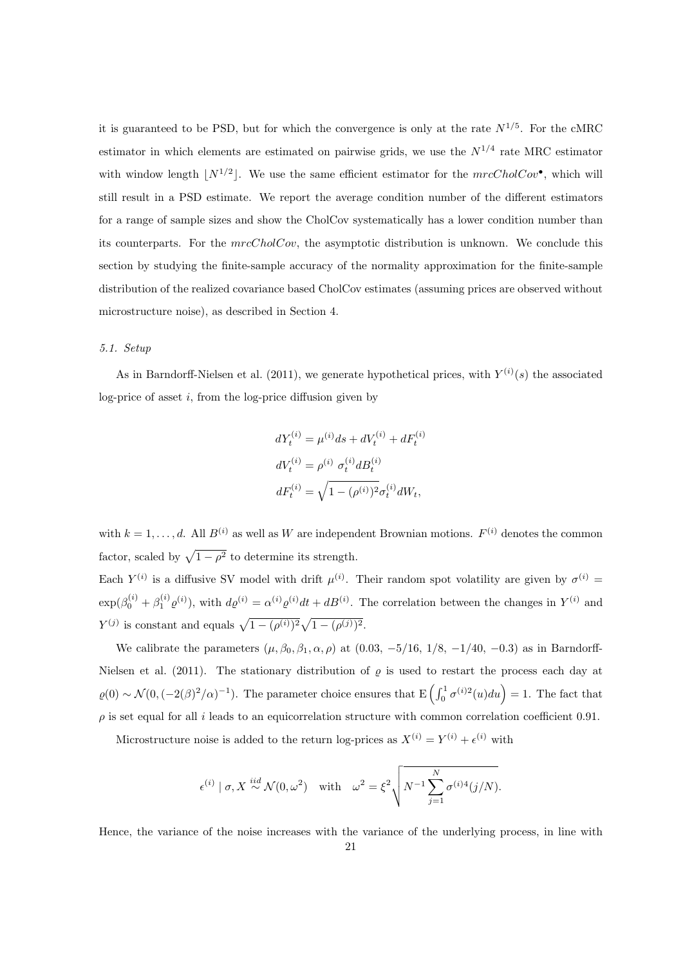it is guaranteed to be PSD, but for which the convergence is only at the rate  $N^{1/5}$ . For the cMRC estimator in which elements are estimated on pairwise grids, we use the  $N^{1/4}$  rate MRC estimator with window length  $\lfloor N^{1/2} \rfloor$ . We use the same efficient estimator for the  $mrcCholCov^{\bullet}$ , which will still result in a PSD estimate. We report the average condition number of the different estimators for a range of sample sizes and show the CholCov systematically has a lower condition number than its counterparts. For the  $mrcCholCov$ , the asymptotic distribution is unknown. We conclude this section by studying the finite-sample accuracy of the normality approximation for the finite-sample distribution of the realized covariance based CholCov estimates (assuming prices are observed without microstructure noise), as described in Section 4.

# 5.1. Setup

As in Barndorff-Nielsen et al. (2011), we generate hypothetical prices, with  $Y^{(i)}(s)$  the associated log-price of asset  $i$ , from the log-price diffusion given by

$$
dY_t^{(i)} = \mu^{(i)}ds + dV_t^{(i)} + dF_t^{(i)}
$$
  
\n
$$
dV_t^{(i)} = \rho^{(i)} \sigma_t^{(i)} dB_t^{(i)}
$$
  
\n
$$
dF_t^{(i)} = \sqrt{1 - (\rho^{(i)})^2} \sigma_t^{(i)} dW_t,
$$

with  $k = 1, \ldots, d$ . All  $B^{(i)}$  as well as W are independent Brownian motions.  $F^{(i)}$  denotes the common factor, scaled by  $\sqrt{1-\rho^2}$  to determine its strength.

Each  $Y^{(i)}$  is a diffusive SV model with drift  $\mu^{(i)}$ . Their random spot volatility are given by  $\sigma^{(i)}$  =  $\exp(\beta_0^{(i)} + \beta_1^{(i)}\varrho^{(i)})$ , with  $d\varrho^{(i)} = \alpha^{(i)}\varrho^{(i)}dt + dB^{(i)}$ . The correlation between the changes in  $Y^{(i)}$  and  $Y^{(j)}$  is constant and equals  $\sqrt{1 - (\rho^{(i)})^2} \sqrt{1 - (\rho^{(j)})^2}$ .

We calibrate the parameters  $(\mu, \beta_0, \beta_1, \alpha, \rho)$  at  $(0.03, -5/16, 1/8, -1/40, -0.3)$  as in Barndorff-Nielsen et al. (2011). The stationary distribution of  $\rho$  is used to restart the process each day at  $\varrho(0) \sim \mathcal{N}(0, \left(-2(\beta)^2/\alpha\right)^{-1})$ . The parameter choice ensures that  $E\left(\int_0^1 \sigma^{(i)2}(u) du\right) = 1$ . The fact that  $\rho$  is set equal for all i leads to an equicorrelation structure with common correlation coefficient 0.91.

Microstructure noise is added to the return log-prices as  $X^{(i)} = Y^{(i)} + \epsilon^{(i)}$  with

$$
\epsilon^{(i)} \mid \sigma, X \stackrel{iid}{\sim} \mathcal{N}(0, \omega^2) \quad \text{with} \quad \omega^2 = \xi^2 \sqrt{N^{-1} \sum_{j=1}^N \sigma^{(i)4}(j/N)}.
$$

Hence, the variance of the noise increases with the variance of the underlying process, in line with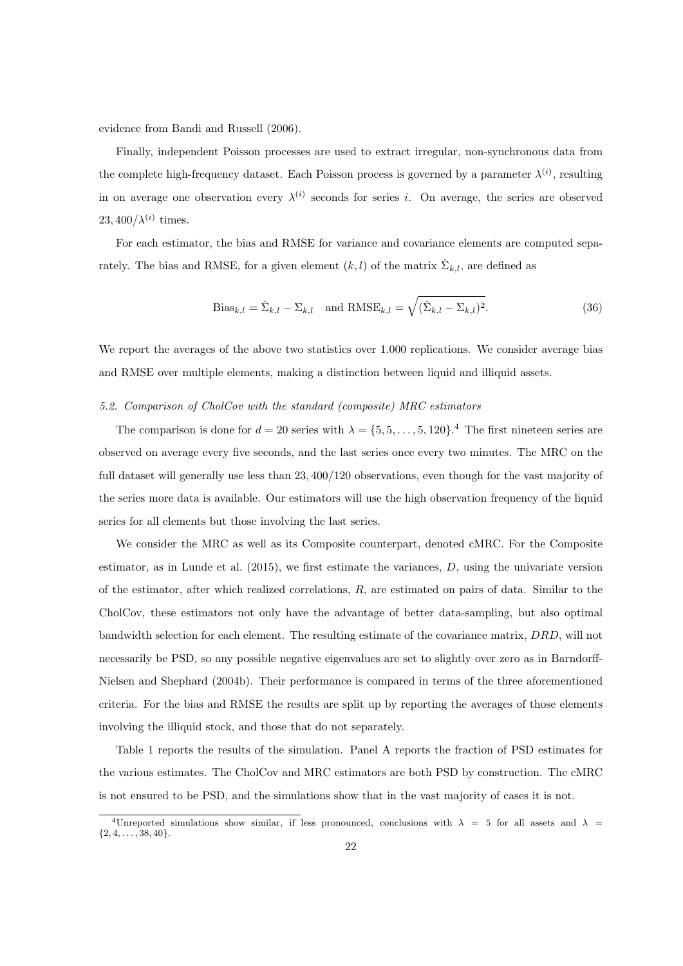evidence from Bandi and Russell (2006).

Finally, independent Poisson processes are used to extract irregular, non-synchronous data from the complete high-frequency dataset. Each Poisson process is governed by a parameter  $\lambda^{(i)}$ , resulting in on average one observation every  $\lambda^{(i)}$  seconds for series *i*. On average, the series are observed  $23,400/\lambda^{(i)}$  times.

For each estimator, the bias and RMSE for variance and covariance elements are computed separately. The bias and RMSE, for a given element  $(k, l)$  of the matrix  $\hat{\Sigma}_{k,l}$ , are defined as

Bias<sub>k,l</sub> = 
$$
\hat{\Sigma}_{k,l} - \Sigma_{k,l}
$$
 and RMSE<sub>k,l</sub> =  $\sqrt{(\hat{\Sigma}_{k,l} - \Sigma_{k,l})^2}$ . (36)

We report the averages of the above two statistics over 1.000 replications. We consider average bias and RMSE over multiple elements, making a distinction between liquid and illiquid assets.

# 5.2. Comparison of CholCov with the standard (composite) MRC estimators

The comparison is done for  $d = 20$  series with  $\lambda = \{5, 5, \ldots, 5, 120\}$ .<sup>4</sup> The first nineteen series are observed on average every five seconds, and the last series once every two minutes. The MRC on the full dataset will generally use less than 23, 400/120 observations, even though for the vast majority of the series more data is available. Our estimators will use the high observation frequency of the liquid series for all elements but those involving the last series.

We consider the MRC as well as its Composite counterpart, denoted cMRC. For the Composite estimator, as in Lunde et al.  $(2015)$ , we first estimate the variances,  $D$ , using the univariate version of the estimator, after which realized correlations, R, are estimated on pairs of data. Similar to the CholCov, these estimators not only have the advantage of better data-sampling, but also optimal bandwidth selection for each element. The resulting estimate of the covariance matrix, DRD, will not necessarily be PSD, so any possible negative eigenvalues are set to slightly over zero as in Barndorff-Nielsen and Shephard (2004b). Their performance is compared in terms of the three aforementioned criteria. For the bias and RMSE the results are split up by reporting the averages of those elements involving the illiquid stock, and those that do not separately.

Table 1 reports the results of the simulation. Panel A reports the fraction of PSD estimates for the various estimates. The CholCov and MRC estimators are both PSD by construction. The cMRC is not ensured to be PSD, and the simulations show that in the vast majority of cases it is not.

<sup>&</sup>lt;sup>4</sup>Unreported simulations show similar, if less pronounced, conclusions with  $\lambda = 5$  for all assets and  $\lambda =$  $\{2, 4, \ldots, 38, 40\}.$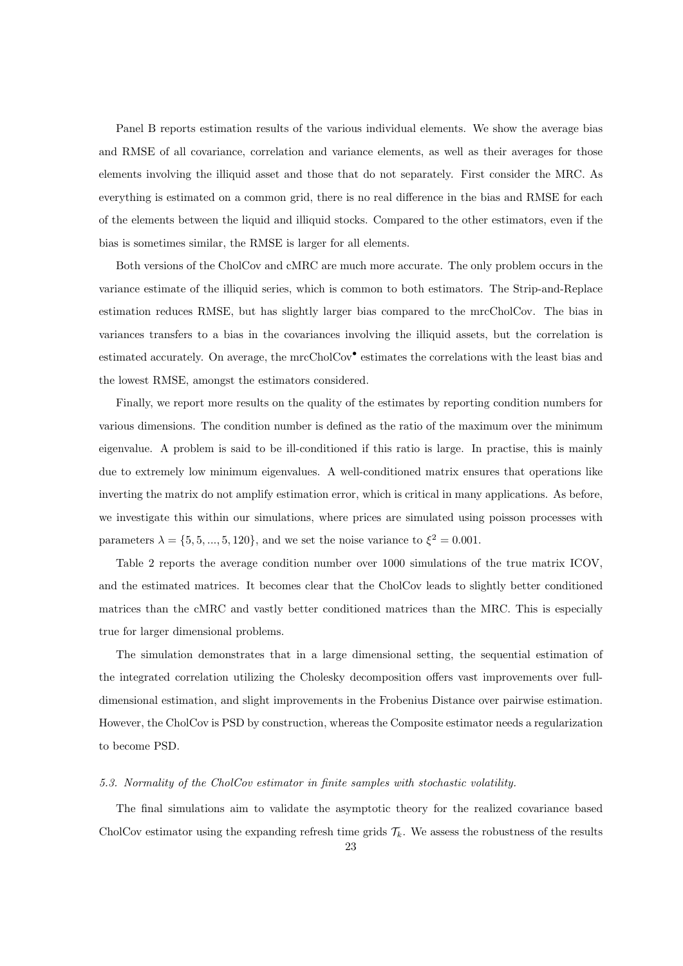Panel B reports estimation results of the various individual elements. We show the average bias and RMSE of all covariance, correlation and variance elements, as well as their averages for those elements involving the illiquid asset and those that do not separately. First consider the MRC. As everything is estimated on a common grid, there is no real difference in the bias and RMSE for each of the elements between the liquid and illiquid stocks. Compared to the other estimators, even if the bias is sometimes similar, the RMSE is larger for all elements.

Both versions of the CholCov and cMRC are much more accurate. The only problem occurs in the variance estimate of the illiquid series, which is common to both estimators. The Strip-and-Replace estimation reduces RMSE, but has slightly larger bias compared to the mrcCholCov. The bias in variances transfers to a bias in the covariances involving the illiquid assets, but the correlation is estimated accurately. On average, the mrcCholCov<sup>•</sup> estimates the correlations with the least bias and the lowest RMSE, amongst the estimators considered.

Finally, we report more results on the quality of the estimates by reporting condition numbers for various dimensions. The condition number is defined as the ratio of the maximum over the minimum eigenvalue. A problem is said to be ill-conditioned if this ratio is large. In practise, this is mainly due to extremely low minimum eigenvalues. A well-conditioned matrix ensures that operations like inverting the matrix do not amplify estimation error, which is critical in many applications. As before, we investigate this within our simulations, where prices are simulated using poisson processes with parameters  $\lambda = \{5, 5, ..., 5, 120\}$ , and we set the noise variance to  $\xi^2 = 0.001$ .

Table 2 reports the average condition number over 1000 simulations of the true matrix ICOV, and the estimated matrices. It becomes clear that the CholCov leads to slightly better conditioned matrices than the cMRC and vastly better conditioned matrices than the MRC. This is especially true for larger dimensional problems.

The simulation demonstrates that in a large dimensional setting, the sequential estimation of the integrated correlation utilizing the Cholesky decomposition offers vast improvements over fulldimensional estimation, and slight improvements in the Frobenius Distance over pairwise estimation. However, the CholCov is PSD by construction, whereas the Composite estimator needs a regularization to become PSD.

#### 5.3. Normality of the CholCov estimator in finite samples with stochastic volatility.

The final simulations aim to validate the asymptotic theory for the realized covariance based CholCov estimator using the expanding refresh time grids  $\mathcal{T}_k$ . We assess the robustness of the results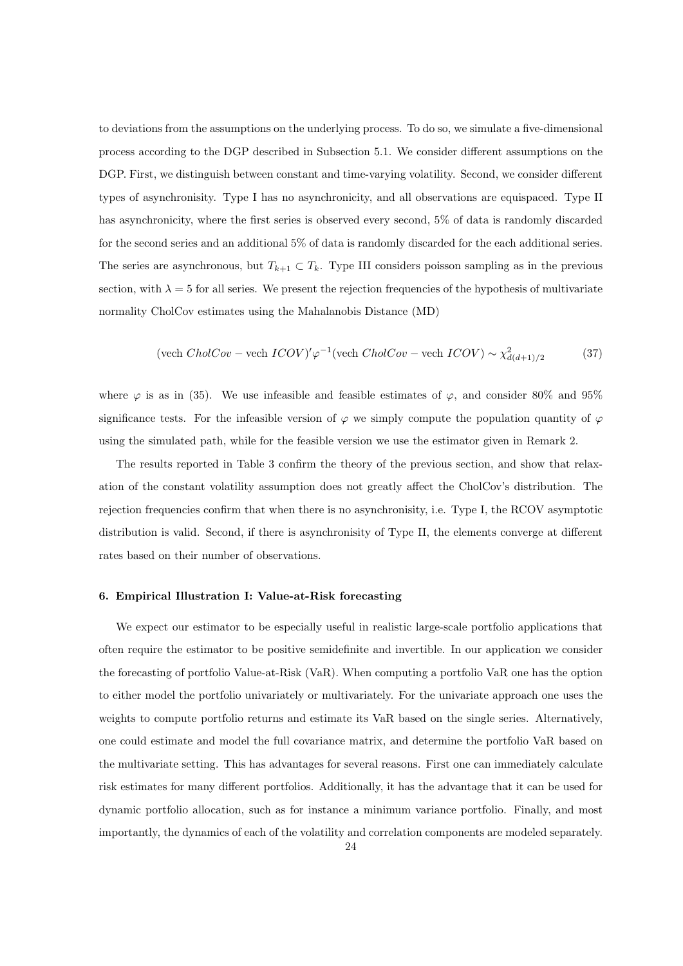to deviations from the assumptions on the underlying process. To do so, we simulate a five-dimensional process according to the DGP described in Subsection 5.1. We consider different assumptions on the DGP. First, we distinguish between constant and time-varying volatility. Second, we consider different types of asynchronisity. Type I has no asynchronicity, and all observations are equispaced. Type II has asynchronicity, where the first series is observed every second, 5% of data is randomly discarded for the second series and an additional 5% of data is randomly discarded for the each additional series. The series are asynchronous, but  $T_{k+1} \subset T_k$ . Type III considers poisson sampling as in the previous section, with  $\lambda = 5$  for all series. We present the rejection frequencies of the hypothesis of multivariate normality CholCov estimates using the Mahalanobis Distance (MD)

$$
(\text{vech } CholCov - \text{vech } ICOV)'\varphi^{-1}(\text{vech } CholCov - \text{vech } ICOV) \sim \chi^2_{d(d+1)/2}
$$
 (37)

where  $\varphi$  is as in (35). We use infeasible and feasible estimates of  $\varphi$ , and consider 80% and 95% significance tests. For the infeasible version of  $\varphi$  we simply compute the population quantity of  $\varphi$ using the simulated path, while for the feasible version we use the estimator given in Remark 2.

The results reported in Table 3 confirm the theory of the previous section, and show that relaxation of the constant volatility assumption does not greatly affect the CholCov's distribution. The rejection frequencies confirm that when there is no asynchronisity, i.e. Type I, the RCOV asymptotic distribution is valid. Second, if there is asynchronisity of Type II, the elements converge at different rates based on their number of observations.

# 6. Empirical Illustration I: Value-at-Risk forecasting

We expect our estimator to be especially useful in realistic large-scale portfolio applications that often require the estimator to be positive semidefinite and invertible. In our application we consider the forecasting of portfolio Value-at-Risk (VaR). When computing a portfolio VaR one has the option to either model the portfolio univariately or multivariately. For the univariate approach one uses the weights to compute portfolio returns and estimate its VaR based on the single series. Alternatively, one could estimate and model the full covariance matrix, and determine the portfolio VaR based on the multivariate setting. This has advantages for several reasons. First one can immediately calculate risk estimates for many different portfolios. Additionally, it has the advantage that it can be used for dynamic portfolio allocation, such as for instance a minimum variance portfolio. Finally, and most importantly, the dynamics of each of the volatility and correlation components are modeled separately.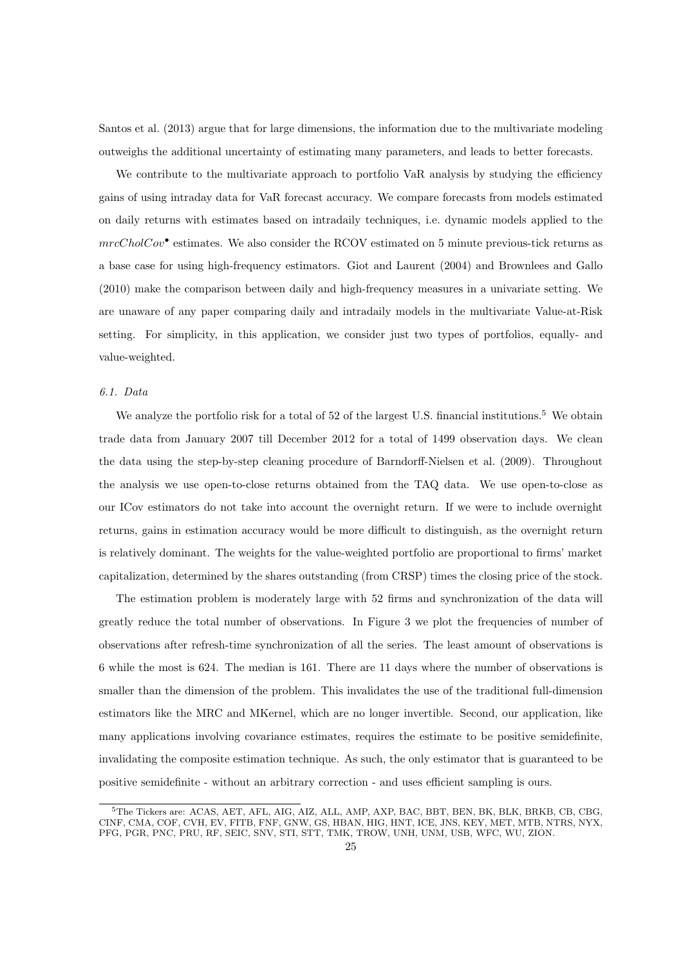Santos et al. (2013) argue that for large dimensions, the information due to the multivariate modeling outweighs the additional uncertainty of estimating many parameters, and leads to better forecasts.

We contribute to the multivariate approach to portfolio VaR analysis by studying the efficiency gains of using intraday data for VaR forecast accuracy. We compare forecasts from models estimated on daily returns with estimates based on intradaily techniques, i.e. dynamic models applied to the  $mrcCholCov^{\bullet}$  estimates. We also consider the RCOV estimated on 5 minute previous-tick returns as a base case for using high-frequency estimators. Giot and Laurent (2004) and Brownlees and Gallo (2010) make the comparison between daily and high-frequency measures in a univariate setting. We are unaware of any paper comparing daily and intradaily models in the multivariate Value-at-Risk setting. For simplicity, in this application, we consider just two types of portfolios, equally- and value-weighted.

#### 6.1. Data

We analyze the portfolio risk for a total of 52 of the largest U.S. financial institutions.<sup>5</sup> We obtain trade data from January 2007 till December 2012 for a total of 1499 observation days. We clean the data using the step-by-step cleaning procedure of Barndorff-Nielsen et al. (2009). Throughout the analysis we use open-to-close returns obtained from the TAQ data. We use open-to-close as our ICov estimators do not take into account the overnight return. If we were to include overnight returns, gains in estimation accuracy would be more difficult to distinguish, as the overnight return is relatively dominant. The weights for the value-weighted portfolio are proportional to firms' market capitalization, determined by the shares outstanding (from CRSP) times the closing price of the stock.

The estimation problem is moderately large with 52 firms and synchronization of the data will greatly reduce the total number of observations. In Figure 3 we plot the frequencies of number of observations after refresh-time synchronization of all the series. The least amount of observations is 6 while the most is 624. The median is 161. There are 11 days where the number of observations is smaller than the dimension of the problem. This invalidates the use of the traditional full-dimension estimators like the MRC and MKernel, which are no longer invertible. Second, our application, like many applications involving covariance estimates, requires the estimate to be positive semidefinite, invalidating the composite estimation technique. As such, the only estimator that is guaranteed to be positive semidefinite - without an arbitrary correction - and uses efficient sampling is ours.

<sup>5</sup>The Tickers are: ACAS, AET, AFL, AIG, AIZ, ALL, AMP, AXP, BAC, BBT, BEN, BK, BLK, BRKB, CB, CBG, CINF, CMA, COF, CVH, EV, FITB, FNF, GNW, GS, HBAN, HIG, HNT, ICE, JNS, KEY, MET, MTB, NTRS, NYX, PFG, PGR, PNC, PRU, RF, SEIC, SNV, STI, STT, TMK, TROW, UNH, UNM, USB, WFC, WU, ZION.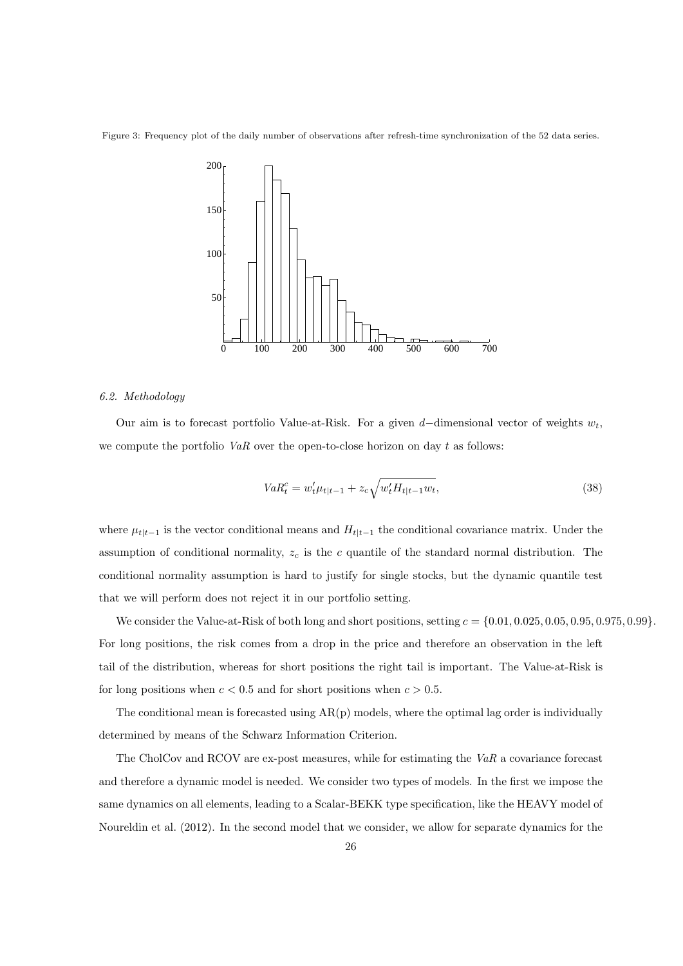Figure 3: Frequency plot of the daily number of observations after refresh-time synchronization of the 52 data series.



## 6.2. Methodology

Our aim is to forecast portfolio Value-at-Risk. For a given d–dimensional vector of weights  $w_t$ , we compute the portfolio  $VaR$  over the open-to-close horizon on day t as follows:

$$
VaR_t^c = w_t' \mu_{t|t-1} + z_c \sqrt{w_t' H_{t|t-1} w_t},\tag{38}
$$

where  $\mu_{t|t-1}$  is the vector conditional means and  $H_{t|t-1}$  the conditional covariance matrix. Under the assumption of conditional normality,  $z_c$  is the c quantile of the standard normal distribution. The conditional normality assumption is hard to justify for single stocks, but the dynamic quantile test that we will perform does not reject it in our portfolio setting.

We consider the Value-at-Risk of both long and short positions, setting  $c = \{0.01, 0.025, 0.05, 0.95, 0.975, 0.99\}$ . For long positions, the risk comes from a drop in the price and therefore an observation in the left tail of the distribution, whereas for short positions the right tail is important. The Value-at-Risk is for long positions when  $c < 0.5$  and for short positions when  $c > 0.5$ .

The conditional mean is forecasted using  $AR(p)$  models, where the optimal lag order is individually determined by means of the Schwarz Information Criterion.

The CholCov and RCOV are ex-post measures, while for estimating the  $VaR$  a covariance forecast and therefore a dynamic model is needed. We consider two types of models. In the first we impose the same dynamics on all elements, leading to a Scalar-BEKK type specification, like the HEAVY model of Noureldin et al. (2012). In the second model that we consider, we allow for separate dynamics for the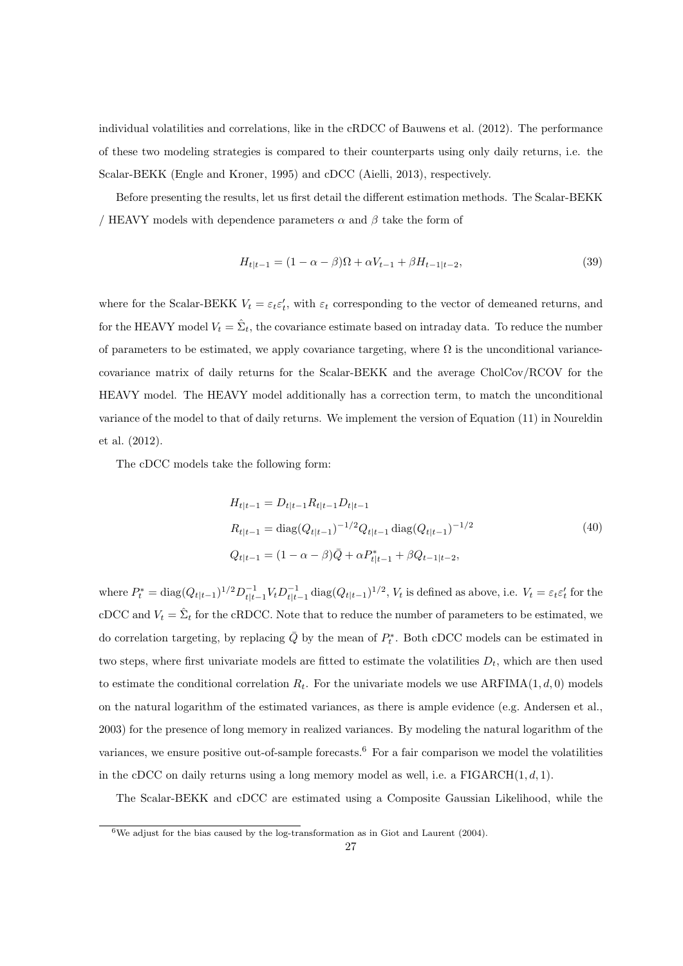individual volatilities and correlations, like in the cRDCC of Bauwens et al. (2012). The performance of these two modeling strategies is compared to their counterparts using only daily returns, i.e. the Scalar-BEKK (Engle and Kroner, 1995) and cDCC (Aielli, 2013), respectively.

Before presenting the results, let us first detail the different estimation methods. The Scalar-BEKK / HEAVY models with dependence parameters  $\alpha$  and  $\beta$  take the form of

$$
H_{t|t-1} = (1 - \alpha - \beta)\Omega + \alpha V_{t-1} + \beta H_{t-1|t-2},\tag{39}
$$

where for the Scalar-BEKK  $V_t = \varepsilon_t \varepsilon'_t$ , with  $\varepsilon_t$  corresponding to the vector of demeaned returns, and for the HEAVY model  $V_t = \hat{\Sigma}_t$ , the covariance estimate based on intraday data. To reduce the number of parameters to be estimated, we apply covariance targeting, where  $\Omega$  is the unconditional variancecovariance matrix of daily returns for the Scalar-BEKK and the average CholCov/RCOV for the HEAVY model. The HEAVY model additionally has a correction term, to match the unconditional variance of the model to that of daily returns. We implement the version of Equation (11) in Noureldin et al. (2012).

The cDCC models take the following form:

$$
H_{t|t-1} = D_{t|t-1} R_{t|t-1} D_{t|t-1}
$$
  
\n
$$
R_{t|t-1} = \text{diag}(Q_{t|t-1})^{-1/2} Q_{t|t-1} \text{diag}(Q_{t|t-1})^{-1/2}
$$
  
\n
$$
Q_{t|t-1} = (1 - \alpha - \beta)\bar{Q} + \alpha P_{t|t-1}^* + \beta Q_{t-1|t-2},
$$
\n(40)

where  $P_t^* = \text{diag}(Q_{t|t-1})^{1/2} D_{t|t-1}^{-1} V_t D_{t|t-1}^{-1} \text{diag}(Q_{t|t-1})^{1/2}$ ,  $V_t$  is defined as above, i.e.  $V_t = \varepsilon_t \varepsilon_t'$  for the cDCC and  $V_t = \hat{\Sigma}_t$  for the cRDCC. Note that to reduce the number of parameters to be estimated, we do correlation targeting, by replacing  $\overline{Q}$  by the mean of  $P_t^*$ . Both cDCC models can be estimated in two steps, where first univariate models are fitted to estimate the volatilities  $D_t$ , which are then used to estimate the conditional correlation  $R_t$ . For the univariate models we use  $ARFIMA(1, d, 0)$  models on the natural logarithm of the estimated variances, as there is ample evidence (e.g. Andersen et al., 2003) for the presence of long memory in realized variances. By modeling the natural logarithm of the variances, we ensure positive out-of-sample forecasts.<sup>6</sup> For a fair comparison we model the volatilities in the cDCC on daily returns using a long memory model as well, i.e. a  $FIGARCH(1, d, 1)$ .

The Scalar-BEKK and cDCC are estimated using a Composite Gaussian Likelihood, while the

 $6$ We adjust for the bias caused by the log-transformation as in Giot and Laurent (2004).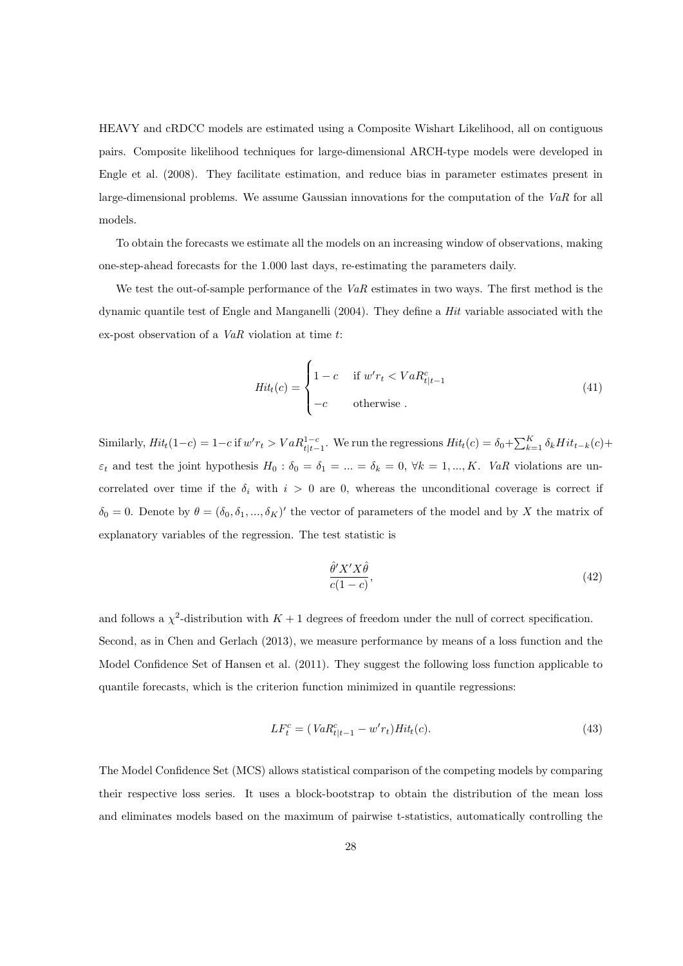HEAVY and cRDCC models are estimated using a Composite Wishart Likelihood, all on contiguous pairs. Composite likelihood techniques for large-dimensional ARCH-type models were developed in Engle et al. (2008). They facilitate estimation, and reduce bias in parameter estimates present in large-dimensional problems. We assume Gaussian innovations for the computation of the  $VaR$  for all models.

To obtain the forecasts we estimate all the models on an increasing window of observations, making one-step-ahead forecasts for the 1.000 last days, re-estimating the parameters daily.

We test the out-of-sample performance of the  $VaR$  estimates in two ways. The first method is the dynamic quantile test of Engle and Manganelli (2004). They define a Hit variable associated with the ex-post observation of a  $VaR$  violation at time t:

$$
Hit_t(c) = \begin{cases} 1 - c & \text{if } w'r_t < VaR_{t|t-1}^c \\ -c & \text{otherwise} \end{cases}
$$
 (41)

Similarly,  $Hit_t(1-c) = 1-c$  if  $w'r_t > VaR_{t|t-1}^{1-c}$ . We run the regressions  $Hit_t(c) = \delta_0 + \sum_{k=1}^{K} \delta_k Hit_{t-k}(c) +$  $\varepsilon_t$  and test the joint hypothesis  $H_0$ :  $\delta_0 = \delta_1 = ... = \delta_k = 0, \forall k = 1, ..., K$ . VaR violations are uncorrelated over time if the  $\delta_i$  with  $i > 0$  are 0, whereas the unconditional coverage is correct if  $\delta_0 = 0$ . Denote by  $\theta = (\delta_0, \delta_1, ..., \delta_K)'$  the vector of parameters of the model and by X the matrix of explanatory variables of the regression. The test statistic is

$$
\frac{\hat{\theta}' X' X \hat{\theta}}{c(1-c)},\tag{42}
$$

and follows a  $\chi^2$ -distribution with  $K+1$  degrees of freedom under the null of correct specification. Second, as in Chen and Gerlach (2013), we measure performance by means of a loss function and the Model Confidence Set of Hansen et al. (2011). They suggest the following loss function applicable to quantile forecasts, which is the criterion function minimized in quantile regressions:

$$
LF_t^c = (VaR_{t|t-1}^c - w'r_t)Hit_t(c).
$$
\n(43)

The Model Confidence Set (MCS) allows statistical comparison of the competing models by comparing their respective loss series. It uses a block-bootstrap to obtain the distribution of the mean loss and eliminates models based on the maximum of pairwise t-statistics, automatically controlling the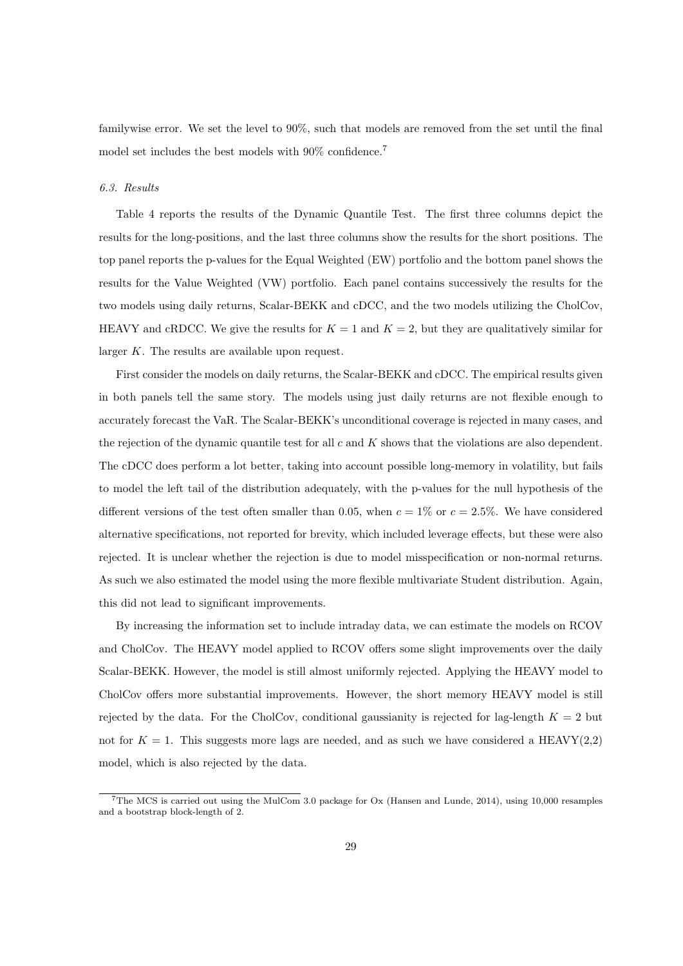familywise error. We set the level to 90%, such that models are removed from the set until the final model set includes the best models with 90% confidence.<sup>7</sup>

## 6.3. Results

Table 4 reports the results of the Dynamic Quantile Test. The first three columns depict the results for the long-positions, and the last three columns show the results for the short positions. The top panel reports the p-values for the Equal Weighted (EW) portfolio and the bottom panel shows the results for the Value Weighted (VW) portfolio. Each panel contains successively the results for the two models using daily returns, Scalar-BEKK and cDCC, and the two models utilizing the CholCov, HEAVY and cRDCC. We give the results for  $K = 1$  and  $K = 2$ , but they are qualitatively similar for larger  $K$ . The results are available upon request.

First consider the models on daily returns, the Scalar-BEKK and cDCC. The empirical results given in both panels tell the same story. The models using just daily returns are not flexible enough to accurately forecast the VaR. The Scalar-BEKK's unconditional coverage is rejected in many cases, and the rejection of the dynamic quantile test for all  $c$  and  $K$  shows that the violations are also dependent. The cDCC does perform a lot better, taking into account possible long-memory in volatility, but fails to model the left tail of the distribution adequately, with the p-values for the null hypothesis of the different versions of the test often smaller than 0.05, when  $c = 1\%$  or  $c = 2.5\%$ . We have considered alternative specifications, not reported for brevity, which included leverage effects, but these were also rejected. It is unclear whether the rejection is due to model misspecification or non-normal returns. As such we also estimated the model using the more flexible multivariate Student distribution. Again, this did not lead to significant improvements.

By increasing the information set to include intraday data, we can estimate the models on RCOV and CholCov. The HEAVY model applied to RCOV offers some slight improvements over the daily Scalar-BEKK. However, the model is still almost uniformly rejected. Applying the HEAVY model to CholCov offers more substantial improvements. However, the short memory HEAVY model is still rejected by the data. For the CholCov, conditional gaussianity is rejected for lag-length  $K = 2$  but not for  $K = 1$ . This suggests more lags are needed, and as such we have considered a HEAVY(2,2) model, which is also rejected by the data.

<sup>7</sup>The MCS is carried out using the MulCom 3.0 package for Ox (Hansen and Lunde, 2014), using 10,000 resamples and a bootstrap block-length of 2.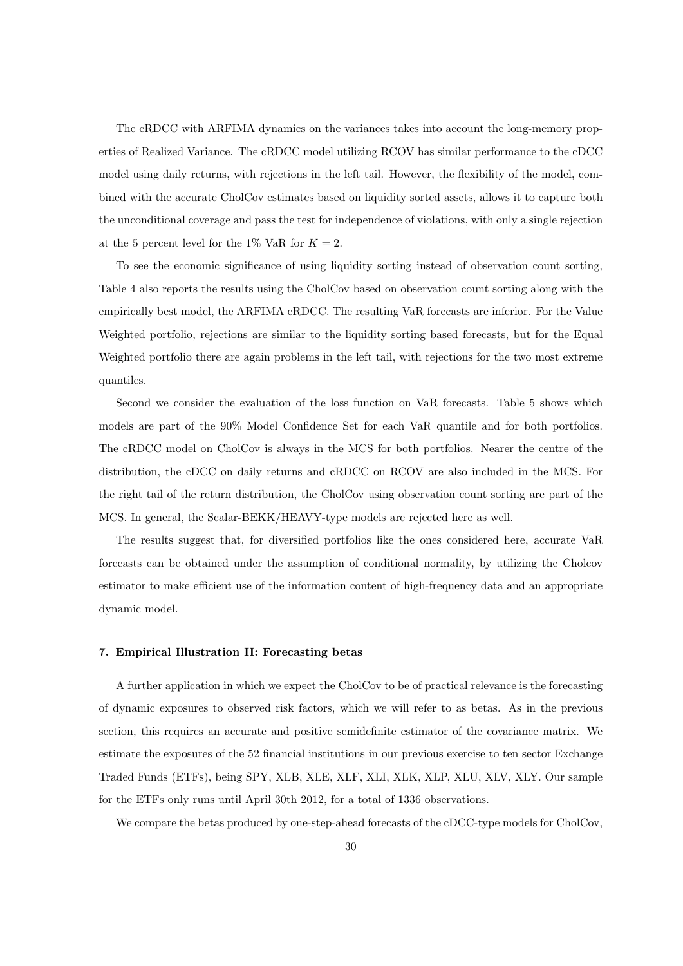The cRDCC with ARFIMA dynamics on the variances takes into account the long-memory properties of Realized Variance. The cRDCC model utilizing RCOV has similar performance to the cDCC model using daily returns, with rejections in the left tail. However, the flexibility of the model, combined with the accurate CholCov estimates based on liquidity sorted assets, allows it to capture both the unconditional coverage and pass the test for independence of violations, with only a single rejection at the 5 percent level for the 1% VaR for  $K = 2$ .

To see the economic significance of using liquidity sorting instead of observation count sorting, Table 4 also reports the results using the CholCov based on observation count sorting along with the empirically best model, the ARFIMA cRDCC. The resulting VaR forecasts are inferior. For the Value Weighted portfolio, rejections are similar to the liquidity sorting based forecasts, but for the Equal Weighted portfolio there are again problems in the left tail, with rejections for the two most extreme quantiles.

Second we consider the evaluation of the loss function on VaR forecasts. Table 5 shows which models are part of the 90% Model Confidence Set for each VaR quantile and for both portfolios. The cRDCC model on CholCov is always in the MCS for both portfolios. Nearer the centre of the distribution, the cDCC on daily returns and cRDCC on RCOV are also included in the MCS. For the right tail of the return distribution, the CholCov using observation count sorting are part of the MCS. In general, the Scalar-BEKK/HEAVY-type models are rejected here as well.

The results suggest that, for diversified portfolios like the ones considered here, accurate VaR forecasts can be obtained under the assumption of conditional normality, by utilizing the Cholcov estimator to make efficient use of the information content of high-frequency data and an appropriate dynamic model.

## 7. Empirical Illustration II: Forecasting betas

A further application in which we expect the CholCov to be of practical relevance is the forecasting of dynamic exposures to observed risk factors, which we will refer to as betas. As in the previous section, this requires an accurate and positive semidefinite estimator of the covariance matrix. We estimate the exposures of the 52 financial institutions in our previous exercise to ten sector Exchange Traded Funds (ETFs), being SPY, XLB, XLE, XLF, XLI, XLK, XLP, XLU, XLV, XLY. Our sample for the ETFs only runs until April 30th 2012, for a total of 1336 observations.

We compare the betas produced by one-step-ahead forecasts of the cDCC-type models for CholCov,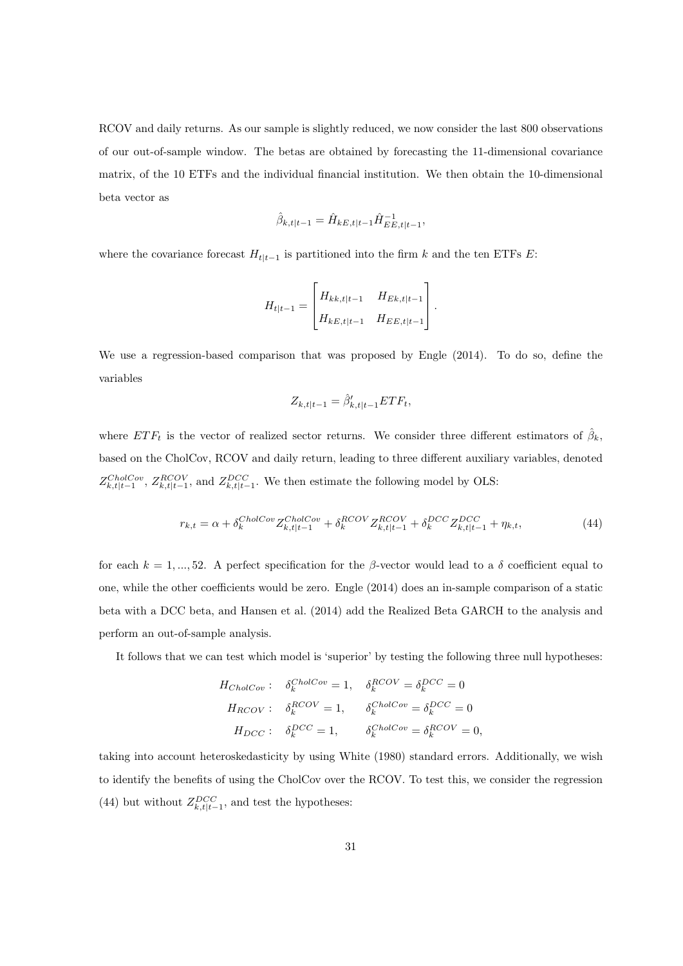RCOV and daily returns. As our sample is slightly reduced, we now consider the last 800 observations of our out-of-sample window. The betas are obtained by forecasting the 11-dimensional covariance matrix, of the 10 ETFs and the individual financial institution. We then obtain the 10-dimensional beta vector as

$$
\hat{\beta}_{k,t|t-1} = \hat{H}_{kE,t|t-1}\hat{H}_{EE,t|t-1}^{-1},
$$

where the covariance forecast  $H_{t|t-1}$  is partitioned into the firm k and the ten ETFs E:

$$
H_{t|t-1} = \begin{bmatrix} H_{kk,t|t-1} & H_{Ek,t|t-1} \\ H_{kE,t|t-1} & H_{EE,t|t-1} \end{bmatrix}.
$$

We use a regression-based comparison that was proposed by Engle (2014). To do so, define the variables

$$
Z_{k,t|t-1} = \hat{\beta}'_{k,t|t-1} ETF_t,
$$

where  $ETF_t$  is the vector of realized sector returns. We consider three different estimators of  $\hat{\beta}_k$ , based on the CholCov, RCOV and daily return, leading to three different auxiliary variables, denoted  $Z_{k,t|t-1}^{CholCov}$ ,  $Z_{k,t|t-1}^{RCOV}$ , and  $Z_{k,t|t-1}^{DCC}$ . We then estimate the following model by OLS:

$$
r_{k,t} = \alpha + \delta_k^{CholCov} Z_{k,t|t-1}^{CholCov} + \delta_k^{RCOV} Z_{k,t|t-1}^{RCOV} + \delta_k^{DCC} Z_{k,t|t-1}^{DCC} + \eta_{k,t},\tag{44}
$$

for each  $k = 1, ..., 52$ . A perfect specification for the β-vector would lead to a δ coefficient equal to one, while the other coefficients would be zero. Engle (2014) does an in-sample comparison of a static beta with a DCC beta, and Hansen et al. (2014) add the Realized Beta GARCH to the analysis and perform an out-of-sample analysis.

It follows that we can test which model is 'superior' by testing the following three null hypotheses:

$$
H_{CholCov}: \quad \delta_k^{CholCov} = 1, \quad \delta_k^{RCOV} = \delta_k^{DCC} = 0
$$

$$
H_{RCOV}: \quad \delta_k^{RCOV} = 1, \quad \delta_k^{CholCov} = \delta_k^{DCC} = 0
$$

$$
H_{DCC}: \quad \delta_k^{DCC} = 1, \quad \delta_k^{CholCov} = \delta_k^{RCOV} = 0,
$$

taking into account heteroskedasticity by using White (1980) standard errors. Additionally, we wish to identify the benefits of using the CholCov over the RCOV. To test this, we consider the regression (44) but without  $Z_{k,t|t-1}^{DCC}$ , and test the hypotheses: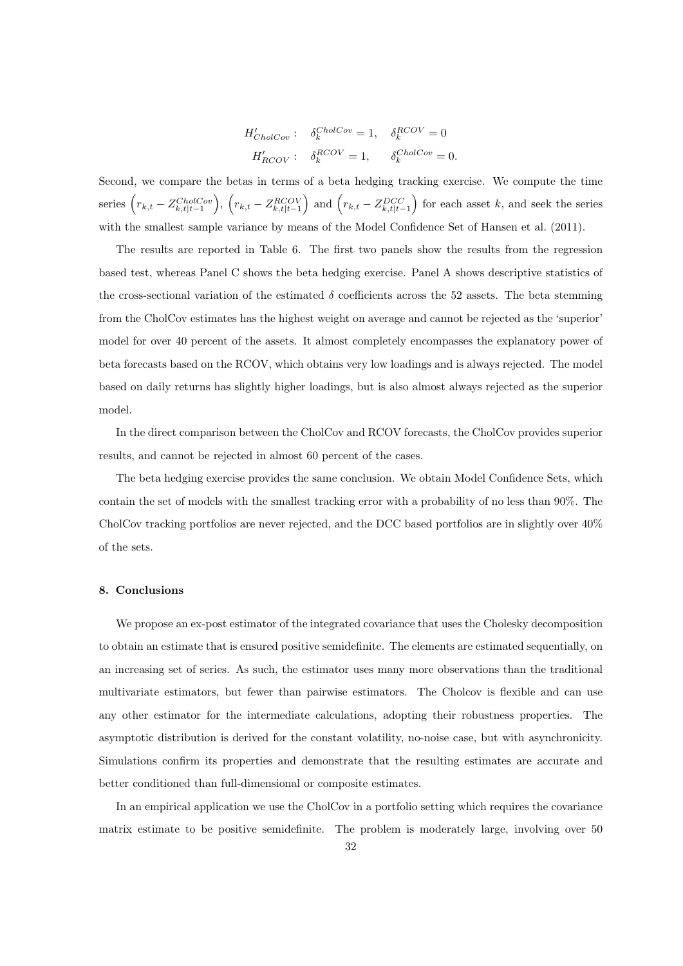$$
H'_{CholCov}: \quad \delta_k^{CholCov} = 1, \quad \delta_k^{RCOV} = 0
$$

$$
H'_{RCOV}: \quad \delta_k^{RCOV} = 1, \quad \delta_k^{CholCov} = 0.
$$

Second, we compare the betas in terms of a beta hedging tracking exercise. We compute the time series  $(r_{k,t} - Z_{k,t|t-1}^{CholCov}), (r_{k,t} - Z_{k,t|t-1}^{RCOV})$  and  $(r_{k,t} - Z_{k,t|t-1}^{DCC})$  for each asset k, and seek the series with the smallest sample variance by means of the Model Confidence Set of Hansen et al. (2011).

The results are reported in Table 6. The first two panels show the results from the regression based test, whereas Panel C shows the beta hedging exercise. Panel A shows descriptive statistics of the cross-sectional variation of the estimated  $\delta$  coefficients across the 52 assets. The beta stemming from the CholCov estimates has the highest weight on average and cannot be rejected as the 'superior' model for over 40 percent of the assets. It almost completely encompasses the explanatory power of beta forecasts based on the RCOV, which obtains very low loadings and is always rejected. The model based on daily returns has slightly higher loadings, but is also almost always rejected as the superior model.

In the direct comparison between the CholCov and RCOV forecasts, the CholCov provides superior results, and cannot be rejected in almost 60 percent of the cases.

The beta hedging exercise provides the same conclusion. We obtain Model Confidence Sets, which contain the set of models with the smallest tracking error with a probability of no less than 90%. The CholCov tracking portfolios are never rejected, and the DCC based portfolios are in slightly over 40% of the sets.

#### 8. Conclusions

We propose an ex-post estimator of the integrated covariance that uses the Cholesky decomposition to obtain an estimate that is ensured positive semidefinite. The elements are estimated sequentially, on an increasing set of series. As such, the estimator uses many more observations than the traditional multivariate estimators, but fewer than pairwise estimators. The Cholcov is flexible and can use any other estimator for the intermediate calculations, adopting their robustness properties. The asymptotic distribution is derived for the constant volatility, no-noise case, but with asynchronicity. Simulations confirm its properties and demonstrate that the resulting estimates are accurate and better conditioned than full-dimensional or composite estimates.

In an empirical application we use the CholCov in a portfolio setting which requires the covariance matrix estimate to be positive semidefinite. The problem is moderately large, involving over 50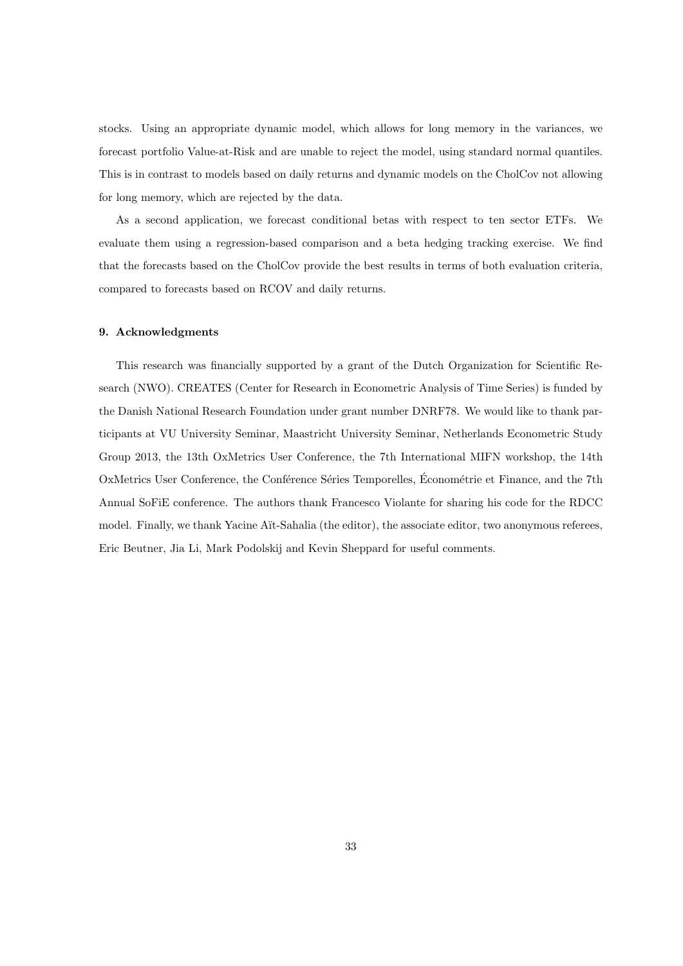stocks. Using an appropriate dynamic model, which allows for long memory in the variances, we forecast portfolio Value-at-Risk and are unable to reject the model, using standard normal quantiles. This is in contrast to models based on daily returns and dynamic models on the CholCov not allowing for long memory, which are rejected by the data.

As a second application, we forecast conditional betas with respect to ten sector ETFs. We evaluate them using a regression-based comparison and a beta hedging tracking exercise. We find that the forecasts based on the CholCov provide the best results in terms of both evaluation criteria, compared to forecasts based on RCOV and daily returns.

## 9. Acknowledgments

This research was financially supported by a grant of the Dutch Organization for Scientific Research (NWO). CREATES (Center for Research in Econometric Analysis of Time Series) is funded by the Danish National Research Foundation under grant number DNRF78. We would like to thank participants at VU University Seminar, Maastricht University Seminar, Netherlands Econometric Study Group 2013, the 13th OxMetrics User Conference, the 7th International MIFN workshop, the 14th OxMetrics User Conference, the Conférence Séries Temporelles, Econométrie et Finance, and the 7th Annual SoFiE conference. The authors thank Francesco Violante for sharing his code for the RDCC model. Finally, we thank Yacine Aït-Sahalia (the editor), the associate editor, two anonymous referees, Eric Beutner, Jia Li, Mark Podolskij and Kevin Sheppard for useful comments.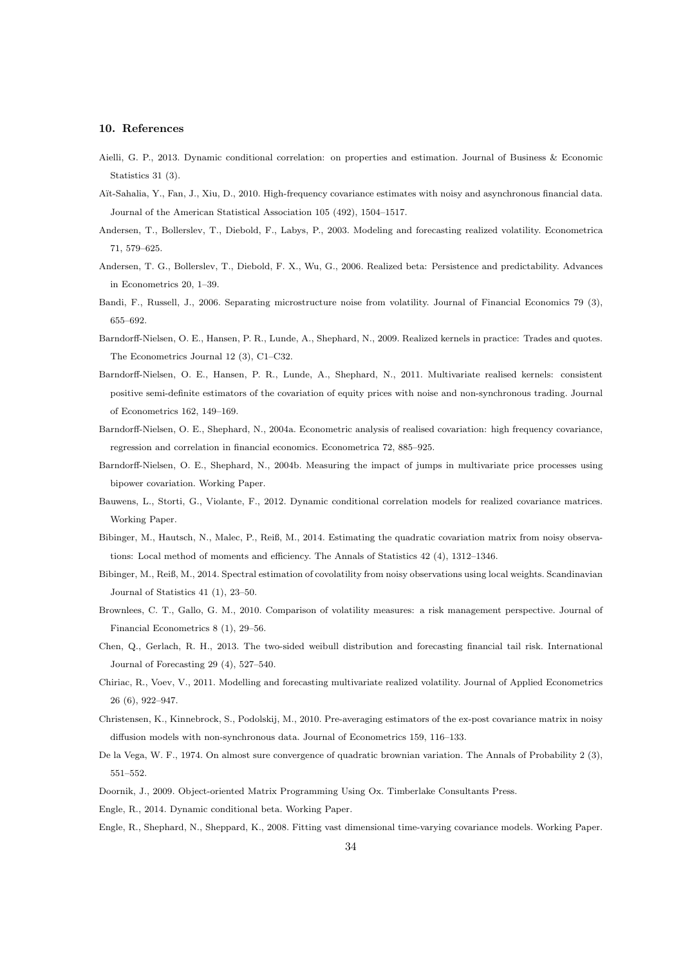#### 10. References

- Aielli, G. P., 2013. Dynamic conditional correlation: on properties and estimation. Journal of Business & Economic Statistics 31 (3).
- A¨ıt-Sahalia, Y., Fan, J., Xiu, D., 2010. High-frequency covariance estimates with noisy and asynchronous financial data. Journal of the American Statistical Association 105 (492), 1504–1517.
- Andersen, T., Bollerslev, T., Diebold, F., Labys, P., 2003. Modeling and forecasting realized volatility. Econometrica 71, 579–625.
- Andersen, T. G., Bollerslev, T., Diebold, F. X., Wu, G., 2006. Realized beta: Persistence and predictability. Advances in Econometrics 20, 1–39.
- Bandi, F., Russell, J., 2006. Separating microstructure noise from volatility. Journal of Financial Economics 79 (3), 655–692.
- Barndorff-Nielsen, O. E., Hansen, P. R., Lunde, A., Shephard, N., 2009. Realized kernels in practice: Trades and quotes. The Econometrics Journal 12 (3), C1–C32.
- Barndorff-Nielsen, O. E., Hansen, P. R., Lunde, A., Shephard, N., 2011. Multivariate realised kernels: consistent positive semi-definite estimators of the covariation of equity prices with noise and non-synchronous trading. Journal of Econometrics 162, 149–169.
- Barndorff-Nielsen, O. E., Shephard, N., 2004a. Econometric analysis of realised covariation: high frequency covariance, regression and correlation in financial economics. Econometrica 72, 885–925.
- Barndorff-Nielsen, O. E., Shephard, N., 2004b. Measuring the impact of jumps in multivariate price processes using bipower covariation. Working Paper.
- Bauwens, L., Storti, G., Violante, F., 2012. Dynamic conditional correlation models for realized covariance matrices. Working Paper.
- Bibinger, M., Hautsch, N., Malec, P., Reiß, M., 2014. Estimating the quadratic covariation matrix from noisy observations: Local method of moments and efficiency. The Annals of Statistics 42 (4), 1312–1346.
- Bibinger, M., Reiß, M., 2014. Spectral estimation of covolatility from noisy observations using local weights. Scandinavian Journal of Statistics 41 (1), 23–50.
- Brownlees, C. T., Gallo, G. M., 2010. Comparison of volatility measures: a risk management perspective. Journal of Financial Econometrics 8 (1), 29–56.
- Chen, Q., Gerlach, R. H., 2013. The two-sided weibull distribution and forecasting financial tail risk. International Journal of Forecasting 29 (4), 527–540.
- Chiriac, R., Voev, V., 2011. Modelling and forecasting multivariate realized volatility. Journal of Applied Econometrics 26 (6), 922–947.
- Christensen, K., Kinnebrock, S., Podolskij, M., 2010. Pre-averaging estimators of the ex-post covariance matrix in noisy diffusion models with non-synchronous data. Journal of Econometrics 159, 116–133.
- De la Vega, W. F., 1974. On almost sure convergence of quadratic brownian variation. The Annals of Probability 2 (3), 551–552.
- Doornik, J., 2009. Object-oriented Matrix Programming Using Ox. Timberlake Consultants Press.
- Engle, R., 2014. Dynamic conditional beta. Working Paper.
- Engle, R., Shephard, N., Sheppard, K., 2008. Fitting vast dimensional time-varying covariance models. Working Paper.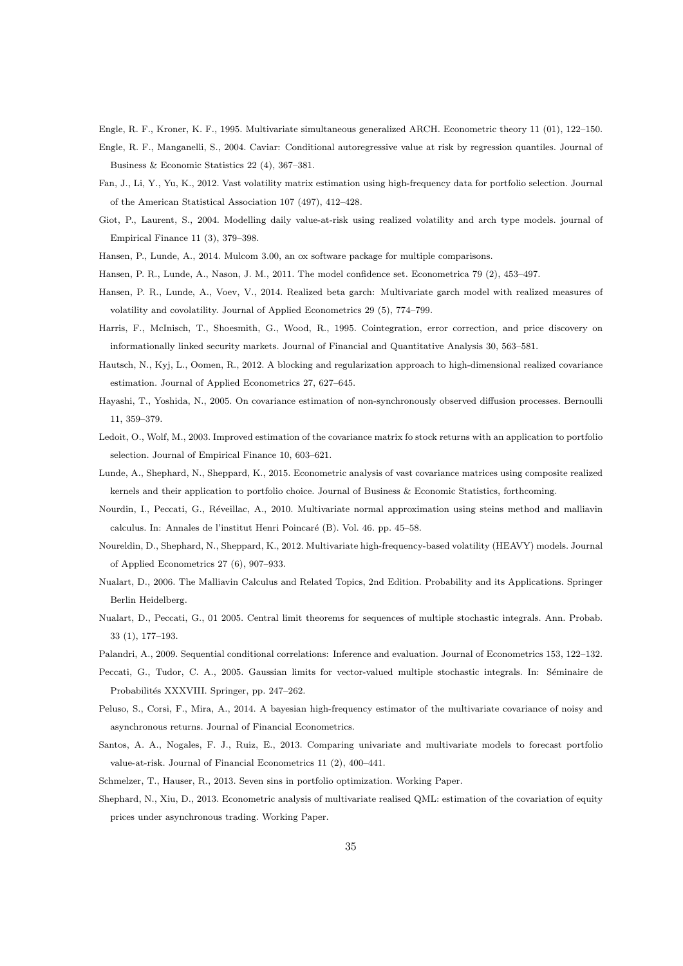Engle, R. F., Kroner, K. F., 1995. Multivariate simultaneous generalized ARCH. Econometric theory 11 (01), 122–150.

- Engle, R. F., Manganelli, S., 2004. Caviar: Conditional autoregressive value at risk by regression quantiles. Journal of Business & Economic Statistics 22 (4), 367–381.
- Fan, J., Li, Y., Yu, K., 2012. Vast volatility matrix estimation using high-frequency data for portfolio selection. Journal of the American Statistical Association 107 (497), 412–428.
- Giot, P., Laurent, S., 2004. Modelling daily value-at-risk using realized volatility and arch type models. journal of Empirical Finance 11 (3), 379–398.
- Hansen, P., Lunde, A., 2014. Mulcom 3.00, an ox software package for multiple comparisons.
- Hansen, P. R., Lunde, A., Nason, J. M., 2011. The model confidence set. Econometrica 79 (2), 453–497.
- Hansen, P. R., Lunde, A., Voev, V., 2014. Realized beta garch: Multivariate garch model with realized measures of volatility and covolatility. Journal of Applied Econometrics 29 (5), 774–799.
- Harris, F., McInisch, T., Shoesmith, G., Wood, R., 1995. Cointegration, error correction, and price discovery on informationally linked security markets. Journal of Financial and Quantitative Analysis 30, 563–581.
- Hautsch, N., Kyj, L., Oomen, R., 2012. A blocking and regularization approach to high-dimensional realized covariance estimation. Journal of Applied Econometrics 27, 627–645.
- Hayashi, T., Yoshida, N., 2005. On covariance estimation of non-synchronously observed diffusion processes. Bernoulli 11, 359–379.
- Ledoit, O., Wolf, M., 2003. Improved estimation of the covariance matrix fo stock returns with an application to portfolio selection. Journal of Empirical Finance 10, 603–621.
- Lunde, A., Shephard, N., Sheppard, K., 2015. Econometric analysis of vast covariance matrices using composite realized kernels and their application to portfolio choice. Journal of Business & Economic Statistics, forthcoming.
- Nourdin, I., Peccati, G., Réveillac, A., 2010. Multivariate normal approximation using steins method and malliavin calculus. In: Annales de l'institut Henri Poincar´e (B). Vol. 46. pp. 45–58.
- Noureldin, D., Shephard, N., Sheppard, K., 2012. Multivariate high-frequency-based volatility (HEAVY) models. Journal of Applied Econometrics 27 (6), 907–933.
- Nualart, D., 2006. The Malliavin Calculus and Related Topics, 2nd Edition. Probability and its Applications. Springer Berlin Heidelberg.
- Nualart, D., Peccati, G., 01 2005. Central limit theorems for sequences of multiple stochastic integrals. Ann. Probab. 33 (1), 177–193.
- Palandri, A., 2009. Sequential conditional correlations: Inference and evaluation. Journal of Econometrics 153, 122–132.
- Peccati, G., Tudor, C. A., 2005. Gaussian limits for vector-valued multiple stochastic integrals. In: Séminaire de Probabilités XXXVIII. Springer, pp. 247–262.
- Peluso, S., Corsi, F., Mira, A., 2014. A bayesian high-frequency estimator of the multivariate covariance of noisy and asynchronous returns. Journal of Financial Econometrics.
- Santos, A. A., Nogales, F. J., Ruiz, E., 2013. Comparing univariate and multivariate models to forecast portfolio value-at-risk. Journal of Financial Econometrics 11 (2), 400–441.

Schmelzer, T., Hauser, R., 2013. Seven sins in portfolio optimization. Working Paper.

Shephard, N., Xiu, D., 2013. Econometric analysis of multivariate realised QML: estimation of the covariation of equity prices under asynchronous trading. Working Paper.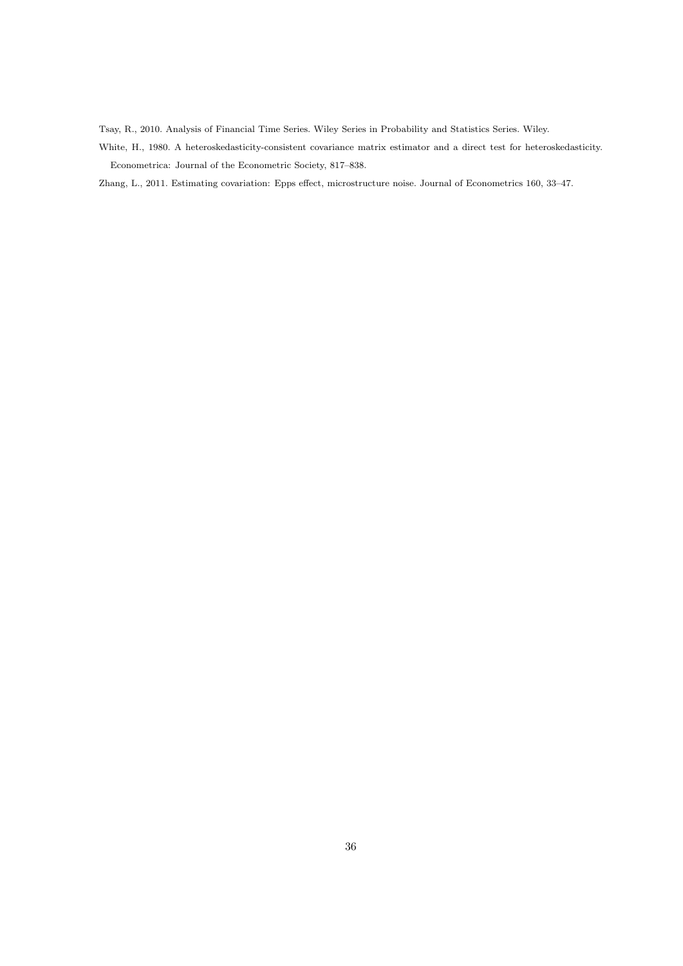Tsay, R., 2010. Analysis of Financial Time Series. Wiley Series in Probability and Statistics Series. Wiley.

White, H., 1980. A heteroskedasticity-consistent covariance matrix estimator and a direct test for heteroskedasticity. Econometrica: Journal of the Econometric Society, 817–838.

Zhang, L., 2011. Estimating covariation: Epps effect, microstructure noise. Journal of Econometrics 160, 33–47.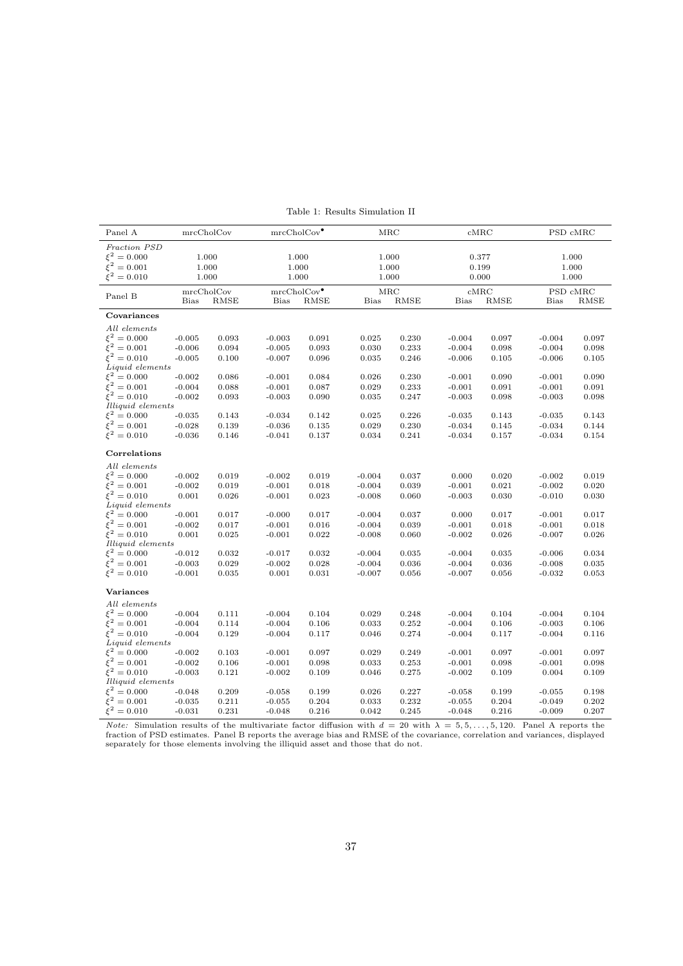| Panel A                 | mrcCholCov |       | mrcCholCov                                   |       | MRC         |             | cMRC        |             | PSD cMRC    |       |
|-------------------------|------------|-------|----------------------------------------------|-------|-------------|-------------|-------------|-------------|-------------|-------|
| Fraction PSD            |            |       |                                              |       |             |             |             |             |             |       |
| $\xi^2=0.000$           | 1.000      |       | 1.000                                        |       | 1.000       |             | 0.377       |             | 1.000       |       |
| $\check{\xi}^2 = 0.001$ | 1.000      |       | 1.000                                        |       | 1.000       |             | 0.199       |             | 1.000       |       |
| $\xi^2 = 0.010$         | 1.000      |       | 1.000                                        |       | 1.000       |             | 0.000       |             | 1.000       |       |
|                         | mrcCholCov |       | $mrcCholCov$ <sup><math>\bullet</math></sup> |       | MRC         |             | cMRC        |             | PSD cMRC    |       |
| Panel B                 | Bias       | RMSE  | <b>Bias</b>                                  | RMSE  | <b>Bias</b> | <b>RMSE</b> | <b>Bias</b> | <b>RMSE</b> | <b>Bias</b> | RMSE  |
| Covariances             |            |       |                                              |       |             |             |             |             |             |       |
| All elements            |            |       |                                              |       |             |             |             |             |             |       |
| $\xi^2 = 0.000$         | $-0.005$   | 0.093 | $-0.003$                                     | 0.091 | 0.025       | 0.230       | $-0.004$    | 0.097       | $-0.004$    | 0.097 |
| $\dot{\xi}^2 = 0.001$   | $-0.006$   | 0.094 | $-0.005$                                     | 0.093 | 0.030       | 0.233       | $-0.004$    | 0.098       | $-0.004$    | 0.098 |
| $\xi^2 = 0.010$         | $-0.005$   | 0.100 | $-0.007$                                     | 0.096 | 0.035       | 0.246       | $-0.006$    | 0.105       | $-0.006$    | 0.105 |
| Liquid elements         |            |       |                                              |       |             |             |             |             |             |       |
| $\xi^2 = 0.000$         | $-0.002$   | 0.086 | $-0.001$                                     | 0.084 | 0.026       | 0.230       | $-0.001$    | 0.090       | $-0.001$    | 0.090 |
| $\xi^2 = 0.001$         | $-0.004$   | 0.088 | $-0.001$                                     | 0.087 | 0.029       | 0.233       | $-0.001$    | 0.091       | $-0.001$    | 0.091 |
| $\bar{\xi}^2 = 0.010$   | $-0.002$   | 0.093 | $-0.003$                                     | 0.090 | 0.035       | 0.247       | $-0.003$    | 0.098       | $-0.003$    | 0.098 |
| Illiquid elements       |            |       |                                              |       |             |             |             |             |             |       |
| $\xi^2 = 0.000$         | $-0.035$   | 0.143 | $-0.034$                                     | 0.142 | 0.025       | 0.226       | $-0.035$    | 0.143       | $-0.035$    | 0.143 |
| $\xi^2 = 0.001$         | $-0.028$   | 0.139 | $-0.036$                                     | 0.135 | 0.029       | 0.230       | $-0.034$    | 0.145       | $-0.034$    | 0.144 |
| $\xi^2 = 0.010$         | $-0.036$   | 0.146 | $-0.041$                                     | 0.137 | 0.034       | 0.241       | $-0.034$    | 0.157       | $-0.034$    | 0.154 |
| Correlations            |            |       |                                              |       |             |             |             |             |             |       |
| All elements            |            |       |                                              |       |             |             |             |             |             |       |
| $\xi^2 = 0.000$         | $-0.002$   | 0.019 | $-0.002$                                     | 0.019 | $-0.004$    | 0.037       | 0.000       | 0.020       | $-0.002$    | 0.019 |
| $\xi^2 = 0.001$         | $-0.002$   | 0.019 | $-0.001$                                     | 0.018 | $-0.004$    | 0.039       | $-0.001$    | 0.021       | $-0.002$    | 0.020 |
| $\xi^2 = 0.010$         | 0.001      | 0.026 | $-0.001$                                     | 0.023 | $-0.008$    | 0.060       | $-0.003$    | 0.030       | $-0.010$    | 0.030 |
| Liquid elements         |            |       |                                              |       |             |             |             |             |             |       |
| $\xi^2 = 0.000$         | $-0.001$   | 0.017 | $-0.000$                                     | 0.017 | $-0.004$    | 0.037       | 0.000       | 0.017       | $-0.001$    | 0.017 |
| $\xi^2 = 0.001$         | $-0.002$   | 0.017 | $-0.001$                                     | 0.016 | $-0.004$    | 0.039       | $-0.001$    | 0.018       | $-0.001$    | 0.018 |
| $\xi^2 = 0.010$         | 0.001      | 0.025 | $-0.001$                                     | 0.022 | $-0.008$    | 0.060       | $-0.002$    | 0.026       | $-0.007$    | 0.026 |
| Illiquid elements       |            |       |                                              |       |             |             |             |             |             |       |
| $\xi^2 = 0.000$         | $-0.012$   | 0.032 | $-0.017$                                     | 0.032 | $-0.004$    | 0.035       | $-0.004$    | 0.035       | $-0.006$    | 0.034 |
| $\xi^2 = 0.001$         | $-0.003$   | 0.029 | $-0.002$                                     | 0.028 | $-0.004$    | 0.036       | $-0.004$    | 0.036       | $-0.008$    | 0.035 |
| $\xi^2 = 0.010$         | $-0.001$   | 0.035 | 0.001                                        | 0.031 | $-0.007$    | 0.056       | $-0.007$    | 0.056       | $-0.032$    | 0.053 |
| <b>Variances</b>        |            |       |                                              |       |             |             |             |             |             |       |
| All elements            |            |       |                                              |       |             |             |             |             |             |       |
| $\xi^2 = 0.000$         | $-0.004$   | 0.111 | $-0.004$                                     | 0.104 | 0.029       | 0.248       | $-0.004$    | 0.104       | $-0.004$    | 0.104 |
| $\xi^2 = 0.001$         | $-0.004$   | 0.114 | $-0.004$                                     | 0.106 | 0.033       | 0.252       | $-0.004$    | 0.106       | $-0.003$    | 0.106 |
| $\xi^2 = 0.010$         | $-0.004$   | 0.129 | $-0.004$                                     | 0.117 | 0.046       | 0.274       | $-0.004$    | 0.117       | $-0.004$    | 0.116 |
| Liquid elements         |            |       |                                              |       |             |             |             |             |             |       |
| $\xi^2 = 0.000$         | $-0.002$   | 0.103 | $-0.001$                                     | 0.097 | 0.029       | 0.249       | $-0.001$    | 0.097       | $-0.001$    | 0.097 |
| $\dot{\xi}^2 = 0.001$   | $-0.002$   | 0.106 | $-0.001$                                     | 0.098 | 0.033       | 0.253       | $-0.001$    | 0.098       | $-0.001$    | 0.098 |
| $\xi^2 = 0.010$         | $-0.003$   | 0.121 | $-0.002$                                     | 0.109 | 0.046       | 0.275       | $-0.002$    | 0.109       | 0.004       | 0.109 |
| Illiquid elements       |            |       |                                              |       |             |             |             |             |             |       |
| $\xi^2 = 0.000$         | $-0.048$   | 0.209 | $-0.058$                                     | 0.199 | 0.026       | 0.227       | $-0.058$    | 0.199       | $-0.055$    | 0.198 |
| $\xi^2 = 0.001$         | $-0.035$   | 0.211 | $-0.055$                                     | 0.204 | 0.033       | 0.232       | $-0.055$    | 0.204       | $-0.049$    | 0.202 |
| $\xi^2 = 0.010$         | $-0.031$   | 0.231 | $-0.048$                                     | 0.216 | 0.042       | 0.245       | $-0.048$    | 0.216       | $-0.009$    | 0.207 |

Table 1: Results Simulation II

*Note:* Simulation results of the multivariate factor diffusion with  $d = 20$  with  $\lambda = 5, 5, ..., 5, 120$ . Panel A reports the fraction of PSD estimates. Panel B reports the average bias and RMSE of the covariance, correlatio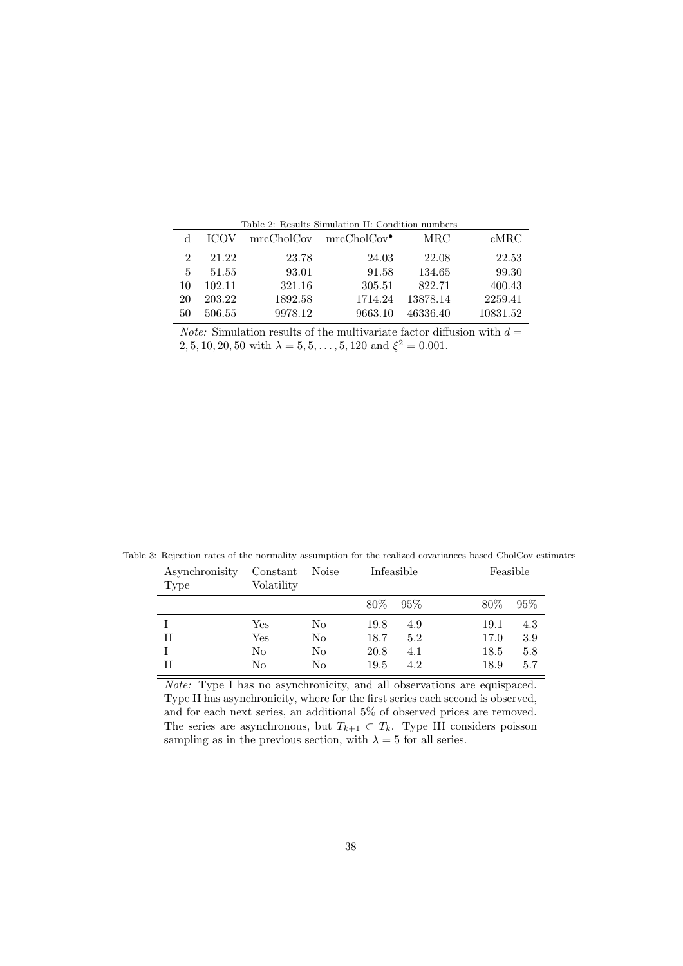| Table 2: Results Simulation II: Condition numbers |        |            |                             |          |               |  |  |  |  |  |
|---------------------------------------------------|--------|------------|-----------------------------|----------|---------------|--|--|--|--|--|
|                                                   | ICOV   | mrcCholCov | $\rm{mrcCholCov}^{\bullet}$ | MRC      | $_{\rm cMRC}$ |  |  |  |  |  |
| 2                                                 | 21.22  | 23.78      | 24.03                       | 22.08    | 22.53         |  |  |  |  |  |
| 5                                                 | 51.55  | 93.01      | 91.58                       | 134.65   | 99.30         |  |  |  |  |  |
| 10                                                | 102.11 | 321.16     | 305.51                      | 822.71   | 400.43        |  |  |  |  |  |
| 20                                                | 203.22 | 1892.58    | 1714.24                     | 13878.14 | 2259.41       |  |  |  |  |  |
| 50                                                | 506.55 | 9978.12    | 9663.10                     | 46336.40 | 10831.52      |  |  |  |  |  |

| <i>Note:</i> Simulation results of the multivariate factor diffusion with $d=$ |  |
|--------------------------------------------------------------------------------|--|
| 2, 5, 10, 20, 50 with $\lambda = 5, 5, , 5, 120$ and $\xi^2 = 0.001$ .         |  |

Table 3: Rejection rates of the normality assumption for the realized covariances based CholCov estimates

| Asynchronisity<br>Type | Constant<br>Volatility | <b>Noise</b> | Infeasible |     |      | Feasible |
|------------------------|------------------------|--------------|------------|-----|------|----------|
|                        |                        |              | 80\%       | 95% | 80\% | 95%      |
|                        | Yes                    | No           | 19.8       | 4.9 | 19.1 | 4.3      |
| Н                      | Yes                    | No           | 18.7       | 5.2 | 17.0 | 3.9      |
|                        | No                     | No           | 20.8       | 4.1 | 18.5 | 5.8      |
| Н                      | No                     | No           | 19.5       | 4.2 | 18.9 | 5.7      |

Note: Type I has no asynchronicity, and all observations are equispaced. Type II has asynchronicity, where for the first series each second is observed, and for each next series, an additional 5% of observed prices are removed. The series are asynchronous, but  $T_{k+1} \subset T_k$ . Type III considers poisson sampling as in the previous section, with  $\lambda = 5$  for all series.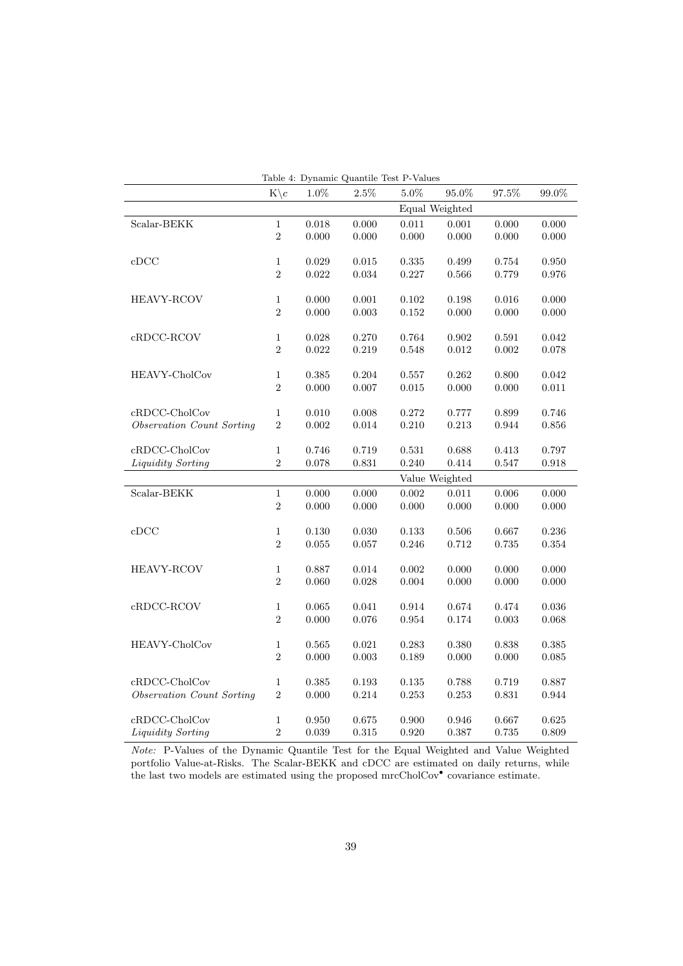| Table 4: Dynamic Quantile Test P-Values |                  |             |             |           |                |             |             |  |
|-----------------------------------------|------------------|-------------|-------------|-----------|----------------|-------------|-------------|--|
|                                         | $K \backslash c$ | $1.0\%$     | $2.5\%$     | $5.0\%$   | $95.0\%$       | 97.5%       | 99.0%       |  |
|                                         |                  |             |             |           | Equal Weighted |             |             |  |
| Scalar-BEKK                             | $\,1$            | $0.018\,$   | 0.000       | $0.011\,$ | $0.001\,$      | 0.000       | 0.000       |  |
|                                         | $\overline{2}$   | 0.000       | 0.000       | 0.000     | 0.000          | 0.000       | 0.000       |  |
|                                         |                  |             |             |           |                |             |             |  |
| $_{\rm cDCC}$                           | $\mathbf{1}$     | 0.029       | 0.015       | 0.335     | 0.499          | 0.754       | 0.950       |  |
|                                         | $\overline{2}$   | $\,0.022\,$ | 0.034       | 0.227     | 0.566          | 0.779       | 0.976       |  |
| HEAVY-RCOV                              | $\,1\,$          | 0.000       | 0.001       | 0.102     | 0.198          | 0.016       | 0.000       |  |
|                                         | $\overline{2}$   | 0.000       | 0.003       | 0.152     | 0.000          | 0.000       | 0.000       |  |
|                                         |                  |             |             |           |                |             |             |  |
| $c\text{RDCC-RCOV}$                     | $\,1\,$          | $0.028\,$   | 0.270       | 0.764     | $\rm 0.902$    | 0.591       | 0.042       |  |
|                                         | $\overline{2}$   | $\,0.022\,$ | 0.219       | 0.548     | $\,0.012\,$    | $\,0.002\,$ | 0.078       |  |
|                                         |                  |             |             |           |                |             |             |  |
| HEAVY-CholCov                           | $\,1$            | 0.385       | 0.204       | 0.557     | 0.262          | 0.800       | 0.042       |  |
|                                         | $\overline{2}$   | 0.000       | 0.007       | 0.015     | 0.000          | 0.000       | 0.011       |  |
| cRDCC-CholCov                           | $\,1\,$          | 0.010       | 0.008       | 0.272     | 0.777          | 0.899       | 0.746       |  |
| Observation Count Sorting               | $\overline{2}$   | 0.002       | 0.014       | $0.210\,$ | 0.213          | 0.944       | 0.856       |  |
|                                         |                  |             |             |           |                |             |             |  |
| cRDCC-CholCov                           | $\,1\,$          | 0.746       | 0.719       | 0.531     | 0.688          | 0.413       | 0.797       |  |
| Liquidity Sorting                       | $\overline{2}$   | 0.078       | 0.831       | 0.240     | 0.414          | 0.547       | 0.918       |  |
|                                         |                  |             |             |           | Value Weighted |             |             |  |
| Scalar-BEKK                             | $\,1$            | 0.000       | 0.000       | 0.002     | 0.011          | 0.006       | 0.000       |  |
|                                         | $\overline{2}$   | 0.000       | 0.000       | 0.000     | 0.000          | 0.000       | 0.000       |  |
|                                         |                  |             |             |           |                |             |             |  |
| $_{\rm cDCC}$                           | $\mathbf 1$      | 0.130       | 0.030       | 0.133     | 0.506          | 0.667       | 0.236       |  |
|                                         | $\overline{2}$   | 0.055       | 0.057       | $0.246\,$ | 0.712          | 0.735       | $\!0.354\!$ |  |
| <b>HEAVY-RCOV</b>                       | $\mathbf{1}$     | 0.887       | 0.014       | 0.002     | 0.000          | 0.000       | 0.000       |  |
|                                         | $\overline{2}$   | 0.060       | 0.028       | 0.004     | 0.000          | 0.000       | 0.000       |  |
|                                         |                  |             |             |           |                |             |             |  |
| $\alpha\text{RDCC-RCOV}$                | $\,1\,$          | 0.065       | 0.041       | 0.914     | 0.674          | 0.474       | 0.036       |  |
|                                         | $\overline{2}$   | 0.000       | 0.076       | 0.954     | $0.174\,$      | 0.003       | 0.068       |  |
|                                         |                  |             |             |           |                |             |             |  |
| HEAVY-CholCov                           | $\,1$            | 0.565       | 0.021       | 0.283     | 0.380          | 0.838       | 0.385       |  |
|                                         | $\overline{2}$   | 0.000       | 0.003       | 0.189     | 0.000          | 0.000       | 0.085       |  |
| cRDCC-CholCov                           | $\mathbf{1}$     | 0.385       | 0.193       | 0.135     | 0.788          | 0.719       | 0.887       |  |
| Observation Count Sorting               | $\overline{2}$   | 0.000       | 0.214       | 0.253     | 0.253          | 0.831       | 0.944       |  |
|                                         |                  |             |             |           |                |             |             |  |
| cRDCC-CholCov                           | $\mathbf{1}$     | 0.950       | 0.675       | 0.900     | 0.946          | 0.667       | 0.625       |  |
| <b>Liquidity Sorting</b>                | $\overline{2}$   | 0.039       | $\rm 0.315$ | 0.920     | 0.387          | 0.735       | 0.809       |  |

Note: P-Values of the Dynamic Quantile Test for the Equal Weighted and Value Weighted portfolio Value-at-Risks. The Scalar-BEKK and cDCC are estimated on daily returns, while the last two models are estimated using the proposed mrcCholCov<sup>•</sup> covariance estimate.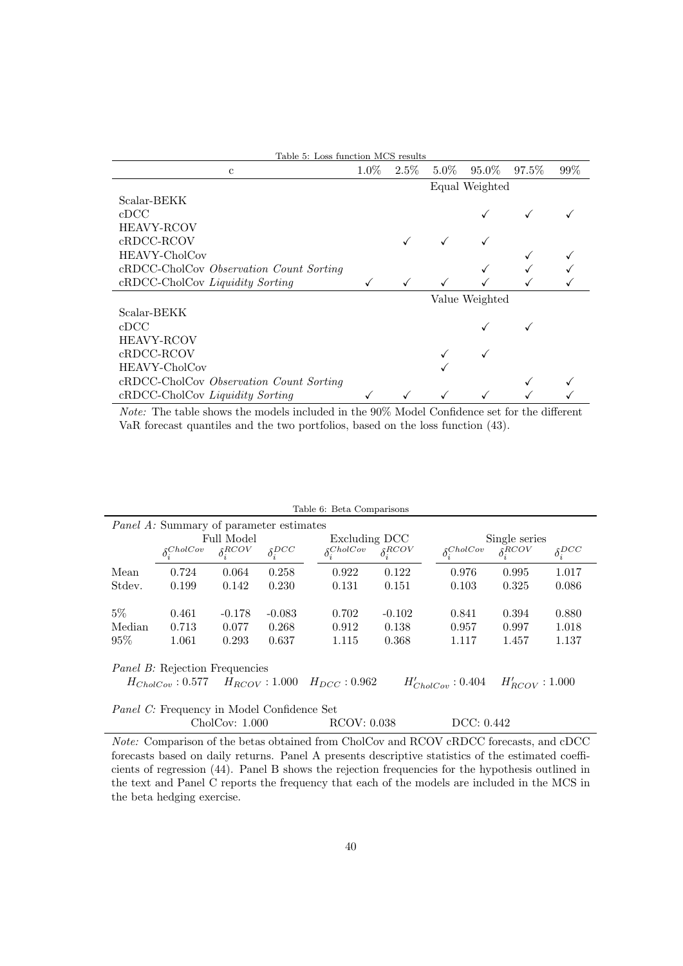| Table 5: Loss function MCS results      |         |      |                |                |       |     |  |  |
|-----------------------------------------|---------|------|----------------|----------------|-------|-----|--|--|
| $\mathbf{c}$                            | $1.0\%$ | 2.5% | $5.0\%$        | 95.0%          | 97.5% | 99% |  |  |
|                                         |         |      |                | Equal Weighted |       |     |  |  |
| Scalar-BEKK                             |         |      |                |                |       |     |  |  |
| cDCC                                    |         |      |                |                |       |     |  |  |
| <b>HEAVY-RCOV</b>                       |         |      |                |                |       |     |  |  |
| cRDCC-RCOV                              |         |      |                |                |       |     |  |  |
| HEAVY-CholCov                           |         |      |                |                |       |     |  |  |
| cRDCC-CholCov Observation Count Sorting |         |      |                |                |       |     |  |  |
| cRDCC-CholCov Liquidity Sorting         |         |      |                |                |       |     |  |  |
|                                         |         |      | Value Weighted |                |       |     |  |  |
| Scalar-BEKK                             |         |      |                |                |       |     |  |  |
| cDCC                                    |         |      |                |                |       |     |  |  |
| <b>HEAVY-RCOV</b>                       |         |      |                |                |       |     |  |  |
| cRDCC-RCOV                              |         |      |                |                |       |     |  |  |
| HEAVY-CholCov                           |         |      |                |                |       |     |  |  |
| cRDCC-CholCov Observation Count Sorting |         |      |                |                |       |     |  |  |
| cRDCC-CholCov Liquidity Sorting         |         |      |                |                |       |     |  |  |

Note: The table shows the models included in the 90% Model Confidence set for the different VaR forecast quantiles and the two portfolios, based on the loss function (43).

| Table 6: Beta Comparisons                         |                    |                 |                  |                                                            |                   |                        |                    |                  |  |  |
|---------------------------------------------------|--------------------|-----------------|------------------|------------------------------------------------------------|-------------------|------------------------|--------------------|------------------|--|--|
| <i>Panel A:</i> Summary of parameter estimates    |                    |                 |                  |                                                            |                   |                        |                    |                  |  |  |
| Full Model<br>Excluding DCC<br>Single series      |                    |                 |                  |                                                            |                   |                        |                    |                  |  |  |
|                                                   | $\delta^{CholCov}$ | $\delta^{RCOV}$ | $\delta_i^{DCC}$ | $\delta^{CholCov}$                                         | $\delta_i^{RCOV}$ | $\delta^{CholCov}$     | $\delta^{RCOV}$    | $\delta_i^{DCC}$ |  |  |
| Mean                                              | 0.724              | 0.064           | 0.258            | 0.922                                                      | 0.122             | 0.976                  | 0.995              | 1.017            |  |  |
| Stdev.                                            | 0.199              | 0.142           | 0.230            | 0.131                                                      | 0.151             | 0.103                  | 0.325              | 0.086            |  |  |
|                                                   |                    |                 |                  |                                                            |                   |                        |                    |                  |  |  |
| 5%                                                | 0.461              | $-0.178$        | $-0.083$         | 0.702                                                      | $-0.102$          | 0.841                  | 0.394              | 0.880            |  |  |
| Median                                            | 0.713              | 0.077           | 0.268            | 0.912                                                      | 0.138             | 0.957                  | 0.997              | 1.018            |  |  |
| $95\%$                                            | 1.061              | 0.293           | 0.637            | 1.115                                                      | 0.368             | 1.117                  | 1.457              | 1.137            |  |  |
| <i>Panel B:</i> Rejection Frequencies             |                    |                 |                  |                                                            |                   |                        |                    |                  |  |  |
|                                                   |                    |                 |                  | $H_{CholCov}$ : 0.577 $H_{BCOV}$ : 1.000 $H_{DCC}$ : 0.962 |                   | $H'_{CholCov}$ : 0.404 | $H'_{RCOV}: 1.000$ |                  |  |  |
| <i>Panel C:</i> Frequency in Model Confidence Set |                    |                 |                  |                                                            |                   |                        |                    |                  |  |  |
| CholCov: 1.000<br>RCOV: 0.038<br>DCC: 0.442       |                    |                 |                  |                                                            |                   |                        |                    |                  |  |  |

Note: Comparison of the betas obtained from CholCov and RCOV cRDCC forecasts, and cDCC forecasts based on daily returns. Panel A presents descriptive statistics of the estimated coefficients of regression (44). Panel B shows the rejection frequencies for the hypothesis outlined in the text and Panel C reports the frequency that each of the models are included in the MCS in the beta hedging exercise.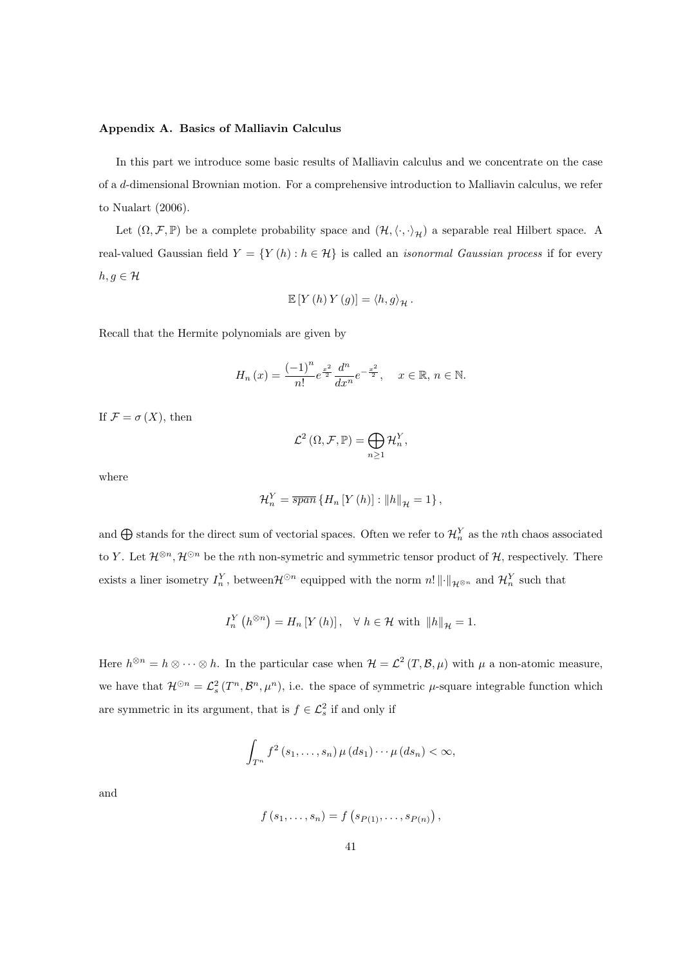## Appendix A. Basics of Malliavin Calculus

In this part we introduce some basic results of Malliavin calculus and we concentrate on the case of a d-dimensional Brownian motion. For a comprehensive introduction to Malliavin calculus, we refer to Nualart (2006).

Let  $(\Omega, \mathcal{F}, \mathbb{P})$  be a complete probability space and  $(\mathcal{H}, \langle \cdot, \cdot \rangle_{\mathcal{H}})$  a separable real Hilbert space. A real-valued Gaussian field  $Y = \{Y(h) : h \in \mathcal{H}\}\$ is called an *isonormal Gaussian process* if for every  $h, g \in \mathcal{H}$ 

$$
\mathbb{E}\left[Y\left(h\right)Y\left(g\right)\right]=\left\langle h,g\right\rangle_{\mathcal{H}}.
$$

Recall that the Hermite polynomials are given by

$$
H_n(x) = \frac{(-1)^n}{n!} e^{\frac{x^2}{2}} \frac{d^n}{dx^n} e^{-\frac{x^2}{2}}, \quad x \in \mathbb{R}, n \in \mathbb{N}.
$$

If  $\mathcal{F} = \sigma(X)$ , then

$$
\mathcal{L}^2\left(\Omega,\mathcal{F},\mathbb{P}\right) = \bigoplus_{n\geq 1} \mathcal{H}_n^Y,
$$

where

$$
\mathcal{H}_n^Y = \overline{span} \left\{ H_n \left[ Y \left( h \right) \right] : \| h \|_{\mathcal{H}} = 1 \right\},\
$$

and  $\bigoplus$  stands for the direct sum of vectorial spaces. Often we refer to  $\mathcal{H}_n^Y$  as the *n*th chaos associated to Y. Let  $\mathcal{H}^{\otimes n}$ ,  $\mathcal{H}^{\odot n}$  be the nth non-symetric and symmetric tensor product of  $\mathcal{H}$ , respectively. There exists a liner isometry  $I_n^Y$ , between  $\mathcal{H}^{\odot n}$  equipped with the norm  $n! \| \cdot \|_{\mathcal{H}^{\otimes n}}$  and  $\mathcal{H}_n^Y$  such that

$$
I_n^Y\left(h^{\otimes n}\right) = H_n\left[Y\left(h\right)\right], \quad \forall \ h \in \mathcal{H} \text{ with } \left\|h\right\|_{\mathcal{H}} = 1.
$$

Here  $h^{\otimes n} = h \otimes \cdots \otimes h$ . In the particular case when  $\mathcal{H} = \mathcal{L}^2(T, \mathcal{B}, \mu)$  with  $\mu$  a non-atomic measure, we have that  $\mathcal{H}^{\odot n} = \mathcal{L}_s^2(T^n, \mathcal{B}^n, \mu^n)$ , i.e. the space of symmetric  $\mu$ -square integrable function which are symmetric in its argument, that is  $f \in \mathcal{L}_s^2$  if and only if

$$
\int_{T^n} f^2(s_1,\ldots,s_n)\,\mu\,(ds_1)\cdots\mu\,(ds_n)<\infty,
$$

and

$$
f(s_1,...,s_n) = f(s_{P(1)},...,s_{P(n)})
$$
,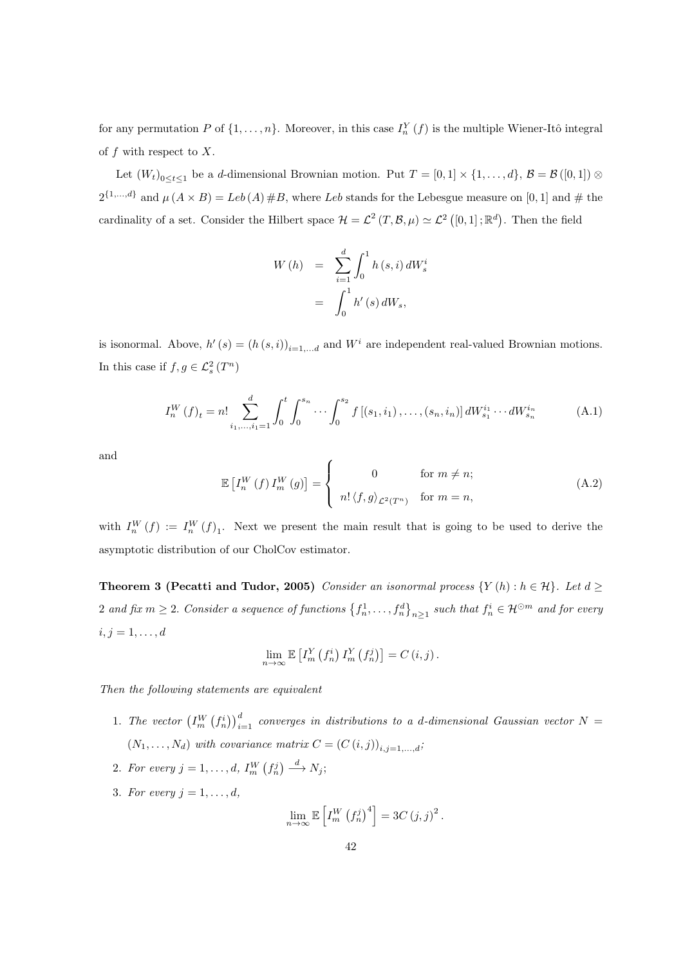for any permutation P of  $\{1,\ldots,n\}$ . Moreover, in this case  $I_n^Y(f)$  is the multiple Wiener-Itô integral of  $f$  with respect to  $X$ .

Let  $(W_t)_{0 \le t \le 1}$  be a *d*-dimensional Brownian motion. Put  $T = [0,1] \times \{1,\ldots,d\}$ ,  $\mathcal{B} = \mathcal{B}([0,1]) \otimes$  $2^{\{1,\ldots,d\}}$  and  $\mu(A \times B) = Leb(A) \#B$ , where Leb stands for the Lebesgue measure on [0, 1] and # the cardinality of a set. Consider the Hilbert space  $\mathcal{H} = \mathcal{L}^2(T, \mathcal{B}, \mu) \simeq \mathcal{L}^2([0, 1]; \mathbb{R}^d)$ . Then the field

$$
W(h) = \sum_{i=1}^{d} \int_{0}^{1} h(s, i) dW_{s}^{i}
$$

$$
= \int_{0}^{1} h'(s) dW_{s},
$$

is isonormal. Above,  $h'(s) = (h(s, i))_{i=1,\dots d}$  and  $W^i$  are independent real-valued Brownian motions. In this case if  $f, g \in \mathcal{L}_s^2(T^n)$ 

$$
I_n^W(f)_t = n! \sum_{i_1, \dots, i_1 = 1}^d \int_0^t \int_0^{s_n} \dots \int_0^{s_2} f\left[ (s_1, i_1), \dots, (s_n, i_n) \right] dW_{s_1}^{i_1} \dots dW_{s_n}^{i_n}
$$
 (A.1)

and

$$
\mathbb{E}\left[I_n^W\left(f\right)I_m^W\left(g\right)\right] = \begin{cases} 0 & \text{for } m \neq n; \\ n! \left\langle f, g \right\rangle_{\mathcal{L}^2\left(T^n\right)} & \text{for } m = n, \end{cases} \tag{A.2}
$$

with  $I_n^W(f) := I_n^W(f)_1$ . Next we present the main result that is going to be used to derive the asymptotic distribution of our CholCov estimator.

Theorem 3 (Pecatti and Tudor, 2005) Consider an isonormal process  $\{Y(h) : h \in \mathcal{H}\}\$ . Let  $d \geq$ 2 and fix  $m \ge 2$ . Consider a sequence of functions  $\left\{f_n^1, \ldots, f_n^d\right\}_{n \ge 1}$  such that  $f_n^i \in \mathcal{H}^{\odot m}$  and for every  $i, j = 1, \ldots, d$ 

$$
\lim_{n\to\infty}\mathbb{E}\left[I_m^Y\left(f_n^i\right)I_m^Y\left(f_n^j\right)\right]=C\left(i,j\right).
$$

Then the following statements are equivalent

- 1. The vector  $(I_m^W(f_n^i))_{i=1}^d$  converges in distributions to a d-dimensional Gaussian vector  $N =$  $(N_1, \ldots, N_d)$  with covariance matrix  $C = (C(i, j))_{i,j=1,\ldots,d}$ ;
- 2. For every  $j = 1, ..., d$ ,  $I_m^W(f_n^j) \stackrel{d}{\longrightarrow} N_j$ ;
- 3. For every  $j = 1, \ldots, d$ ,

$$
\lim_{n \to \infty} \mathbb{E}\left[I_m^W \left(f_n^j\right)^4\right] = 3C\left(j,j\right)^2.
$$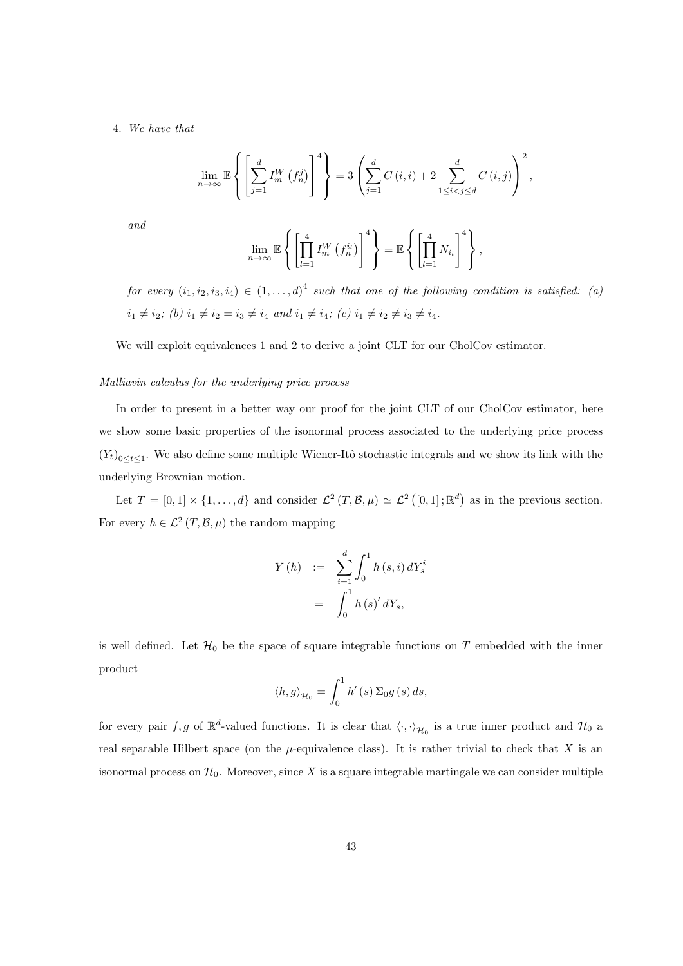#### 4. We have that

$$
\lim_{n \to \infty} \mathbb{E} \left\{ \left[ \sum_{j=1}^{d} I_m^W \left( f_n^j \right) \right]^4 \right\} = 3 \left( \sum_{j=1}^{d} C(i, i) + 2 \sum_{1 \le i < j \le d}^{d} C(i, j) \right)^2,
$$

and

$$
\lim_{n \to \infty} \mathbb{E} \left\{ \left[ \prod_{l=1}^{4} I_m^W \left( f_n^{i_l} \right) \right]^4 \right\} = \mathbb{E} \left\{ \left[ \prod_{l=1}^{4} N_{i_l} \right]^4 \right\},\
$$

for every  $(i_1, i_2, i_3, i_4) \in (1, \ldots, d)^4$  such that one of the following condition is satisfied: (a)  $i_1 \neq i_2$ ; (b)  $i_1 \neq i_2 = i_3 \neq i_4$  and  $i_1 \neq i_4$ ; (c)  $i_1 \neq i_2 \neq i_3 \neq i_4$ .

We will exploit equivalences 1 and 2 to derive a joint CLT for our CholCov estimator.

#### Malliavin calculus for the underlying price process

In order to present in a better way our proof for the joint CLT of our CholCov estimator, here we show some basic properties of the isonormal process associated to the underlying price process  $(Y_t)_{0 \leq t \leq 1}$ . We also define some multiple Wiener-Itô stochastic integrals and we show its link with the underlying Brownian motion.

Let  $T = [0,1] \times \{1,\ldots,d\}$  and consider  $\mathcal{L}^2(T,\mathcal{B},\mu) \simeq \mathcal{L}^2([0,1];\mathbb{R}^d)$  as in the previous section. For every  $h \in \mathcal{L}^2(T, \mathcal{B}, \mu)$  the random mapping

$$
Y(h) := \sum_{i=1}^{d} \int_{0}^{1} h(s, i) dY_{s}^{i}
$$

$$
= \int_{0}^{1} h(s)' dY_{s},
$$

is well defined. Let  $\mathcal{H}_0$  be the space of square integrable functions on T embedded with the inner product

$$
\langle h, g \rangle_{\mathcal{H}_0} = \int_0^1 h'(s) \, \Sigma_0 g(s) \, ds,
$$

for every pair f, g of  $\mathbb{R}^d$ -valued functions. It is clear that  $\langle \cdot, \cdot \rangle_{\mathcal{H}_0}$  is a true inner product and  $\mathcal{H}_0$  a real separable Hilbert space (on the  $\mu$ -equivalence class). It is rather trivial to check that X is an isonormal process on  $\mathcal{H}_0$ . Moreover, since X is a square integrable martingale we can consider multiple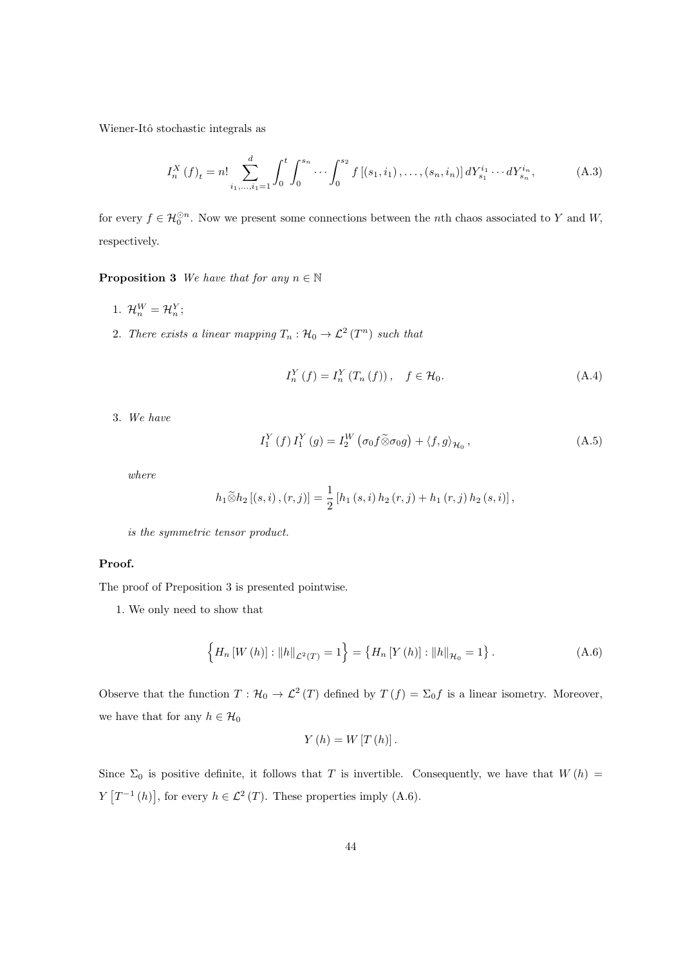Wiener-Itô stochastic integrals as

$$
I_n^X\left(f\right)_t = n! \sum_{i_1,\dots,i_1=1}^d \int_0^t \int_0^{s_n} \dots \int_0^{s_2} f\left[\left(s_1,i_1\right),\dots,\left(s_n,i_n\right)\right] dY_{s_1}^{i_1} \dots dY_{s_n}^{i_n},\tag{A.3}
$$

for every  $f \in \mathcal{H}_0^{\odot n}$ . Now we present some connections between the *n*th chaos associated to Y and W, respectively.

**Proposition 3** We have that for any  $n \in \mathbb{N}$ 

- 1.  $\mathcal{H}_n^W = \mathcal{H}_n^Y;$
- 2. There exists a linear mapping  $T_n : \mathcal{H}_0 \to \mathcal{L}^2(T^n)$  such that

$$
I_n^Y\left(f\right) = I_n^Y\left(T_n\left(f\right)\right), \quad f \in \mathcal{H}_0. \tag{A.4}
$$

3. We have

$$
I_1^Y(f) I_1^Y(g) = I_2^W \left( \sigma_0 f \widetilde{\otimes} \sigma_0 g \right) + \langle f, g \rangle_{\mathcal{H}_0}, \tag{A.5}
$$

where

$$
h_1 \widetilde{\otimes} h_2 [(s, i), (r, j)] = \frac{1}{2} [h_1 (s, i) h_2 (r, j) + h_1 (r, j) h_2 (s, i)],
$$

is the symmetric tensor product.

# Proof.

The proof of Preposition 3 is presented pointwise.

1. We only need to show that

$$
\left\{ H_n \left[ W \left( h \right) \right] : \| h \|_{\mathcal{L}^2(T)} = 1 \right\} = \left\{ H_n \left[ Y \left( h \right) \right] : \| h \|_{\mathcal{H}_0} = 1 \right\}. \tag{A.6}
$$

Observe that the function  $T: \mathcal{H}_0 \to \mathcal{L}^2(T)$  defined by  $T(f) = \Sigma_0 f$  is a linear isometry. Moreover, we have that for any  $h \in \mathcal{H}_0$ 

$$
Y(h) = W[T(h)].
$$

Since  $\Sigma_0$  is positive definite, it follows that T is invertible. Consequently, we have that  $W(h)$  =  $Y[T^{-1}(h)]$ , for every  $h \in \mathcal{L}^2(T)$ . These properties imply (A.6).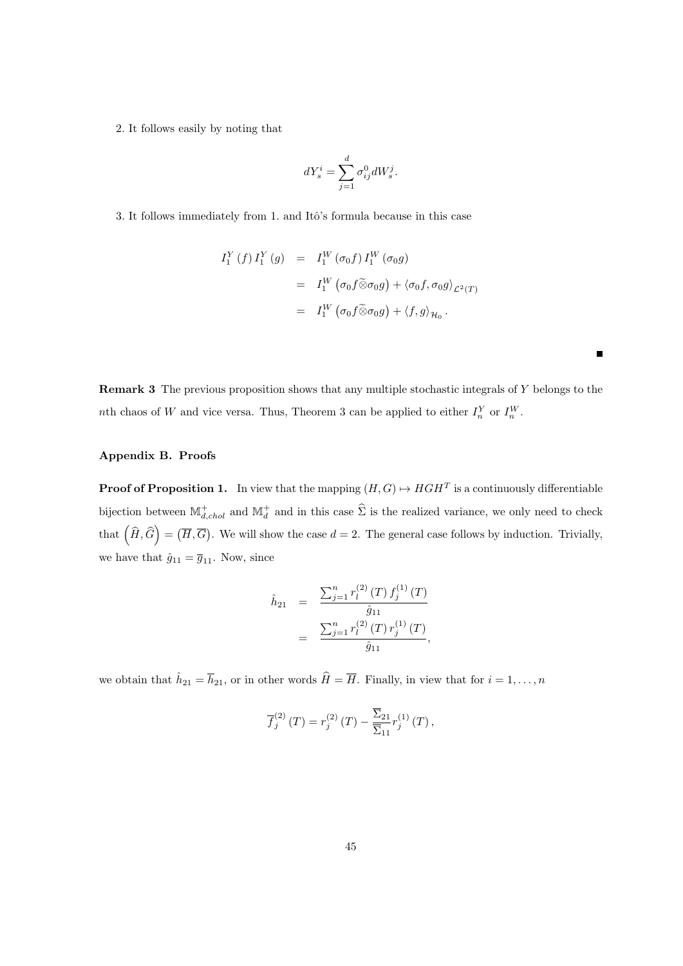2. It follows easily by noting that

$$
dY_s^i = \sum_{j=1}^d \sigma_{ij}^0 dW_s^j.
$$

3. It follows immediately from 1. and Itô's formula because in this case

$$
I_1^Y(f) I_1^Y(g) = I_1^W(\sigma_0 f) I_1^W(\sigma_0 g)
$$
  
=  $I_1^W(\sigma_0 f \widetilde{\otimes} \sigma_0 g) + \langle \sigma_0 f, \sigma_0 g \rangle_{\mathcal{L}^2(T)}$   
=  $I_1^W(\sigma_0 f \widetilde{\otimes} \sigma_0 g) + \langle f, g \rangle_{\mathcal{H}_0}.$ 

**Remark 3** The previous proposition shows that any multiple stochastic integrals of  $Y$  belongs to the nth chaos of W and vice versa. Thus, Theorem 3 can be applied to either  $I_n^Y$  or  $I_n^W$ .

# Appendix B. Proofs

**Proof of Proposition 1.** In view that the mapping  $(H, G) \rightarrow HGH^T$  is a continuously differentiable bijection between  $\mathbb{M}_{d,chol}^+$  and  $\mathbb{M}_d^+$  and in this case  $\hat{\Sigma}$  is the realized variance, we only need to check that  $(\widehat{H}, \widehat{G}) = (\overline{H}, \overline{G})$ . We will show the case  $d = 2$ . The general case follows by induction. Trivially, we have that  $\hat{g}_{11} = \overline{g}_{11}$ . Now, since

$$
\hat{h}_{21} = \frac{\sum_{j=1}^{n} r_l^{(2)}(T) f_j^{(1)}(T)}{\hat{g}_{11}}
$$

$$
= \frac{\sum_{j=1}^{n} r_l^{(2)}(T) r_j^{(1)}(T)}{\hat{g}_{11}},
$$

we obtain that  $\hat{h}_{21} = \overline{h}_{21}$ , or in other words  $\widehat{H} = \overline{H}$ . Finally, in view that for  $i = 1, ..., n$ 

$$
\overline{f}_{j}^{(2)}(T) = r_{j}^{(2)}(T) - \frac{\overline{\Sigma}_{21}}{\overline{\Sigma}_{11}} r_{j}^{(1)}(T) ,
$$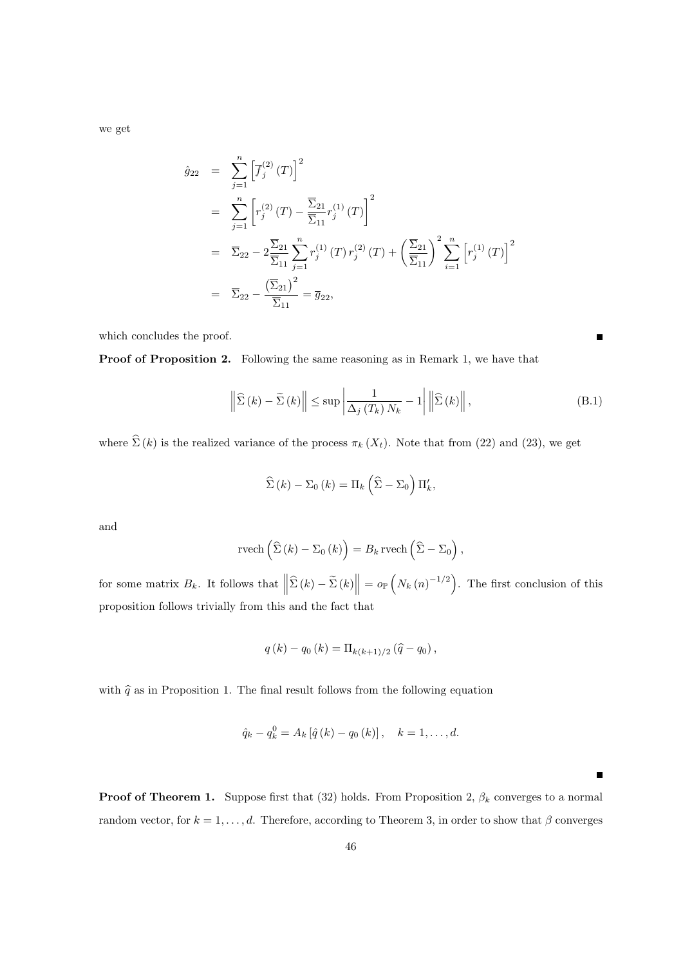we get

$$
\hat{g}_{22} = \sum_{j=1}^{n} \left[ \overline{f}_{j}^{(2)}(T) \right]^{2}
$$
\n
$$
= \sum_{j=1}^{n} \left[ r_{j}^{(2)}(T) - \frac{\overline{\Sigma}_{21}}{\overline{\Sigma}_{11}} r_{j}^{(1)}(T) \right]^{2}
$$
\n
$$
= \overline{\Sigma}_{22} - 2 \frac{\overline{\Sigma}_{21}}{\overline{\Sigma}_{11}} \sum_{j=1}^{n} r_{j}^{(1)}(T) r_{j}^{(2)}(T) + \left( \frac{\overline{\Sigma}_{21}}{\overline{\Sigma}_{11}} \right)^{2} \sum_{i=1}^{n} \left[ r_{j}^{(1)}(T) \right]^{2}
$$
\n
$$
= \overline{\Sigma}_{22} - \frac{\left( \overline{\Sigma}_{21} \right)^{2}}{\overline{\Sigma}_{11}} = \overline{g}_{22},
$$

which concludes the proof.

Proof of Proposition 2. Following the same reasoning as in Remark 1, we have that

$$
\left\| \widehat{\Sigma}\left(k\right) - \widetilde{\Sigma}\left(k\right) \right\| \le \sup \left| \frac{1}{\Delta_j\left(T_k\right) N_k} - 1 \right| \left\| \widehat{\Sigma}\left(k\right) \right\|, \tag{B.1}
$$

where  $\hat{\Sigma}(k)$  is the realized variance of the process  $\pi_k(X_t)$ . Note that from (22) and (23), we get

$$
\widehat{\Sigma}(k) - \Sigma_0(k) = \Pi_k \left( \widehat{\Sigma} - \Sigma_0 \right) \Pi'_k,
$$

and

$$
\operatorname{rvech}\left(\widehat{\Sigma}\left(k\right)-\Sigma_{0}\left(k\right)\right)=B_{k}\operatorname{rvech}\left(\widehat{\Sigma}-\Sigma_{0}\right),
$$

for some matrix  $B_k$ . It follows that  $\left\|\hat{\Sigma}(k) - \tilde{\Sigma}(k)\right\| = o_{\mathbb{P}}\left(N_k(n)^{-1/2}\right)$ . The first conclusion of this proposition follows trivially from this and the fact that

$$
q(k) - q_0(k) = \Pi_{k(k+1)/2}(\hat{q} - q_0),
$$

with  $\hat{q}$  as in Proposition 1. The final result follows from the following equation

$$
\hat{q}_k - q_k^0 = A_k [\hat{q}(k) - q_0(k)], \quad k = 1, ..., d.
$$

**Proof of Theorem 1.** Suppose first that (32) holds. From Proposition 2,  $\beta_k$  converges to a normal random vector, for  $k = 1, ..., d$ . Therefore, according to Theorem 3, in order to show that  $\beta$  converges

 $\blacksquare$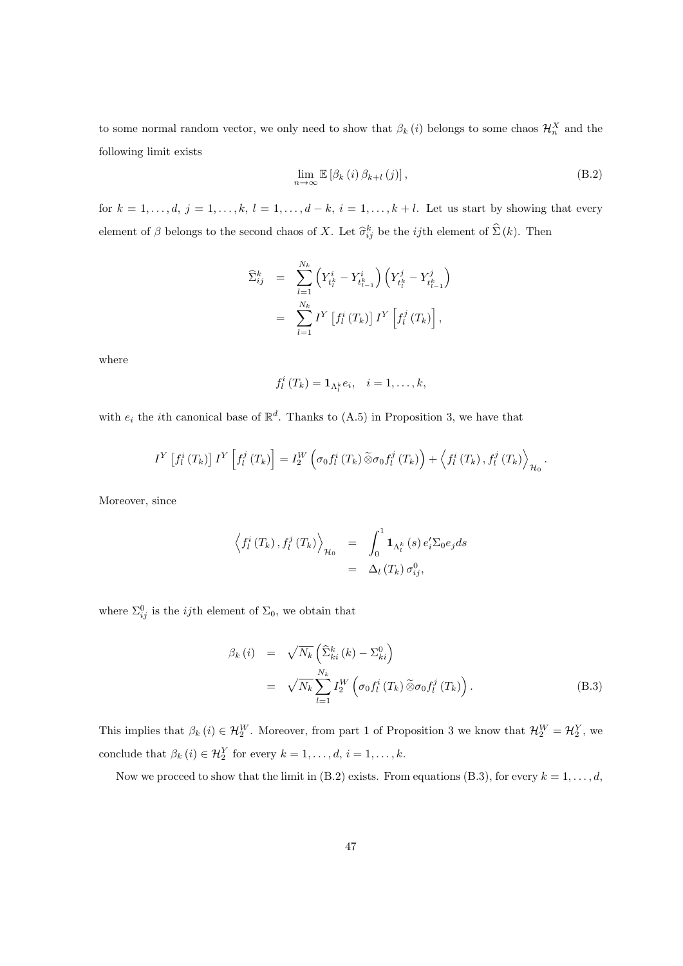to some normal random vector, we only need to show that  $\beta_k(i)$  belongs to some chaos  $\mathcal{H}_n^X$  and the following limit exists

$$
\lim_{n \to \infty} \mathbb{E} \left[ \beta_k \left( i \right) \beta_{k+l} \left( j \right) \right],\tag{B.2}
$$

for  $k = 1, \ldots, d, j = 1, \ldots, k, l = 1, \ldots, d - k, i = 1, \ldots, k + l$ . Let us start by showing that every element of  $\beta$  belongs to the second chaos of X. Let  $\hat{\sigma}_{ij}^k$  be the *ij*th element of  $\hat{\Sigma}(k)$ . Then

$$
\begin{array}{rcl} \widehat{\Sigma}_{ij}^{k} & = & \sum_{l=1}^{N_k} \left( Y_{t_l^k}^i - Y_{t_{l-1}^k}^i \right) \left( Y_{t_l^k}^j - Y_{t_{l-1}^k}^j \right) \\ & = & \sum_{l=1}^{N_k} I^Y \left[ f_l^i \left( T_k \right) \right] I^Y \left[ f_l^j \left( T_k \right) \right], \end{array}
$$

where

$$
f_l^i(T_k) = \mathbf{1}_{\Lambda_l^k} e_i, \quad i = 1, \ldots, k,
$$

with  $e_i$  the *i*th canonical base of  $\mathbb{R}^d$ . Thanks to (A.5) in Proposition 3, we have that

$$
I^{Y}\left[f_{l}^{i}\left(T_{k}\right)\right]I^{Y}\left[f_{l}^{j}\left(T_{k}\right)\right]=I_{2}^{W}\left(\sigma_{0}f_{l}^{i}\left(T_{k}\right)\widetilde{\otimes}\sigma_{0}f_{l}^{j}\left(T_{k}\right)\right)+\left\langle f_{l}^{i}\left(T_{k}\right),f_{l}^{j}\left(T_{k}\right)\right\rangle_{\mathcal{H}_{0}}.
$$

Moreover, since

$$
\left\langle f_l^i(T_k), f_l^j(T_k) \right\rangle_{\mathcal{H}_0} = \int_0^1 \mathbf{1}_{\Lambda_l^k}(s) e_i' \Sigma_0 e_j ds
$$
  
=  $\Delta_l(T_k) \sigma_{ij}^0$ ,

where  $\Sigma_{ij}^0$  is the *ij*th element of  $\Sigma_0$ , we obtain that

$$
\beta_k(i) = \sqrt{N_k} \left( \widehat{\Sigma}_{ki}^k(k) - \Sigma_{ki}^0 \right)
$$
  
=  $\sqrt{N_k} \sum_{l=1}^{N_k} I_2^W \left( \sigma_0 f_l^i(T_k) \widetilde{\otimes} \sigma_0 f_l^j(T_k) \right).$  (B.3)

This implies that  $\beta_k(i) \in \mathcal{H}_2^W$ . Moreover, from part 1 of Proposition 3 we know that  $\mathcal{H}_2^W = \mathcal{H}_2^Y$ , we conclude that  $\beta_k(i) \in \mathcal{H}_2^Y$  for every  $k = 1, \ldots, d, i = 1, \ldots, k$ .

Now we proceed to show that the limit in (B.2) exists. From equations (B.3), for every  $k = 1, \ldots, d$ ,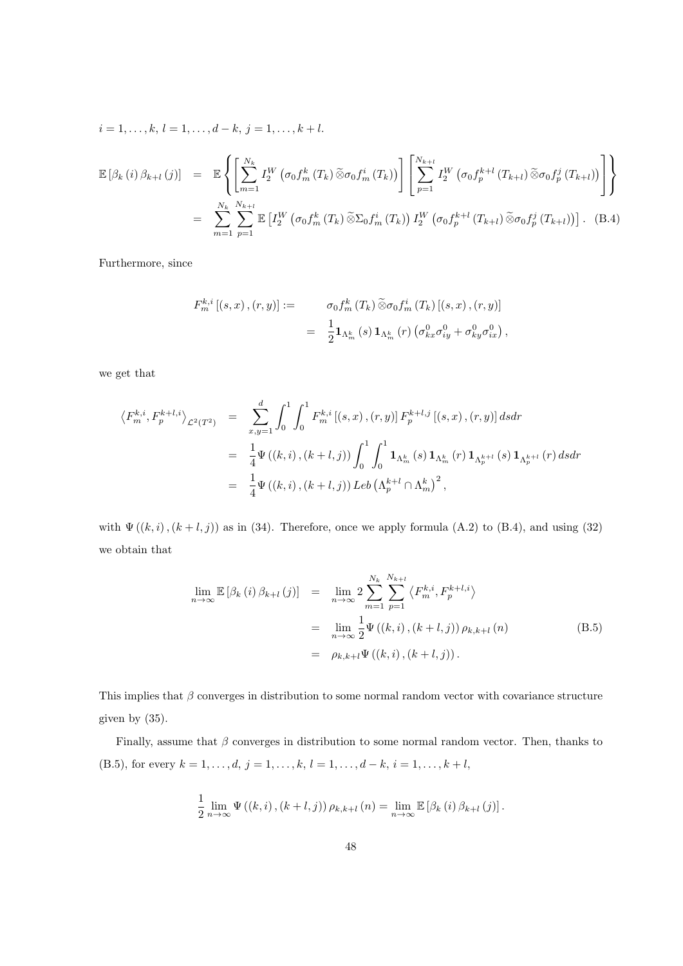$$
i = 1, ..., k, l = 1, ..., d - k, j = 1, ..., k + l.
$$
  
\n
$$
\mathbb{E} [\beta_k (i) \beta_{k+l} (j)] = \mathbb{E} \left\{ \left[ \sum_{m=1}^{N_k} I_2^W (\sigma_0 f_m^k (T_k) \tilde{\otimes} \sigma_0 f_m^i (T_k)) \right] \left[ \sum_{p=1}^{N_{k+l}} I_2^W (\sigma_0 f_p^{k+l} (T_{k+l}) \tilde{\otimes} \sigma_0 f_p^j (T_{k+l})) \right] \right\}
$$
  
\n
$$
= \sum_{m=1}^{N_k} \sum_{p=1}^{N_{k+l}} \mathbb{E} \left[ I_2^W (\sigma_0 f_m^k (T_k) \tilde{\otimes} \Sigma_0 f_m^i (T_k)) I_2^W (\sigma_0 f_p^{k+l} (T_{k+l}) \tilde{\otimes} \sigma_0 f_p^j (T_{k+l})) \right].
$$
 (B.4)

Furthermore, since

$$
F_{m}^{k,i} [(s, x), (r, y)] := \sigma_0 f_{m}^{k} (T_k) \widetilde{\otimes} \sigma_0 f_{m}^{i} (T_k) [(s, x), (r, y)]
$$
  

$$
= \frac{1}{2} \mathbf{1}_{\Lambda_{m}^{k}} (s) \mathbf{1}_{\Lambda_{m}^{k}} (r) (\sigma_{kx}^{0} \sigma_{iy}^{0} + \sigma_{ky}^{0} \sigma_{ix}^{0}),
$$

we get that

$$
\langle F_m^{k,i}, F_p^{k+l,i} \rangle_{\mathcal{L}^2(T^2)} = \sum_{x,y=1}^d \int_0^1 \int_0^1 F_m^{k,i} [(s,x), (r,y)] F_p^{k+l,j} [(s,x), (r,y)] ds dr
$$
  

$$
= \frac{1}{4} \Psi ((k,i), (k+l,j)) \int_0^1 \int_0^1 \mathbf{1}_{\Lambda_m^k} (s) \mathbf{1}_{\Lambda_m^k} (r) \mathbf{1}_{\Lambda_p^{k+l}} (s) \mathbf{1}_{\Lambda_p^{k+l}} (r) ds dr
$$
  

$$
= \frac{1}{4} \Psi ((k,i), (k+l,j)) Leb (\Lambda_p^{k+l} \cap \Lambda_m^k)^2,
$$

with  $\Psi((k, i), (k + l, j))$  as in (34). Therefore, once we apply formula (A.2) to (B.4), and using (32) we obtain that

$$
\lim_{n \to \infty} \mathbb{E} \left[ \beta_k(i) \beta_{k+l}(j) \right] = \lim_{n \to \infty} 2 \sum_{m=1}^{N_k} \sum_{p=1}^{N_{k+l}} \left\langle F_m^{k,i}, F_p^{k+l,i} \right\rangle
$$
  
\n
$$
= \lim_{n \to \infty} \frac{1}{2} \Psi((k,i),(k+l,j)) \rho_{k,k+l}(n)
$$
  
\n
$$
= \rho_{k,k+l} \Psi((k,i),(k+l,j)).
$$
\n(B.5)

This implies that  $\beta$  converges in distribution to some normal random vector with covariance structure given by (35).

Finally, assume that  $\beta$  converges in distribution to some normal random vector. Then, thanks to (B.5), for every  $k = 1, ..., d, j = 1, ..., k, l = 1, ..., d - k, i = 1, ..., k + l$ ,

$$
\frac{1}{2}\lim_{n\to\infty}\Psi((k,i),(k+l,j))\,\rho_{k,k+l}(n)=\lim_{n\to\infty}\mathbb{E}\left[\beta_k(i)\,\beta_{k+l}(j)\right].
$$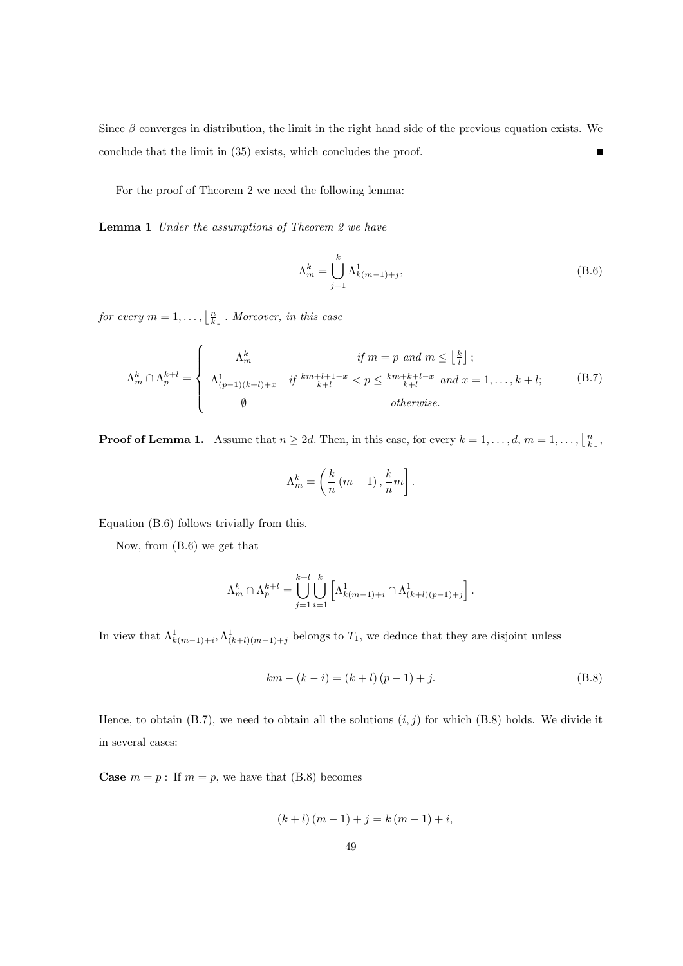Since  $\beta$  converges in distribution, the limit in the right hand side of the previous equation exists. We conclude that the limit in (35) exists, which concludes the proof. П

For the proof of Theorem 2 we need the following lemma:

**Lemma 1** Under the assumptions of Theorem 2 we have

$$
\Lambda_m^k = \bigcup_{j=1}^k \Lambda_{k(m-1)+j}^1,
$$
\n(B.6)

for every  $m = 1, ..., \lfloor \frac{n}{k} \rfloor$ . Moreover, in this case

$$
\Lambda_m^k \cap \Lambda_p^{k+l} = \begin{cases}\n\Lambda_m^k & \text{if } m = p \text{ and } m \leq \left\lfloor \frac{k}{l} \right\rfloor; \\
\Lambda_{(p-1)(k+l)+x}^1 & \text{if } \frac{km+l+1-x}{k+l} < p \leq \frac{km+k+l-x}{k+l} \text{ and } x = 1, \dots, k+l; \\
\emptyset & \text{otherwise.} \n\end{cases} \tag{B.7}
$$

**Proof of Lemma 1.** Assume that  $n \geq 2d$ . Then, in this case, for every  $k = 1, \ldots, d, m = 1, \ldots, \left\lfloor \frac{n}{k} \right\rfloor$ ,

$$
\Lambda_m^k = \left(\frac{k}{n}(m-1), \frac{k}{n}m\right].
$$

Equation (B.6) follows trivially from this.

Now, from (B.6) we get that

$$
\Lambda_m^k \cap \Lambda_p^{k+l} = \bigcup_{j=1}^{k+l} \bigcup_{i=1}^k \left[ \Lambda_{k(m-1)+i}^1 \cap \Lambda_{(k+l)(p-1)+j}^1 \right].
$$

In view that  $\Lambda^1_{k(m-1)+i}, \Lambda^1_{(k+l)(m-1)+j}$  belongs to  $T_1$ , we deduce that they are disjoint unless

$$
km - (k - i) = (k + l)(p - 1) + j.
$$
\n(B.8)

Hence, to obtain (B.7), we need to obtain all the solutions  $(i, j)$  for which (B.8) holds. We divide it in several cases:

**Case**  $m = p$ : If  $m = p$ , we have that (B.8) becomes

$$
(k+l)(m-1) + j = k(m-1) + i,
$$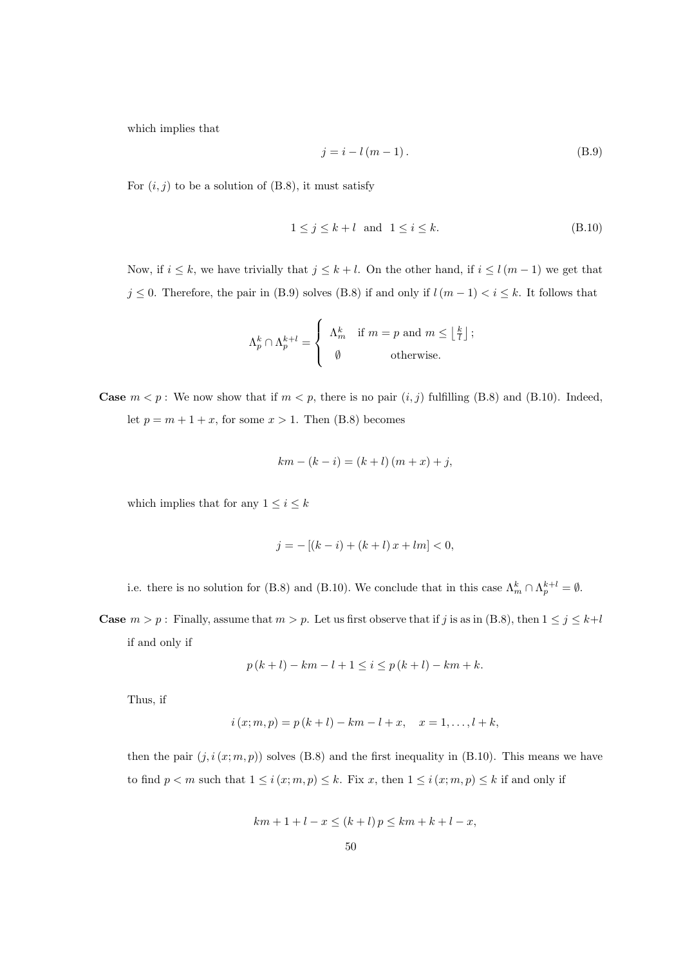which implies that

$$
j = i - l(m - 1).
$$
 (B.9)

For  $(i, j)$  to be a solution of  $(B.8)$ , it must satisfy

$$
1 \le j \le k+l \quad \text{and} \quad 1 \le i \le k. \tag{B.10}
$$

Now, if  $i \leq k$ , we have trivially that  $j \leq k+l$ . On the other hand, if  $i \leq l(m-1)$  we get that  $j \leq 0$ . Therefore, the pair in (B.9) solves (B.8) if and only if  $l(m-1) < i \leq k$ . It follows that

$$
\Lambda_p^k \cap \Lambda_p^{k+l} = \begin{cases} \Lambda_m^k & \text{if } m = p \text{ and } m \leq \left\lfloor \frac{k}{l} \right\rfloor; \\ \emptyset & \text{otherwise.} \end{cases}
$$

**Case**  $m < p$ : We now show that if  $m < p$ , there is no pair  $(i, j)$  fulfilling (B.8) and (B.10). Indeed, let  $p = m + 1 + x$ , for some  $x > 1$ . Then (B.8) becomes

$$
km - (k - i) = (k + l) (m + x) + j,
$$

which implies that for any  $1 \leq i \leq k$ 

$$
j = -[(k - i) + (k + l)x + lm] < 0,
$$

i.e. there is no solution for (B.8) and (B.10). We conclude that in this case  $\Lambda_m^k \cap \Lambda_p^{k+l} = \emptyset$ .

**Case**  $m > p$ : Finally, assume that  $m > p$ . Let us first observe that if j is as in (B.8), then  $1 \le j \le k+l$ if and only if

$$
p(k+l) - km - l + 1 \le i \le p(k+l) - km + k.
$$

Thus, if

$$
i(x; m, p) = p(k+l) - km - l + x, \quad x = 1, \dots, l + k,
$$

then the pair  $(j, i(x; m, p))$  solves (B.8) and the first inequality in (B.10). This means we have to find  $p < m$  such that  $1 \leq i(x; m, p) \leq k$ . Fix x, then  $1 \leq i(x; m, p) \leq k$  if and only if

$$
km + 1 + l - x \le (k + l) p \le km + k + l - x,
$$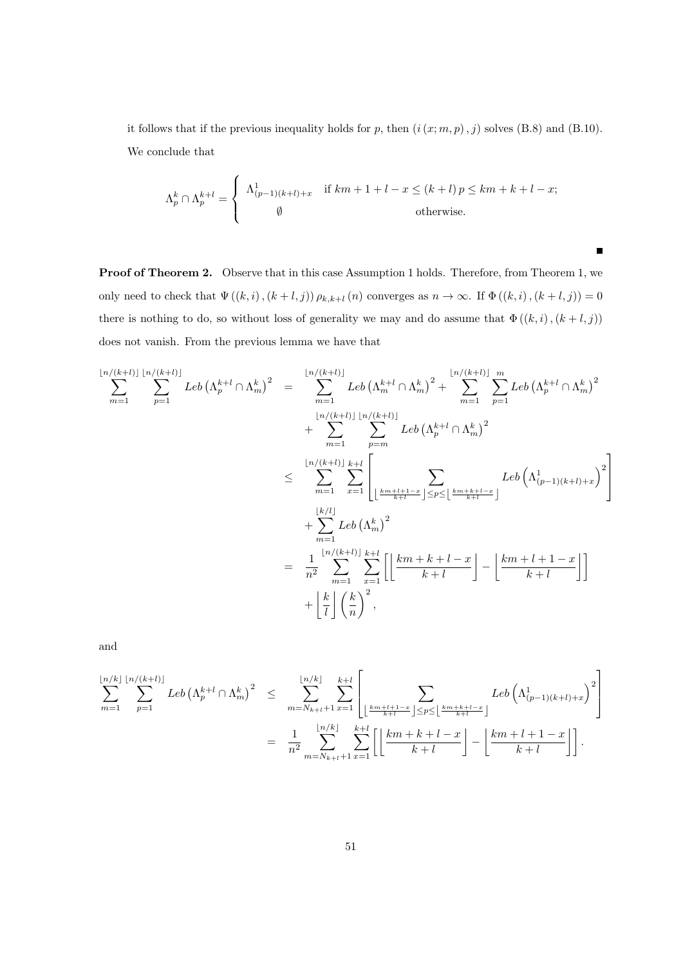it follows that if the previous inequality holds for p, then  $(i(x; m, p), j)$  solves (B.8) and (B.10). We conclude that

$$
\Lambda_p^k \cap \Lambda_p^{k+l} = \begin{cases} \Lambda_{(p-1)(k+l)+x}^1 & \text{if } km+1+l-x \le (k+l)p \le km+k+l-x; \\ \emptyset & \text{otherwise.} \end{cases}
$$

Proof of Theorem 2. Observe that in this case Assumption 1 holds. Therefore, from Theorem 1, we only need to check that  $\Psi((k, i), (k + l, j)) \rho_{k, k+l}(n)$  converges as  $n \to \infty$ . If  $\Phi((k, i), (k + l, j)) = 0$ there is nothing to do, so without loss of generality we may and do assume that  $\Phi((k,i),(k+l,j))$ does not vanish. From the previous lemma we have that

$$
\sum_{m=1}^{\lfloor n/(k+l) \rfloor} \sum_{p=1}^{\lfloor n/(k+l) \rfloor} Leb \left( \Lambda_p^{k+l} \cap \Lambda_m^k \right)^2 = \sum_{m=1}^{\lfloor n/(k+l) \rfloor} Leb \left( \Lambda_m^{k+l} \cap \Lambda_m^k \right)^2 + \sum_{m=1}^{\lfloor n/(k+l) \rfloor} \sum_{p=1}^{\lfloor n/(k+l) \rfloor} Leb \left( \Lambda_p^{k+l} \cap \Lambda_m^k \right)^2 + \sum_{m=1}^{\lfloor n/(k+l) \rfloor} \sum_{p=m} Leb \left( \Lambda_p^{k+l} \cap \Lambda_m^k \right)^2
$$
  

$$
\leq \sum_{m=1}^{\lfloor n/(k+l) \rfloor} \sum_{x=1}^{\lfloor n/(k+l) \rfloor} \sum_{p=m} Leb \left( \Lambda_p^{k+l} \cap \Lambda_m^k \right)^2 + \sum_{m=1}^{\lfloor k/(k+l) \rfloor} Leb \left( \Lambda_p^{k+l+1-k} \right)^2
$$
  

$$
+ \sum_{m=1}^{\lfloor k/l \rfloor} Leb \left( \Lambda_m^k \right)^2
$$
  

$$
= \frac{1}{n^2} \sum_{m=1}^{\lfloor n/(k+l) \rfloor} \sum_{x=1}^{\lfloor k+l \rfloor} \left[ \left( \frac{km+k+l-x}{k+l} \right) - \left( \frac{km+l+1-x}{k+l} \right) \right]
$$
  

$$
+ \left[ \frac{k}{l} \right] \left( \frac{k}{n} \right)^2,
$$

and

$$
\sum_{m=1}^{\lfloor n/k \rfloor} \sum_{p=1}^{\lfloor n/(k+l) \rfloor} Leb \left( \Lambda_p^{k+l} \cap \Lambda_m^k \right)^2 \leq \sum_{m=N_{k+l}+1}^{\lfloor n/k \rfloor} \sum_{x=1}^{k+l} \left[ \sum_{\substack{\lfloor km+l+1-x \rfloor \leq p \leq \lfloor km+k+l-x \rfloor \\ k+l}} Leb \left( \Lambda_{(p-1)(k+l)+x}^1 \right)^2 \right]
$$
  

$$
= \frac{1}{n^2} \sum_{m=N_{k+l}+1}^{\lfloor n/k \rfloor} \sum_{x=1}^{k+l} \left[ \left( \frac{km+k+l-x}{k+l} \right) - \left( \frac{km+l+1-x}{k+l} \right) \right].
$$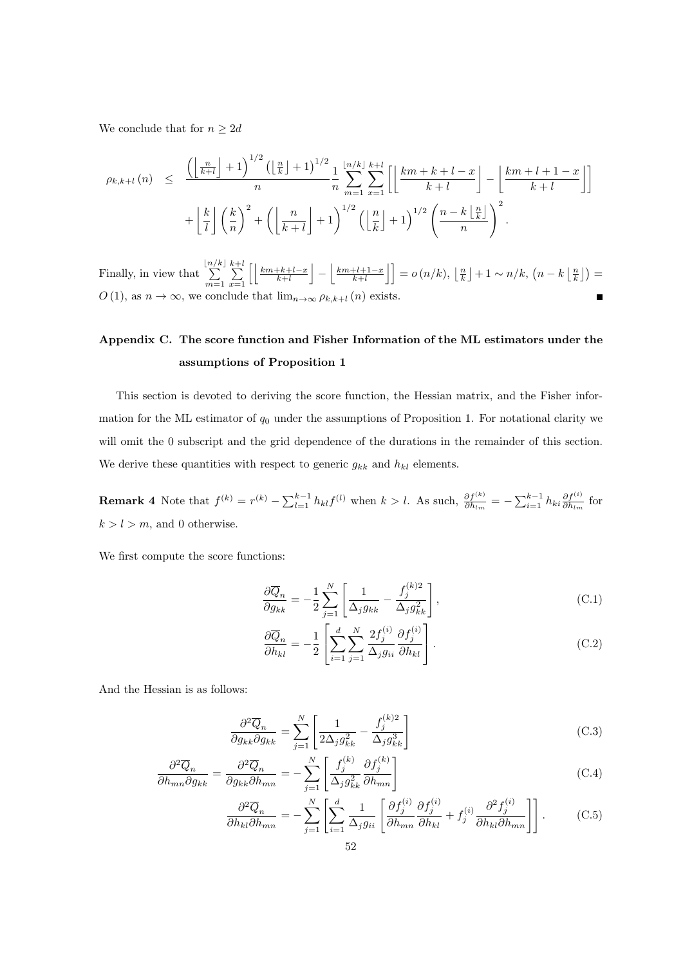We conclude that for  $n \geq 2d$ 

$$
\rho_{k,k+l}(n) \leq \frac{\left(\left\lfloor \frac{n}{k+l} \right\rfloor + 1\right)^{1/2} \left(\left\lfloor \frac{n}{k} \right\rfloor + 1\right)^{1/2}}{n} \frac{1}{n} \sum_{m=1}^{\lfloor n/k \rfloor} \sum_{x=1}^{k+l} \left[\left\lfloor \frac{km+k+l-x}{k+l} \right\rfloor - \left\lfloor \frac{km+l+1-x}{k+l} \right\rfloor \right] + \left\lfloor \frac{k}{l} \right\rfloor \left(\frac{k}{n}\right)^2 + \left(\left\lfloor \frac{n}{k+l} \right\rfloor + 1\right)^{1/2} \left(\left\lfloor \frac{n}{k} \right\rfloor + 1\right)^{1/2} \left(\frac{n-k\left\lfloor \frac{n}{k} \right\rfloor}{n}\right)^2.
$$

Finally, in view that  $\frac{\lfloor n/k \rfloor}{\sum}$  $m=1$  $\sum_{i=1}^{k+l}$  $x=1$  $\left\lceil \left\lfloor \frac{km+k+l-x}{k+l} \right\rfloor - \left\lfloor \frac{km+l+1-x}{k+l} \right\rfloor \right\rceil = o(n/k), \left\lfloor \frac{n}{k} \right\rfloor + 1 \sim n/k, (n-k\left\lfloor \frac{n}{k} \right\rfloor) =$  $O(1)$ , as  $n \to \infty$ , we conclude that  $\lim_{n \to \infty} \rho_{k,k+l}(n)$  exists.

# Appendix C. The score function and Fisher Information of the ML estimators under the assumptions of Proposition 1

This section is devoted to deriving the score function, the Hessian matrix, and the Fisher information for the ML estimator of  $q_0$  under the assumptions of Proposition 1. For notational clarity we will omit the 0 subscript and the grid dependence of the durations in the remainder of this section. We derive these quantities with respect to generic  $g_{kk}$  and  $h_{kl}$  elements.

**Remark 4** Note that  $f^{(k)} = r^{(k)} - \sum_{l=1}^{k-1} h_{kl} f^{(l)}$  when  $k > l$ . As such,  $\frac{\partial f^{(k)}}{\partial h_{lm}} = -\sum_{i=1}^{k-1} h_{ki} \frac{\partial f^{(i)}}{\partial h_{lm}}$  $\frac{\partial f^{(v)}}{\partial h_{lm}}$  for  $k > l > m$ , and 0 otherwise.

We first compute the score functions:

$$
\frac{\partial \overline{Q}_n}{\partial g_{kk}} = -\frac{1}{2} \sum_{j=1}^N \left[ \frac{1}{\Delta_j g_{kk}} - \frac{f_j^{(k)2}}{\Delta_j g_{kk}^2} \right],\tag{C.1}
$$

$$
\frac{\partial \overline{Q}_n}{\partial h_{kl}} = -\frac{1}{2} \left[ \sum_{i=1}^d \sum_{j=1}^N \frac{2f_j^{(i)}}{\Delta_j g_{ii}} \frac{\partial f_j^{(i)}}{\partial h_{kl}} \right].
$$
\n(C.2)

And the Hessian is as follows:

$$
\frac{\partial^2 \overline{Q}_n}{\partial g_{kk} \partial g_{kk}} = \sum_{j=1}^N \left[ \frac{1}{2\Delta_j g_{kk}^2} - \frac{f_j^{(k)2}}{\Delta_j g_{kk}^3} \right]
$$
(C.3)

$$
\frac{\partial^2 \overline{Q}_n}{\partial h_{mn} \partial g_{kk}} = \frac{\partial^2 \overline{Q}_n}{\partial g_{kk} \partial h_{mn}} = -\sum_{j=1}^N \left[ \frac{f_j^{(k)}}{\Delta_j g_{kk}^2} \frac{\partial f_j^{(k)}}{\partial h_{mn}} \right]
$$
(C.4)

$$
\frac{\partial^2 \overline{Q}_n}{\partial h_{kl} \partial h_{mn}} = -\sum_{j=1}^N \left[ \sum_{i=1}^d \frac{1}{\Delta_j g_{ii}} \left[ \frac{\partial f_j^{(i)}}{\partial h_{mn}} \frac{\partial f_j^{(i)}}{\partial h_{kl}} + f_j^{(i)} \frac{\partial^2 f_j^{(i)}}{\partial h_{kl} \partial h_{mn}} \right] \right].
$$
 (C.5)